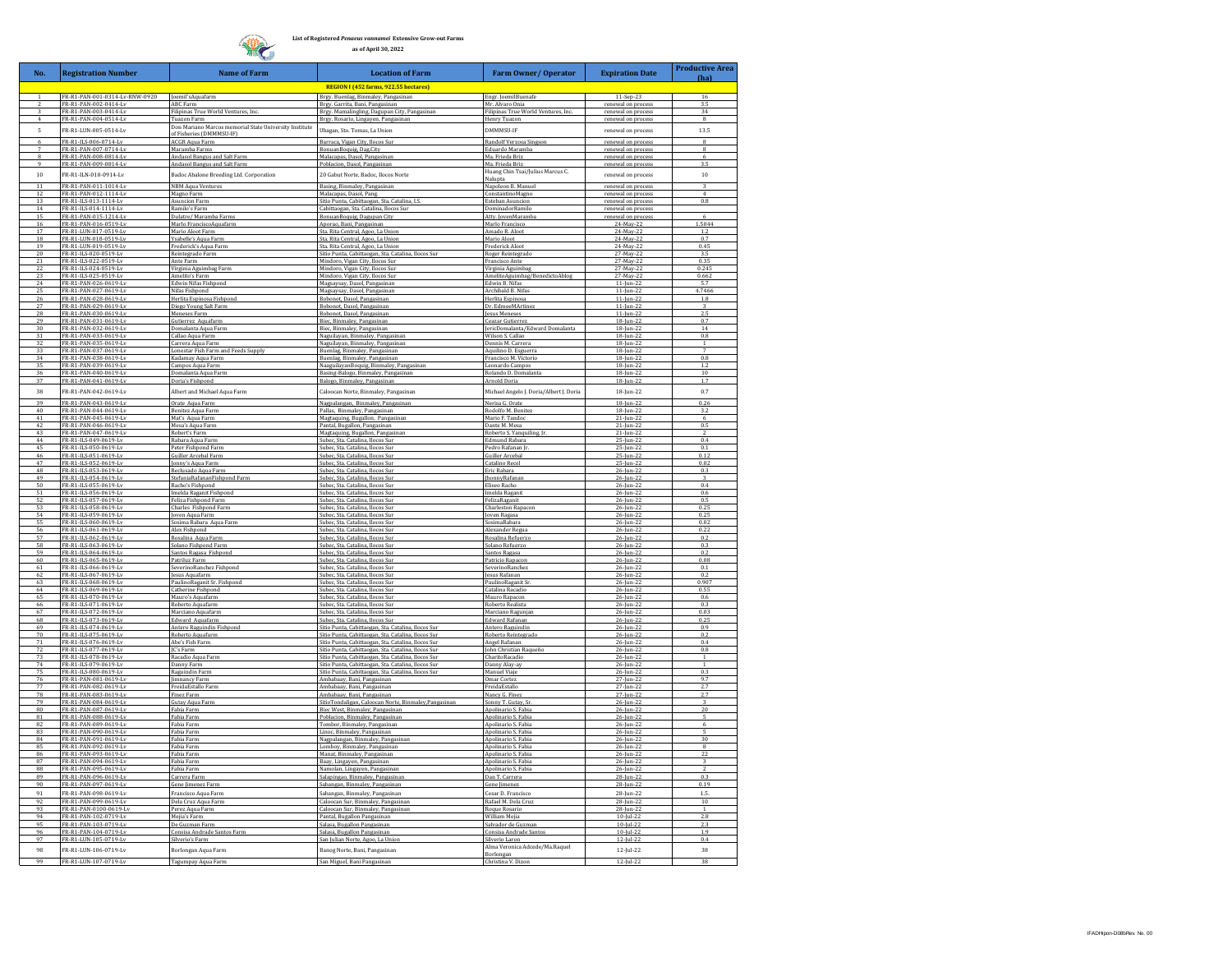R

**List of Registered** *Penaeus vannamei* **Extensive Grow-out Farms as of April 30, 2022**

| No.            | <b>Registration Number</b>                     | <b>Name of Farm</b>                                                                | <b>Location of Farm</b>                                                                                    | Farm Owner/ Operator                                 | <b>Expiration Date</b>                            | <b>Productive Area</b><br>(ha) |
|----------------|------------------------------------------------|------------------------------------------------------------------------------------|------------------------------------------------------------------------------------------------------------|------------------------------------------------------|---------------------------------------------------|--------------------------------|
|                |                                                |                                                                                    | REGION I (452 farms, 922.55 hectares)                                                                      |                                                      |                                                   |                                |
|                | FR-R1-PAN-001-0314-Lv-RNW-0920                 | Joemil'sAquafarm                                                                   | Brgy. Buenlag, Binmaley, Pangasinan                                                                        | Engr. JoemilBuenafe                                  | 11-Sep-23                                         | 16                             |
|                | FR-R1-PAN-002-0414-Lv<br>FR-R1-PAN-003-0414-Lv | <b>ABC Farm</b><br>Filipinas True World Ventures, Inc                              | Brgy. Garrita, Bani, Pangasinan<br>Brgy. Mamalingling, Dagupan City, Pangasinan                            | Mr. Alvaro Onia<br>Filipinas True World Ventures, In | renewal on process<br>renewal on proces           | 3.5<br>34                      |
| $\mathbf{A}$   | FR-R1-PAN-004-0514-Lv                          | Tuazon Farm                                                                        | Brgy. Rosario, Lingayen, Pangasinan                                                                        | Henry Tuazon                                         | renewal on process                                | $\mathbf{R}$                   |
| 5              | FR-R1-LHN-005-0514-Lv                          | Don Mariano Marcos memorial State University Institute<br>of Fisheries (DMMMSU-IF) | Ubagan, Sto. Tomas, La Union                                                                               | DMMMSILIE                                            | renewal on process                                | 13.5                           |
| $\overline{6}$ | ER-R1-II S-006-0714-LV                         | <b>ACGR Aqua Farm</b>                                                              | Barraca, Vigan City, Ilocos Sur                                                                            | Randolf Verzosa Singson                              | renewal on process                                | $\overline{R}$                 |
| 8              | FR-R1-PAN-007-0714-L<br>FR-R1-PAN-008-0814-Lv  | Maramba Farms<br>Andasol Bangus and Salt Farm                                      | BonuanBoquig, Dag.City<br>Malacapas, Dasol, Pangasinan                                                     | Eduardo Maramba<br>Ma, Frieda Briz                   | renewal on proces<br>renewal on process           | $\mathbf{R}$<br>6              |
| 9              | FR-R1-PAN-009-0814-Lt                          | Andasol Bangus and Salt Farn                                                       | Poblacion, Dasol, Pangasinar                                                                               | Ma. Frieda Briz                                      | renewal on proce                                  | 3.5                            |
| 10             | FR-R1-ILN-010-0914-Lv                          | Badoc Abalone Breeding Ltd. Corporation                                            | 20 Gabut Norte, Badoc, Ilocos Norte                                                                        | Huang Chin Tsai/Julius Marcus C.<br>Nalupta          | renewal on process                                | 10                             |
|                | FR-R1-PAN-011-1014-L                           | <b>NBM Aqua Ventures</b>                                                           | Basing, Binmaley, Pangasinan                                                                               | Napoleon B. Manuel                                   | renewal on proces                                 |                                |
| 13             | FR-R1-PAN-012-1114-L<br>FR-R1-ILS-013-1114-Lv  | Magno Farm<br>Asuncion Farm                                                        | Malacapas, Dasol, Pang.<br>Sitio Punta, Cabittaogan, Sta. Catalina, I.S.                                   | ConstantinoMagno<br>Esteban Asuncion                 | renewal on process<br>renewal on proces           | 4<br>0.8                       |
| 14             | FR-R1-ILS-014-1114-Ly                          | Ramilo's Farm                                                                      | abittaogan, Sta. Catalina, Ilocos Sur                                                                      | DominadorRamile                                      | renewal on proces                                 |                                |
| 15<br>16       | FR-R1-PAN-015-1214-L<br>FR-R1-PAN-016-0519-Lv  | Dulatre/ Maramba Farms<br>Marlo FranciscoAquafarm                                  | BonuanBoquig, Dagupan City<br>Aporao, Bani, Pangasinan                                                     | Atty. JovenMaramba<br>Marlo Francisco                | renewal on proces<br>24-May-22                    | 1.5044                         |
| 17             | FR-R1-LUN-017-0519-Lv                          | Mario Aloot Farm                                                                   | Sta. Rita Central, Agoo, La Union                                                                          | Amado R. Aloot                                       | 24-May-22                                         | 1.2                            |
| 18             | FR-R1-LUN-018-0519-Lv<br>FR-R1-LHN-019-0519-LV | Ysabelle's Aqua Farm<br>Frederick's Aqua Farn                                      | Sta. Rita Central, Agoo, La Unior<br>ta. Rita Central, Agoo, La Unio                                       | Mario Aloot<br><b>Frederick Aloo</b>                 | 24-May-22<br>24-May-2                             | 0.7<br>0.45                    |
| 20             | FR-R1-ILS-020-0519-Lv                          | Reintegrado Farm                                                                   | iitio Punta, Cabittaogan, Sta, Catalina, Ilocos Sur                                                        | Roger Reintegrado                                    | 27-May-22                                         | 35                             |
| 21<br>22       | FR-R1-ILS-022-0519-Lv                          | Ante Farm                                                                          | Mindoro, Vigan City, Ilocos Su                                                                             | Francisco Ante                                       | 27-May-2<br>27-May-22                             | 0.35<br>0.245                  |
| 23             | FR-R1-ILS-024-0519-Lv<br>FR-R1-ILS-025-0519-Lv | Virginia Aguimbag Farm<br>Amelito's Farm                                           | Mindoro, Vigan City, Ilocos Sur<br>Mindoro, Vigan City, Ilocos Sui                                         | Virginia Aguimbag<br>AmelitoAguimbag/BenedictoAblog  | 27-May-22                                         | 0.662                          |
| 24             | FR-R1-PAN-026-0619-L                           | Edwin Nifas Fishpond                                                               | Magsaysay, Dasol, Pangasinan                                                                               | Edwin B. Nifas                                       | $11$ -Jun-22                                      | 5.7                            |
| 25<br>26       | FR-R1-PAN-027-0619-Lv<br>FR-R1-PAN-028-0619-L  | Nifas Fishpond<br>Herlita Espinosa Fishpon                                         | Magsaysay, Dasol, Pangasinan<br>Bobonot, Dasol, Pangasinan                                                 | Archibald B. Nifas<br>Herlita Espinosa               | $11 - \frac{\ln 22}{2}$<br>$11 - \frac{\ln 2}{2}$ | 4.7466<br>1.8                  |
|                | FR-R1-PAN-029-0619-Lv                          | Diego Young Salt Farm                                                              | Bobonot, Dasol, Pangasinan                                                                                 | Dr. EdmeeMArtine                                     | 11-Jun-22                                         |                                |
| 28<br>29       | FR-R1-PAN-030-0619-Lv<br>FR-R1-PAN-031-0619-Lv | <b>Meneses Farm</b><br>Gutierrez Aquafarm                                          | Bobonot, Dasol, Pangasinan<br>Biec, Binmaley, Pangasinan                                                   | Jesus Meneses<br>Ceazar Gutierrez                    | $11$ -Jun-22<br>$18$ -Jun-22                      | 25<br>0.7                      |
| 30             | FR-R1-PAN-032-0619-Lv                          | Domalanta Agua Farm                                                                | Biec, Binmaley, Pangasinan                                                                                 | JericDomalanta/Edward Domalanta                      | 18-Jun-22                                         | 14                             |
| 31             | FR-R1-PAN-033-0619-Lv<br>FR-R1-PAN-035-0619-Ly | Callao Aqua Farm<br>Carrera Aqua Farm                                              | Vaguilayan, Binmaley, Pangasinan<br>Jaguilayan, Binmaley, Pangasinar                                       | Wilson S. Callao<br>Dennis M. Carrera                | $18$ -Jun-22<br>$18$ -Jun- $2$                    | 0.8                            |
| 33             | FR-R1-PAN-037-0619-Lv                          | Lonestar Fish Farm and Feeds Supply                                                | Buenlag, Binmaley, Pangasinan                                                                              | Aquilino D. Esguerra                                 | 18-Jun-22                                         | 7                              |
| 34             | FR-R1-PAN-038-0619-Lv                          | Kadamay Agua Farm                                                                  | Buenlag, Binmaley, Pangasinan                                                                              | Francisco M. Victorio                                | $18$ -lun-22                                      | 0.8                            |
| 36             | FR-R1-PAN-039-0619-L<br>FR-R1-PAN-040-0619-Ly  | Campos Aqua Farm<br>Domalanta Aqua Farm                                            | Vaaguilayan Boquig, Binmaley, Pangasinan<br>lasing-Balogo, Binmaley, Pangasinan                            | Leonardo Campos<br>Rolando D. Domalanta              | $18 - \frac{10}{2}$<br>18-Jun-22                  | 10                             |
| 27             | FR-R1-PAN-041-0619-L                           | Doria's Fishpo                                                                     | <b>Jalogo, Binmaley, Pangasina</b>                                                                         | Arnold Doria                                         | $18$ -lun- $22$                                   | 1.7                            |
| 38             | FR-R1-PAN-042-0619-Lv                          | Albert and Michael Aqua Farm                                                       | Caloocan Norte, Binmaley, Pangasinan                                                                       | Michael Angelo J. Doria/Albert J. Doria              | 18-Jun-22                                         | 0.7                            |
| 39<br>40       | FR-R1-PAN-043-0619-Lv<br>FR.R1.PAN.044.0619.Lv | Orate Aqua Farm<br>Benitez Aqua Farm                                               | Nagpalangan, Binmaley, Pangasinan<br>Pallas, Binmaley, Pangasinar                                          | Nerisa G. Orate<br>Rodolfo M. Benite:                | $18$ -Jun-22<br>$18$ -Jun-                        | 0.26                           |
| 41             | FR-R1-PAN-045-0619-Lv                          | Mat's Aqua Farm                                                                    | Magtaquing, Bugallon, Panga                                                                                | Mario F. Tando                                       | $21$ -Jun-2                                       | 6                              |
| 42             | FR-R1-PAN-046-0619-Lv                          | Mesa's Agua Farm                                                                   | Pantal, Bugallon, Pangasinan                                                                               | Dante M. Mesa                                        | 21-Jun-22                                         | 0.5                            |
| 43<br>44       | FR-R1-PAN-047-0619-L<br>FR-R1-ILS-049-0619-Lv  | Robert's Farm<br>Rabara Aqua Farm                                                  | Magtaquing, Bugallon, Pangasinan<br>ubec, Sta. Catalina, Ilocos Sur                                        | Roberto S. Yanquiling, Jr.<br><b>Edmund Rabara</b>   | $21 - \frac{1}{2}$<br>25-Jun-22                   | 2<br>0.4                       |
| 45             | FR-R1-ILS-050-0619-Lv                          | Peter Fishpond Farm                                                                | Subec, Sta. Catalina, Ilocos Sur                                                                           | Pedro Rafanan In                                     | 25-Jun-22                                         | 0.1                            |
| 46             | FR-R1-ILS-051-0619-Ly<br>FR-R1-ILS-052-0619-Ly | Guiller Arcebal Farm<br>Jonny's Aqua Farm                                          | subec, Sta, Catalina, Ilocos Sui<br>Subec, Sta. Catalina, Ilocos Sui                                       | Guiller Arcebal<br>Catalino Recel                    | $25 -$ Jun-22<br>25-Jun-22                        | 0.12<br>0.02                   |
| 48             | FR-R1-ILS-053-0619-Lv                          | Reclusado Aqua Farm                                                                | Subec, Sta. Catalina, Ilocos Sui                                                                           | Eric Rabara                                          | 26-Jun-22                                         | 0.3                            |
| 50             | R-R1-ILS-054-0619-Lv<br>FR-R1-ILS-055-0619-Lv  | StefaniaRafananFishpond Farm<br>Racho's Fishpond                                   | ubec, Sta. Catalina, Ilocos Sui<br>iubec Sta Catalina Ilocos Sur                                           | <b>JhonnyRafana</b><br>Eliseo Racho                  | 26-Jun-22<br>26-Jun-22                            | 0.4                            |
| 51             | FR-R1-ILS-056-0619-Lv                          | Imelda Raganit Fishpond                                                            | Subec, Sta, Catalina, Ilocos Sur                                                                           | Imelda Raganit                                       | 26-Jun-22                                         | 0.6                            |
| 52             | FR-R1-ILS-057-0619-Lv<br>FR-R1-ILS-058-0619-Ly | Feliza Fishpond Farm<br><b>Charles Fishpond Farm</b>                               | iubec, Sta. Catalina, Ilocos Sur<br>iubec, Sta. Catalina, Ilocos Sui                                       | FelizaRaganit<br><b>Charleston Rapaco</b>            | 26-Jun-22<br>26-Jun-22                            | 0.5<br>0.25                    |
|                | FR-R1-ILS-059-0619-L                           | oven Aqua Farm                                                                     | ubec, Sta. Catalina, Ilocos Su                                                                             | Joven Ragasa                                         | $6 -  un-2 $                                      | 0.2                            |
| 55             | FR-R1-ILS-060-0619-Lv<br>FR-R1-ILS-061-0619-Ly | Sosima Rabara Agua Farm<br>Alex Fishpond                                           | Subec, Sta, Catalina, Ilocos Sur<br>Subec, Sta. Catalina, Ilocos Su:                                       | SosimaRabara<br>Alexander Regua                      | 26-Jun-22<br>26-Jun-2                             | 0.02<br>0.21                   |
|                | FR-R1-ILS-062-0619-Lv                          | Rosalina Aqua Farm                                                                 | iubec, Sta. Catalina, Ilocos Sur                                                                           | Rosalina Refuerzo                                    | 26-Jun-22                                         | 0.2                            |
| 58<br>59       | FR-R1-ILS-063-0619-L<br>FR-R1-ILS-064-0619-Ly  | Solano Fishpond Farm<br>Santos Ragasa Fishpond                                     | Subec, Sta. Catalina, Ilocos Sui<br>iubec, Sta. Catalina, Ilocos Sui                                       | Solano Refuerzo                                      | 26-Jun-22<br>26-Jun-22                            | 0.3<br>0.2                     |
| 60             | FR-R1-ILS-065-0619-Lv                          | Patriluz Farm                                                                      | Subec, Sta. Catalina, Ilocos Sur                                                                           | Santos Ragasa<br>Patricio Rapacon                    | $26 - \frac{1}{2}$                                | 0.08                           |
| 61<br>62       | FR-R1-ILS-066-0619-Lv<br>FR-R1-ILS-067-0619-Lv | SeverinoRanchez Fishpon<br>esus Aquafarm                                           | Subec, Sta. Catalina, Ilocos Sui<br>iubec, Sta. Catalina, Ilocos Sui                                       | SeverinoRanche<br>Jesus Rafanan                      | $26 - \frac{1}{2}$<br>26-Jun-22                   | 0.1<br>0.2                     |
| 63             | FR-R1-ILS-068-0619-Ly                          | PaulinoRaganit Sr. Fishpond                                                        | Subec, Sta. Catalina, Ilocos Sui                                                                           | PaulinoRaganit S                                     | 26-Jun-22                                         | 0.907                          |
| 64             | FR-R1-ILS-069-0619-Lv                          | Catherine Fishpond                                                                 | Subec, Sta, Catalina, Ilocos Sur                                                                           | Catalina Racadio                                     | 26-Jun-22                                         | 0.55                           |
| 65<br>66       | FR-R1-ILS-070-0619-Lv<br>FR-R1-ILS-071-0619-Lv | Mauro's Aquafarm<br><u>Roberto Aquafarm</u>                                        | Subec, Sta. Catalina, Ilocos Sur<br><u>Subec, Sta. Catalina, Ilocos Sui</u>                                | Mauro Rapacon<br>Roberto Realista                    | 26-Jun-22<br>$26 -$ un-22                         | 0.6<br>0.3                     |
|                | FR-R1-ILS-072-0619-L<br>FR-R1-HS-073-0619-Lv   | Marciano Aquafarm                                                                  | ubec, Sta. Catalina, Ilocos Su<br>Subec, Sta. Catalina, Ilocos Sur                                         | Marciano Ragunja                                     |                                                   | 0.01<br>0.25                   |
| 68<br>69       | FR-R1-ILS-074-0619-Ly                          | Edward Aquafarm<br>Antero Raguindin Fishpond                                       | Sitio Punta, Cabittaogan, Sta, Catalina, Ilocos Sur                                                        | <b>Edward Rafanan</b><br>Antero Raguindin            | 26-Jun-22<br>26-Jun-22                            | 0.9                            |
| 70             | FR-R1-ILS-075-0619-Lv                          | Roberto Aquafarm                                                                   | iitio Punta, Cabittaogan, Sta. Catalina, Ilocos Sur                                                        | Roberto Reintegrad                                   | 26-Jun-2.                                         | 0.7                            |
| 71             | FR-R1-ILS-076-0619-Ly<br>FR-R1-ILS-077-0619-Ly | Abe's Fish Farm<br><b>[C's Farm</b>                                                | itio Punta, Cabittaogan, Sta. Catalina, Ilocos Sur<br>itio Punta, Cabittaogan, Sta. Catalina, Ilocos Su    | Angel Rafanan<br>John Christian Ra                   | 26-jun-22<br>26-jun-22                            | 0.4<br>0.8                     |
| 73             | FR-R1-ILS-078-0619-Lv                          | Racadio Aqua Farm                                                                  | Sitio Punta, Cabittaogan, Sta. Catalina, Ilocos Sur                                                        | CharitoRacadio                                       | 26-Jun-22                                         | $\mathbf{1}$                   |
| 74<br>75       | FR-R1-ILS-079-0619-Lv<br>FR-R1-ILS-080-0619-Lv | Danny Farm<br>Raguindin Farm                                                       | Sitio Punta, Cabittaogan, Sta, Catalina, Ilocos Sui<br>Sitio Punta, Cabittaogan, Sta. Catalina, Ilocos Sur | Danny Alay-ay<br>Manuel Viaje                        | 26-Jun-22<br>26-Jun-22                            | 0.3                            |
| 76             | FR.R1.PAN.081.0619.1v                          | Jimnancy Farm                                                                      | Ambabaay, Bani, Pangasinan                                                                                 | <b>Omar Cortez</b>                                   |                                                   | 97                             |
| 78             | FR-R1-PAN-082-0619-L<br>FR-R1-PAN-083-0619-Lv  | FreidaEstallo Fa<br>Finez Farm                                                     | Ambabaay, Bani, Pangasinan<br>Ambabaay, Bani, Pangasinan                                                   | FreidaEstallo<br>Nancy G. Finez                      | 27-Jun-2<br>27-Jun-22                             | 2.7<br>27                      |
| 79             | FR-R1-PAN-084-0619-Lt                          | Gutay Aqua Farm                                                                    | SitioTondaligan, Caloocan Norte, Binmaley, Pangasinan                                                      | Sonny T. Gutay, Sı                                   | $26 - \frac{1}{2}$                                | 3                              |
| 80<br>R1       | FR-R1-PAN-087-0619-Lv<br>FR-R1-PAN-088-0619-Lv | abia Farm<br>Fabia Farm                                                            | Biec West, Binmaley, Pangasinan<br>Poblacion, Binmaley, Pangasinan                                         | Apolinario S. Fabia<br>Apolinario S. Fabia           | 26-Jun-22<br>26-Jun-22                            | 20                             |
|                | FR-R1-PAN-089-0619-L                           | Fabia Farm                                                                         | 'ombor, Binmaley, Pangasinan                                                                               | Apolinario S. Fabia                                  | 26-jun-22                                         |                                |
| 83<br>84       | R-R1-PAN-090-0619-L<br>FR-R1-PAN-091-0619-Lv   | Fabia Farm<br>Fabia Farm                                                           | inoc, Binmaley, Pangasinan<br>Nagpalangan, Binmaley, Pangasinar                                            | Apolinario S. Fabia<br>Apolinario S. Fabia           | 26-Jun-22<br>26-Jun-22                            | 30                             |
|                | R-R1-PAN-092-0619-Lv                           | Fabia Farm                                                                         | omboy, Binmaley, Pangasinan                                                                                | Apolinario S. Fabia                                  | 26-Jun-22                                         | 8                              |
| 86             | FR-R1-PAN-093-0619-Lv<br>FR-R1-PAN-094-0619-Lv | Fahia Farm<br>Fabia Farm                                                           | Manat. Binmaley, Pangasinan<br>Baay, Lingayen, Pangasinan                                                  | Anolinario S. Fabia<br>Apolinario S. Fabia           | 26-Jun-22<br>26-Jun-22                            | 77<br>3.                       |
| 88             | FR-R1-PAN-095-0619-Lv                          | Fabia Farm                                                                         | Jamolan, Lingayen, Pangasinan                                                                              | Apolinario S. Fabia                                  | 26-Jun-22                                         | $\overline{2}$                 |
| 89             | FR-R1-PAN-096-0619-Lv                          | <u> Carrera Farm</u>                                                               | alapingao, Binmaley, Pangasina                                                                             | Dan T. Carrera                                       | 28-Jun-22                                         | 0.3                            |
| 91             | FR-R1-PAN-097-0619-L<br>FR-R1-PAN-098-0619-Lv  | Gene Jimenez Fa<br>Francisco Aqua Farm                                             | abangan, Binmaley, Pangasinar<br>Sabangan, Binmaley, Pangasinan                                            | Gene Jimenez<br>Cesar D. Francisco                   | $28$ -Jun-2<br>28-Jun-22                          | 0.19<br>1.5.                   |
|                | FR-R1-PAN-099-0619-L                           | Dela Cruz Agua Farm                                                                | Caloocan Sur, Binmaley, Pangasinan                                                                         | Rafael M. Dela Cru:                                  | 28-Jun-22                                         | 10                             |
| 93             | FR-R1-PAN-0100-0619-Lv                         | Perez Aqua Farm                                                                    | Caloocan Sur, Binmaley, Pangasinan                                                                         | Roque Rosario                                        | 28-Jun-22                                         | $\mathbf{1}$                   |
| 95             | R-R1-PAN-102-0719-Lv<br>FR-R1-PAN-103-0719-Lv  | Mejia's Farm<br>De Guzman Farm                                                     | antal, Bugallon Pangasinan<br>alasa, Bugallon Pangasinan                                                   | William Mejia<br>Salvador de Guzman                  | $10$ -Jul-22<br>$10 - In1 - 22$                   | 2.8<br>73                      |
| 96<br>97       | FR-R1-PAN-104-0719-Lv                          | Consisa Andrade Santos Farm                                                        | ialasa, Bugallon Pangasinan                                                                                | Consisa Andrade Santos                               | $10$ -Jul-22                                      | 1.9                            |
|                | FR-R1-LUN-105-0719-Lv<br>FR-R1-LUN-106-0719-Lv | Silverio's Farm                                                                    | ian Julian Norte, Agoo, La Union                                                                           | Silverio Laron<br>Alma Veronica Adcede/Ma.Raquel     | 12-Jul-22<br>$12$ -Jul-22                         | 0.4<br>38                      |
| 98             |                                                | Borlongan Aqua Farm                                                                | Banog Norte, Bani, Pangasinan                                                                              | Borlongan                                            |                                                   |                                |
| 99             | FR-R1-LUN-107-0719-Lv                          | Tagumpay Aqua Farm                                                                 | San Miguel, Bani Pangasinan                                                                                | Christina V. Dizon                                   | 12-Jul-22                                         | 38                             |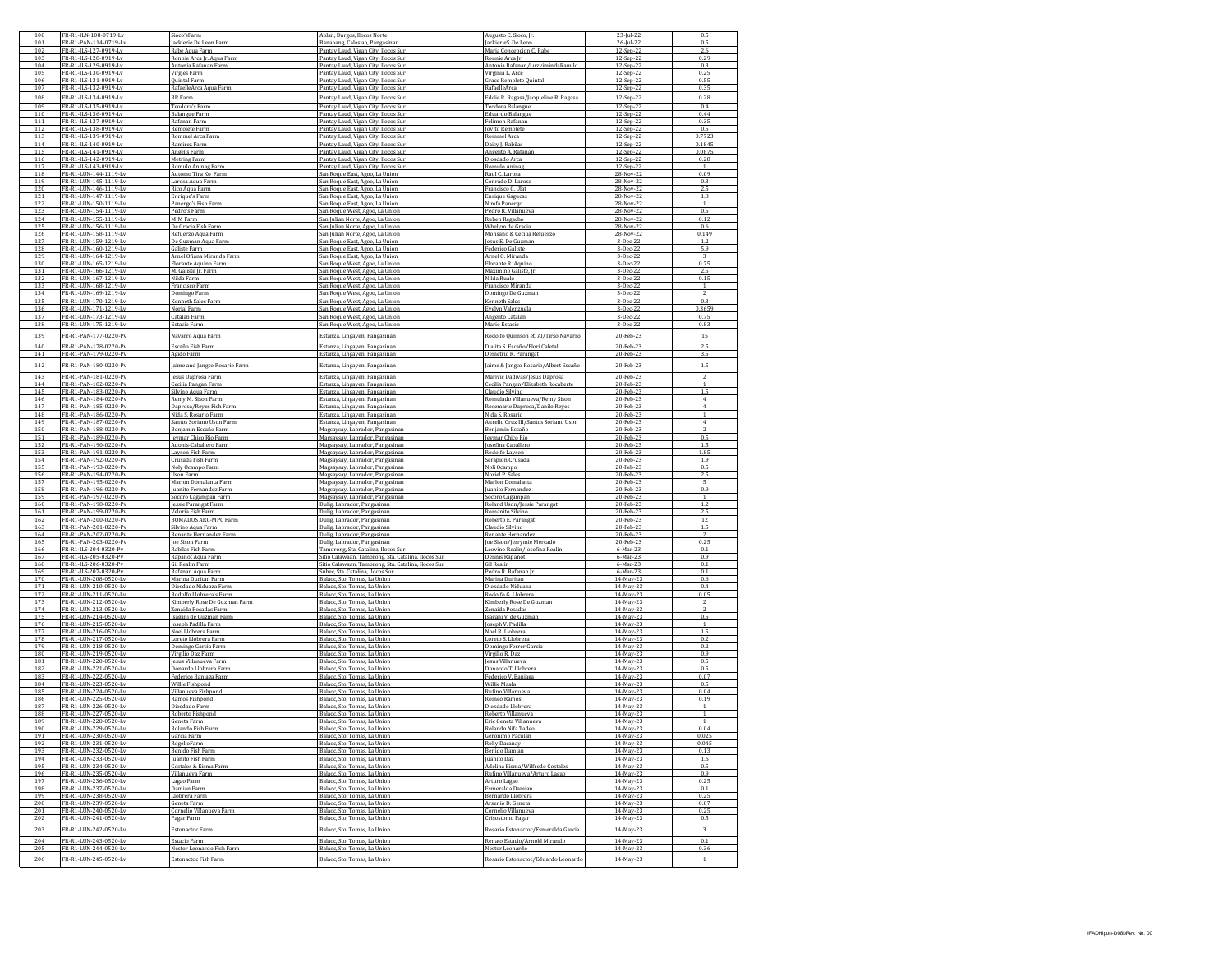| 100        | FR-R1-ILN-108-0719-Lv                          | Sioco'sFarm                                      | Ablan, Burgos, Ilocos Norte                                                             | Augusto E. Sioco, Jr                              | 23-Jul-22              | 0.5            |
|------------|------------------------------------------------|--------------------------------------------------|-----------------------------------------------------------------------------------------|---------------------------------------------------|------------------------|----------------|
| 101        | FR-R1-PAN-114-0719-L<br>FR-R1-ILS-127-0919-Lv  | Jackierie De Leon Farm                           | Banaoang, Calasiao, Pangasina                                                           | JackierieS. De Leor                               | 26-Jul-2               | 0.5            |
| 102<br>103 | FR-R1-ILS-128-0919-Ly                          | Rabe Aqua Farm<br>Ronnie Arca Jr. Aqua Farm      | Pantay Laud, Vigan City, Ilocos Sur<br>Pantay Laud, Vigan City, Ilocos Sur              | Maria Concepcion C. Rabe<br>Ronnie Arca Jr        | 12-Sep-22<br>12-Sep-22 | 2.6<br>0.29    |
| 104        | FR-R1-ILS-129-0919-Lv                          | Antonia Rafanan Farm                             | Pantay Laud, Vigan City, Ilocos Sur                                                     | Antonia Rafanan/LuzvimindaRamilo                  | 12-Sep-22              | 0.3            |
| 105        | FR-R1-ILS-130-0919-Lv                          | Virgies Farm                                     | Pantay Laud, Vigan City, Ilocos Sur                                                     | Virginia L. Arce                                  | 12-Sep-22              | 0.25           |
| 106        | FR-R1-ILS-131-0919-Lv                          | Quintal Farm                                     | Pantay Laud, Vigan City, Ilocos Sur                                                     | Grace Remolete Quintal                            | 12-Sep-22              | 0.55           |
| 107        | FR-R1-ILS-132-0919-Lv                          | RafaelleArca Aqua Farm                           | Pantay Laud, Vigan City, Ilocos Sur                                                     | RafaelleArca                                      | 12-Sep-22              | 0.35           |
| 108        | FR-R1-ILS-134-0919-Lv                          | RR Farm                                          | Pantay Laud, Vigan City, Ilocos Sur                                                     | Eddie R. Ragasa/Jacqueline R. Ragasa              | 12-Sep-22              | 0.28           |
| 109        | FR-R1-ILS-135-0919-Lv                          | Teodora's Farm                                   | Pantay Laud, Vigan City, Ilocos Sur                                                     | Teodora Balangue                                  | 12-Sep-22              | 0.4            |
| 110<br>111 | FR-R1-ILS-136-0919-Ly<br>FR-R1-ILS-137-0919-L  | <b>Balangue Farm</b><br>Rafanan Farm             | antay Laud, Vigan City, Ilocos Su<br>Pantay Laud, Vigan City, Ilocos Sui                | Eduardo Balangue<br>Felimon Rafanan               | 12-Sep-22<br>12-Sep-22 | 0.44<br>0.35   |
| 112        | FR-R1-ILS-138-0919-Ly                          | Remolete Farm                                    | <sup>9</sup> antav Laud. Vigan City. Ilocos Su                                          | ovito Remolet                                     | 12-Sep-2               | 0.5            |
| 113        | FR-R1-ILS-139-0919-Lv                          | Rommel Arca Farm                                 | Pantay Laud, Vigan City, Ilocos Sui                                                     | Rommel Arca                                       | 12-Sep-22              | 0.7723         |
| 114        | FR-R1-ILS-140-0919-Lv                          | Ramirez Farm                                     | Pantay Laud, Vigan City, Ilocos Sur                                                     | Daisy J. Rabilas                                  | 12-Sep-22              | 0.1845         |
| 115        | FR-R1-ILS-141-0919-Lv                          | Angel's Farm                                     | Pantay Laud, Vigan City, Ilocos Sur                                                     | Angelito A. Rafanan                               | 12-Sep-22              | 0.0875         |
| 116<br>117 | FR-R1-ILS-142-0919-Ly<br>FR-R1-ILS-143-0919-Lv | <b>Metring Farm</b>                              | Pantay Laud, Vigan City, Ilocos Sui                                                     | Diosdado Arca                                     | 12-Sep-22<br>12-Sep-22 | 0.28           |
| 118        | FR-R1-LUN-144-1119-Lv                          | Romulo Aninag Farm<br>Automo Tira Ko Farn        | Pantay Laud, Vigan City, Ilocos Sur<br>San Roque East, Agoo, La Union                   | Romulo Aninag<br>Raul C. Larosa                   | 28-Nov-22              | 0.09           |
| 119        | FR-R1-LUN-145-1119-Lv                          | Larosa Aqua Farm                                 | San Roque East, Agoo, La Union                                                          | Conrado D. Larosa                                 | 28-Nov-22              | 0.3            |
| 120        | FR-R1-LUN-146-1119-Ly                          | Rico Aqua Farm                                   | San Roque East, Agoo, La Union                                                          | Francisco C. Ulat                                 | 28-Nov-22              | 2.5            |
| 121        | FR-R1-LUN-147-1119-Ly                          | Enrique's Farm                                   | San Roque East, Agoo, La Union                                                          | <b>Enrique Gagucas</b>                            | 28-Nov-22              | 1.8            |
| 122<br>123 | FR-R1-LUN-150-1119-Lv                          | Panergo's Fish Farm                              | San Roque East, Agoo, La Union                                                          | Nimfa Panergo                                     | 28-Nov-22              |                |
| 124        | FR-R1-LUN-154-1119-Lv<br>FR-R1-LUN-155-1119-Lv | Pedro's Farm<br><b>MIM Farm</b>                  | San Roque West, Agoo, La Union<br>San Julian Norte, Agoo, La Union                      | Pedro R. Villanueva<br>Ruben Regacho              | 28-Nov-22<br>28-Nov-22 | 0.5<br>0.12    |
| 125        | FR-R1-LUN-156-1119-Lv                          | De Gracia Fish Farm                              | San Julian Norte, Agoo, La Union                                                        | Whelym de Gracia                                  | 28-Nov-22              | 0.6            |
| 126        | FR-R1-LUN-158-1119-Lv                          | Refuerzo Aqua Farm                               | San Julian Norte, Agoo, La Union                                                        | Monsano & Cecilia Refuerzo                        | 28-Nov-22              | 0.149          |
| 127        | FR-R1-LUN-159-1219-Lv                          | De Guzman Aqua Farm                              | San Roque East, Agoo, La Union                                                          | Jesus E. De Guzmar                                | 3-Dec-22               | 1.2            |
| 128        | FR-R1-LUN-160-1219-Lv                          | Galiste Farm                                     | San Roque East, Agoo, La Union                                                          | <b>Federico Galiste</b>                           | 3-Dec-22               | 5.9            |
| 129        | FR-R1-LUN-164-1219-Lv                          | Arnel Ofiana Miranda Farm                        | San Roque East, Agoo, La Union                                                          | Arnel O. Miranda                                  | 3-Dec-22               | 3              |
| 130        | FR-R1-LUN-165-1219-Lv                          | Florante Aquino Farm                             | San Roque West, Agoo, La Union                                                          | Florante R. Aquino                                | 3-Dec-22               | 0.75           |
| 131<br>132 | FR-R1-LUN-166-1219-Lv<br>FR-R1-LUN-167-1219-Lv | M. Galiste Jr. Farm<br>Nilda Farm                | San Roque West, Agoo, La Union<br>San Roque West, Agoo, La Union                        | Maximino Galiste, JI<br>Nilda Rualo               | 3-Dec-22<br>3-Dec-22   | 2.5<br>0.15    |
| 133        | FR-R1-LUN-168-1219-Lv                          | Francisco Farm                                   | San Roque West, Agoo, La Union                                                          | Francisco Miranda                                 | 3-Dec-22               |                |
| 134        | FR-R1-LUN-169-1219-Lv                          | Domingo Farm                                     | San Roque West, Agoo, La Union                                                          | Domingo De Guzman                                 | 3-Dec-22               |                |
| 135        | FR-R1-LUN-170-1219-Lv                          | Kenneth Sales Farm                               | San Roque West, Agoo, La Union                                                          | Kenneth Sales                                     | 3-Dec-22               | 0.3            |
| 136        | FR-R1-LUN-171-1219-Lv                          | Norial Farm                                      | San Roque West, Agoo, La Union                                                          | Evelyn Valenzuela                                 | 3-Dec-22               | 0.3659         |
| 137        | FR-R1-LUN-173-1219-Lv                          | Catalan Farm                                     | San Roque West, Agoo, La Union                                                          | Angelito Catalan                                  | 3-Dec-22               | 0.75           |
| 138        | FR-R1-LUN-175-1219-L                           | Estacio Farm                                     | an Roque West, Agoo, La Union                                                           | Mario Estacio                                     | 3-Dec-22               | 0.83           |
| 139        | FR-R1-PAN-177-0220-Pv                          | Navarro Aqua Farm                                | Estanza, Lingayen, Pangasinan                                                           | Rodolfo Quimson et. Al/Tirso Navarro              | 20-Feb-23              | 15             |
| 140        | FR-R1-PAN-178-0220-P\                          | Escaño Fish Farm                                 | Estanza Lingaven, Pangasinan                                                            | Dialita S. Escaño/Flori Caletal                   | 20-Feb-23              | 25             |
| 141        | FR-R1-PAN-179-0220-Pv                          | Agido Farm                                       | Estanza, Lingayen, Pangasinan                                                           | Demetrio R. Parangat                              | 20-Feb-23              | 3.5            |
| 142        | FR-R1-PAN-180-0220-Pv                          | Jaime and Jangco Rosario Farm                    | Estanza, Lingaven, Pangasinan                                                           | Jaime & Jangco Rosario/Albert Escaño              | 20-Feb-23              | 1.5            |
|            |                                                |                                                  |                                                                                         |                                                   |                        |                |
| 143        | FR-R1-PAN-181-0220-Py                          | esus Daprosa Farm                                | Estanza, Lingayen, Pangasinar                                                           | Marivic Dadivas/Jesus Daprosa                     | 20-Feb-23              |                |
| 144<br>145 | FR-R1-PAN-182-0220-Pv<br>FR-R1-PAN-183-0220-Pv | Cecilia Pangan Farm                              | Estanza, Lingayen, Pangasinan                                                           | Cecilia Pangan/Elizabeth Rocaberte                | 20-Feb-23              | 1.5            |
| 146        | FR-R1-PAN-184-0220-Pv                          | Silvino Aqua Farm<br>Remy M. Sison Farm          | Estanza, Lingayen, Pangasinan<br>Estanza, Lingayen, Pangasinan                          | Claudio Silvino<br>Romulado Villanueva/Remy Sison | 20-Feb-23<br>20-Feb-23 | $\overline{4}$ |
| 147        | FR-R1-PAN-185-0220-Pv                          | Daprosa/Reyes Fish Farm                          | Estanza, Lingayen, Pangasinan                                                           | Rosemarie Daprosa/Danilo Reyes                    | 20-Feb-23              | $\overline{4}$ |
| 148        | FR-R1-PAN-186-0220-Pv                          | Nida S. Rosario Farm                             | Estanza, Lingayen, Pangasinan                                                           | Nida S. Rosario                                   | 20-Feb-23              | 1              |
| 149        | FR-R1-PAN-187-0220-Pv                          | santos Soriano Uson Farm                         | Estanza, Lingayen, Pangasinan                                                           | Aurelio Cruz III/Santos Soriano Uson              | 20-Feb-23              | $\Delta$       |
| 150        | FR-R1-PAN-188-0220-Pv                          | Benjamin Escaño Farm                             | Magsaysay, Labrador, Pangasinar                                                         | Benjamin Escaño                                   | 20-Feb-23              |                |
| 151        | R-R1-PAN-189-0220-Pv                           | Jeymar Chico Rio Farm                            | Magsaysay, Labrador, Pangasinar                                                         | Jeymar Chico Rio                                  | 20-Feb-2.              | 0.5            |
| 152        | FR-R1-PAN-190-0220-Pv                          | Adonis-Caballero Farm                            | Magsaysay, Labrador, Pangasinar                                                         | Josefina Caballero                                | 20-Feb-23              | 1.5            |
| 153<br>154 | FR-R1-PAN-191-0220-Pv<br>FR-R1-PAN-192-0220-Py | Layson Fish Farm<br>Crusada Fish Farm            | Magsaysay, Labrador, Pangasinan<br>Magsaysay, Labrador, Pangasinan                      | Rodolfo Layson<br>Serapion Crusada                | 20-Feb-23<br>20-Feb-23 | 1.85<br>1.9    |
| 155        | FR-R1-PAN-193-0220-Pv                          | Noly Ocampo Farm                                 | Magsaysay, Labrador, Pangasinan                                                         | Noli Ocampo                                       | 20-Feb-23              | 0.5            |
| 156        | FR-R1-PAN-194-0220-Pv                          | Uson Farm                                        | Magsaysay, Labrador, Pangasinan                                                         | Noriel P. Sales                                   | 20-Feb-23              | 2.5            |
| 157        | FR-R1-PAN-195-0220-Pv                          | Marlon Domalanta Farn                            | Magsaysay, Labrador, Pangasinar                                                         | Marlon Domalanta                                  | 20-Feb-23              | 5              |
| 158        | FR-R1-PAN-196-0220-Pv                          | Juanito Fernandez Farm                           | Magsaysay, Labrador, Pangasinan                                                         | Juanito Fernandez                                 | 20-Feb-23              | 0.9            |
| 159        | FR-R1-PAN-197-0220-Pv                          | Socoro Cagampan Farm                             | Magsaysay, Labrador, Pangasinan                                                         | Socoro Cagampan                                   | 20-Feb-23              |                |
| 160<br>161 | FR-R1-PAN-198-0220-Pv<br>FR-R1-PAN-199-0220-Pv | Jessie Parangat Farm                             | Dulig, Labrador, Pangasinan                                                             | Roland Uson/Jessie Parangat                       | 20-Feb-23<br>20-Feb-23 | 1.2            |
| 162        | FR-R1-PAN-200-0220-Pv                          | Veloria Fish Farm<br><b>BOMADUS ARC-MPC Farm</b> | Dulig, Labrador, Pangasinan<br>Dulig, Labrador, Pangasinan                              | Romanito Silvino<br>Roberto E. Paranga            | 20-Feb-23              | 12             |
| 163        | FR-R1-PAN-201-0220-Pv                          | Silvino Aqua Farm                                | Dulig, Labrador, Pangasinan                                                             | Claudio Silvino                                   | 20-Feb-23              | 1.5            |
| 164        | FR-R1-PAN-202-0220-Pv                          | Renante Hernandez Farm                           | Dulig, Labrador, Pangasinan                                                             | Renante Hernande:                                 | 20-Feb-23              |                |
| 165        | FR-R1-PAN-203-0220-Pv                          | Joe Sison Farm                                   | Dulig, Labrador, Pangasinan                                                             | Joe Sison/Jerrymie Mercado                        | 20-Feb-23              | 0.25           |
| 166        | FR-R1-ILS-204-0320-Pv                          | Rabilas Fish Farm                                | Tamorong, Sta. Catalina, Ilocos Sur                                                     | Leovino Realin/Josefina Realin                    | 6-Mar-23               | 0.1            |
| 167<br>168 | FR-R1-ILS-205-0320-Pv<br>FR-R1-ILS-206-0320-Pv | Rapanot Agua Farm<br>Gil Realin Farm             | Sitio Calawaan, Tamorong, Sta. Catalina, Ilocos Sur                                     | Dennis Rapano<br><b>Gil Realin</b>                | 6-Mar-23<br>6-Mar-23   | 0.9<br>0.1     |
| 169        | FR-R1-ILS-207-0320-Pv                          | Rafanan Aqua Farm                                | Sitio Calawaan, Tamorong, Sta. Catalina, Ilocos Sur<br>Subec, Sta. Catalina, Ilocos Sur | Pedro R. Rafanan Jı                               | 6-Mar-23               | 0.1            |
| 170        | FR-R1-LUN-208-0520-Lv                          | Marina Duritan Farm                              | Balaoc, Sto. Tomas, La Union                                                            | Marina Duritan                                    | 14-May-23              | 0.6            |
| 171        | FR-R1-LUN-210-0520-Lv                          | Diosdado Niduaza Farm                            | Balaoc, Sto. Tomas, La Union                                                            | Diosdado Niduaza                                  | 14-May-23              | 0.4            |
| 172        | FR-R1-LUN-211-0520-Lv                          | Rodolfo Llobrera's Farm                          | Balaoc, Sto, Tomas, La Union                                                            | Rodolfo G. Llobrera                               | 14-May-23              | 0.05           |
| 173        | FR-R1-LUN-212-0520-Lv<br>FR-R1-LUN-213-0520-Ly | Kimberly Rose De Guzman Farm                     | Balaoc, Sto. Tomas, La Union                                                            | Kimberly Rose De Guzman                           |                        |                |
| 174<br>175 |                                                |                                                  |                                                                                         |                                                   | 14-May-23              | 2              |
| 176        |                                                | Zenaida Posadas Farm                             | 3alaoc, Sto. Tomas, La Union                                                            | Zenaida Posadas                                   | 14-May-23              |                |
| 177        | FR-R1-LUN-214-0520-Lv<br>FR-R1-LUN-215-0520-Lv | Isagani de Guzman Farm<br>Joseph Padilla Farm    | Balaoc, Sto. Tomas, La Union<br>Balaoc, Sto. Tomas, La Union                            | Isagani V. de Guzman<br>Joseph V. Padilla         | 14-May-23<br>14-May-23 | 0.5<br>-1      |
|            | FR-R1-LHN-216-0520-Lv                          | Noel Llobrera Farm                               | Balaoc, Sto, Tomas, La Union                                                            | Noel R. Llobrera                                  | 14-May-23              | 1.5            |
| 178        | FR-R1-LUN-217-0520-Lv                          | Loreto Llobrera Farm                             | Balaoc, Sto. Tomas, La Union                                                            | Loreto S. Llobrera                                | 14-May-23              | 0.2            |
| 179        | FR-R1-LUN-218-0520-Ly                          | Domingo Garcia Farm                              | Balaoc, Sto. Tomas, La Union                                                            | Domingo Ferrer Garcia                             | 14-May-23              | 0.2            |
| 180        | FR-R1-LUN-219-0520-Lv                          | Virgilio Daz Farm                                | Balaoc, Sto. Tomas, La Union                                                            | Virgilio R. Daz                                   | 14-May-23              | 0.9            |
| 181        | FR-R1-LUN-220-0520-Lv<br>FR-R1-LHN-221-0520-Lv | lesus Villanueva Farm<br>Donardo Llobrera Farn   | Balaoc, Sto. Tomas, La Union<br>Balanc, Sto, Tomas, La Union                            | Jesus Villanueva<br>Donardo T. Llobrer            | 14-May-23              | 0.5            |
| 182<br>183 |                                                |                                                  |                                                                                         |                                                   | 14-May-23              | 0.5<br>0.07    |
| 184        | FR-R1-LUN-222-0520-Lv<br>FR-R1-LUN-223-0520-Ly | Federico Baniaga Farm<br>Willie Fishpond         | Balaoc, Sto. Tomas, La Union<br>Balaoc, Sto, Tomas, La Union                            | Federico V. Baniaga<br>Willie Maala               | 14-May-23<br>14-May-23 | 0.5            |
| 185        | FR-R1-LUN-224-0520-Lv                          | Villanueva Fishpond                              | Balaoc, Sto. Tomas, La Union                                                            | Rufino Villanueva                                 | 14-May-23              | 0.04           |
| 186        | FR-R1-LUN-225-0520-Lv                          | Ramos Fishpond                                   | Balaoc, Sto. Tomas, La Union                                                            | Romeo Ramos                                       | 14-May-23              | 0.19           |
| 187        | FR-R1-LUN-226-0520-Lv                          | Diosdado Farm                                    | Balaoc, Sto. Tomas, La Union                                                            | Diosdado Llobrer                                  | 14-May-23              |                |
| 188        | FR-R1-LUN-227-0520-Lv                          | Roberto Fishpond                                 | Balaoc, Sto. Tomas, La Union                                                            | Roberto Villanueva                                | 14-May-23              |                |
| 189<br>190 | FR-R1-LUN-228-0520-Lv<br>FR-R1-LUN-229-0520-Lv | Geneta Farm<br>Rolando Fish Farm                 | Balaoc, Sto. Tomas, La Union<br>Balanc, Sto, Tomas, La Union                            | Eric Geneta Villanueva<br>Rolando Nifa Tadeo      | 14-May-23<br>14-May-23 | 0.04           |
| 191        | FR-R1-LUN-230-0520-Lv                          | Garcia Farm                                      | Balaoc, Sto. Tomas, La Union                                                            | Geronimo Paculan                                  | 14-May-23              | 0.025          |
| 197        | FR-R1-LUN-231-0520-Lv                          | RogelioFarm                                      | Balanc Sto Tomas La Union                                                               | <b>Rolly Dacanay</b>                              | 14-May-23              | 0.045          |
| 193        | FR-R1-LUN-232-0520-Lv                          | Benido Fish Farm                                 | Balaoc, Sto. Tomas, La Union                                                            | Benido Damian                                     | 14-May-23              | 0.13           |
| 194        | FR-R1-LUN-233-0520-Lv                          | uanito Fish Farm                                 | Balaoc, Sto, Tomas, La Union                                                            | Juanito Daz                                       | 14-May-23              | 1.6            |
| 195        | FR-R1-LUN-234-0520-Lv                          | Costales & Eisma Farm                            | Balaoc, Sto, Tomas, La Union                                                            | Adelina Eisma/Wilfredo Costales                   | 14-May-23              | 0.5            |
| 196        | FR-R1-LUN-235-0520-Lv                          | Villanueva Farm                                  | Balaoc, Sto, Tomas, La Union                                                            | Rufino Villanueva/Arturo Lagao                    | 14-May-23              | 0.9            |
| 197<br>198 | FR-R1-LUN-236-0520-Lv<br>FR-R1-LUN-237-0520-Lv | Lagao Farm                                       | Balaoc, Sto. Tomas, La Union                                                            | Arturo Lagao                                      | 14-May-23<br>14-May-23 | 0.25<br>0.1    |
| 199        | FR-R1-LUN-238-0520-Lv                          | Damian Farm<br>Llobrera Farm                     | Balaoc, Sto. Tomas, La Union<br>Balaoc, Sto. Tomas, La Union                            | Esmeralda Damian<br>Bernardo Llobrera             | 14-May-23              | 0.25           |
| 200        | FR-R1-LUN-239-0520-Lv                          | Geneta Farm                                      | Balaoc, Sto. Tomas, La Union                                                            | Arsenio D. Geneta                                 | 14-May-23              | 0.07           |
| 201        | FR-R1-LHN-240-0520-Lv                          | Cornelio Villanueva Farm                         | Balaoc, Sto. Tomas, La Union                                                            | Cornelio Villanueva                               | 14-May-23              | 0.25           |
| 202        | FR-R1-LHN-241-0520-Lv                          | Pagar Farm                                       | Balaoc, Sto, Tomas, La Union                                                            | Crisostomo Pagar                                  | 14.May.23              | 0.5            |
| 203        | FR-R1-LUN-242-0520-Lv                          | Estonactoc Farm                                  | Balanc Sto Tomas La Union                                                               | Rosario Estonactoc/Esmeralda Garcia               | 14-May-23              | 3              |
|            |                                                |                                                  |                                                                                         |                                                   |                        |                |
| 204<br>205 | FR-R1-LUN-243-0520-Lv<br>FR-R1-LUN-244-0520-Lv | Estacio Farm<br>Nestor Leonardo Fish Farm        | Balaoc, Sto. Tomas, La Union<br>Balaoc, Sto, Tomas, La Union                            | Renato Estacio/Arnold Mirando<br>Nestor Leonardo  | 14-May-23<br>14-May-23 | 0.1<br>0.36    |
| 206        | FR-R1-LUN-245-0520-Lv                          | Estonactoc Fish Farm                             | Balaoc, Sto. Tomas, La Union                                                            | Rosario Estonactoc/Eduardo Leonardo               | 14-May-23              | $\mathbf{1}$   |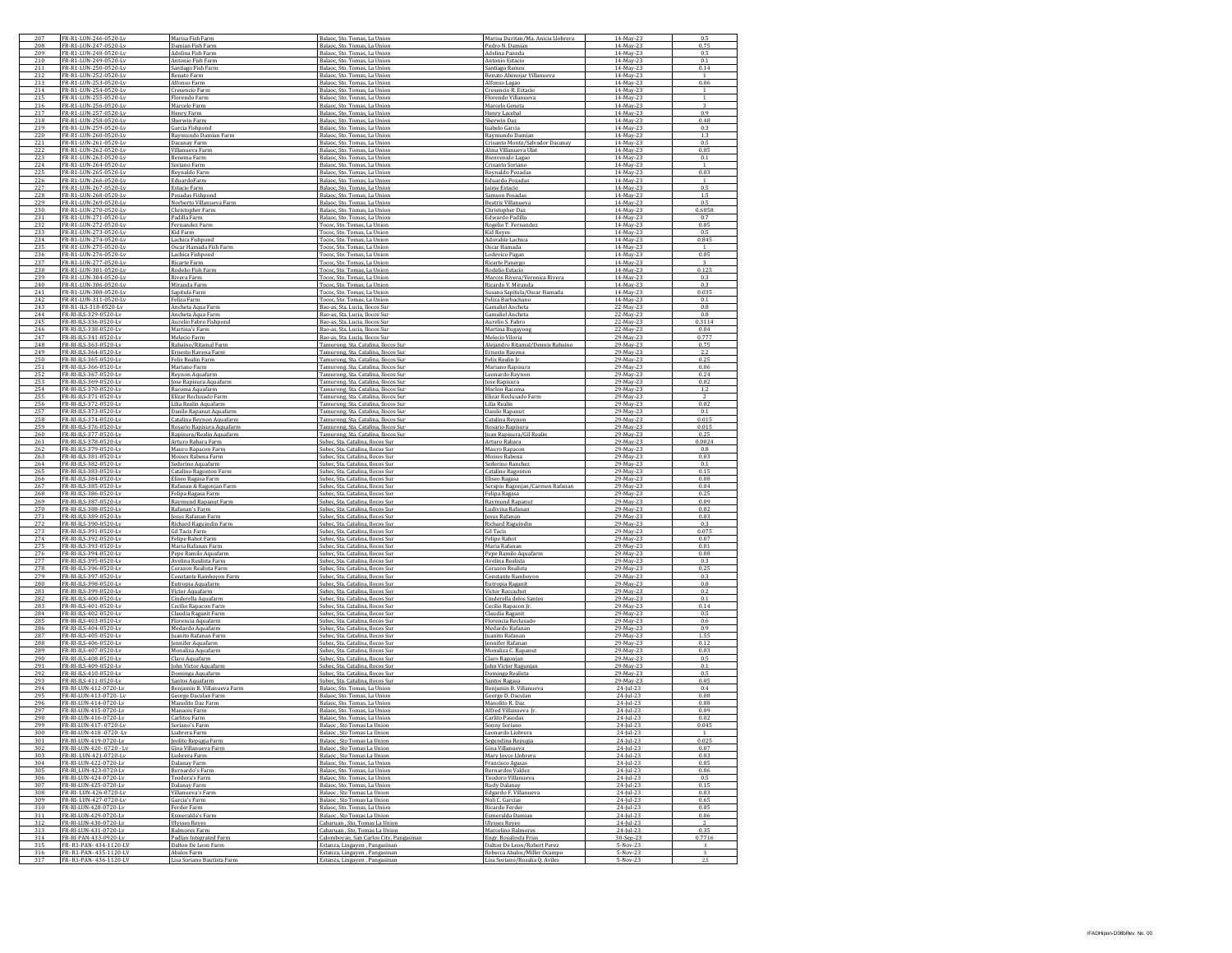| 207<br>208 | FR-R1-LUN-246-0520-Lv                            | Marisa Fish Farm                                                 | Balaoc, Sto, Tomas, La Union                                                                     | Marisa Duritan/Ma. Anicia Llobrera                                                            | 14-May-23                          | 0.5<br>0.7!                      |
|------------|--------------------------------------------------|------------------------------------------------------------------|--------------------------------------------------------------------------------------------------|-----------------------------------------------------------------------------------------------|------------------------------------|----------------------------------|
| 209        | FR-R1-LUN-247-0520-Lv<br>FR-R1-LUN-248-0520-Lv   | Damian Fish Farm<br>Adelina Fish Farm                            | Balaoc, Sto. Tomas, La Union<br>Balaoc, Sto, Tomas, La Union                                     | Pedro N. Damian<br>Adelina Paneda                                                             | 14-May-23<br>14-May-23             | 0.5                              |
| 210        | FR-R1-LUN-249-0520-Lv                            | Antonio Fish Farm                                                | Balaoc, Sto. Tomas, La Union                                                                     | Antonio Estacio                                                                               | 14-May-23                          | 0.1                              |
| 211<br>212 | FR-R1-LUN-250-0520-Lv<br>R-R1-LUN-252-0520-Lv    | Santiago Fish Farm<br>Renato Farm                                | Balaoc, Sto. Tomas, La Union<br>Balaoc, Sto, Tomas, La Union                                     | Santiago Ramos<br>Renato Abenojar Villanueva                                                  | 14-May-23<br>14-May-23             | 0.14                             |
| 213        | FR-R1-LUN-253-0520-Lv                            | Alfonso Farm                                                     | Balaoc, Sto. Tomas, La Union                                                                     | Alfonso Lagao                                                                                 | 14-May-23                          | 0.06                             |
| 214        | FR-R1-LUN-254-0520-Lv                            | Cresencio Farm                                                   | Balaoc, Sto, Tomas, La Union                                                                     | Cresencio R. Estacio                                                                          | 14-May-23                          | -1                               |
| 215<br>216 | FR-R1-LUN-255-0520-Lv<br>FR-R1-LUN-256-0520-Lv   | Florendo Farm<br>Marcelo Farm                                    | Balaoc, Sto. Tomas, La Union<br>Balaoc, Sto. Tomas, La Union                                     | Florendo Villanueva<br>Marcelo Geneta                                                         | 14-May-23<br>14-May-23             | $\overline{1}$<br>$\overline{3}$ |
| 217        | R-R1-LUN-257-0520-Lv                             | Henry Farm                                                       | Balaoc, Sto. Tomas, La Union                                                                     | Henry Lacebal                                                                                 | 14-May-23                          | 0.9                              |
| 218        | FR-R1-LUN-258-0520-Lv                            | Sherwin Farm                                                     | Balaoc, Sto. Tomas, La Union                                                                     | Sherwin Daz                                                                                   | 14-May-23                          | 0.48                             |
| 219<br>220 | FR-R1-LUN-259-0520-Lv<br>FR-R1-LUN-260-0520-Lv   | Garcia Fishnond<br>Raymundo Damian Farm                          | Balaoc, Sto, Tomas, La Union<br>Balaoc, Sto. Tomas, La Union                                     | Isabelo Garcia<br>Raymundo Damiar                                                             | 14-May-23<br>14-May-23             | 0.3<br>13                        |
| 221        | FR-R1-LUN-261-0520-Lv                            | Dacanay Farm                                                     | Balaoc, Sto. Tomas, La Union                                                                     | Crisanto Monte/Salvador Dacanav                                                               | 14-May-23                          | 0.5                              |
| 222<br>223 | R-R1-LUN-262-0520-Lv<br>FR-R1-LUN-263-0520-Lv    | Villanueva Farm                                                  | Balaoc, Sto. Tomas, La Union                                                                     | Alma Villanueva Ula                                                                           | 14-May-23<br>14-May-23             | 0.05<br>0.1                      |
| 224        | FR-R1-LUN-264-0520-Lv                            | Benema Farm<br>Soriano Farm                                      | Balaoc, Sto. Tomas, La Union<br>Balaoc, Sto, Tomas, La Union                                     | Bienvenido Lagao<br>Crisanto Soriano                                                          | 14-May-23                          |                                  |
| 225        | FR-R1-LUN-265-0520-Lv                            | Reynaldo Farm                                                    | Balaoc, Sto. Tomas, La Union                                                                     | Reynaldo Pozadas                                                                              | 14-May-23                          | 0.03                             |
| 226<br>227 | FR-R1-LUN-266-0520-Lv<br>R-R1-LUN-267-0520-Lv    | EduardoFarm<br>Estacio Farm                                      | Balaoc, Sto. Tomas, La Union<br>Balaoc, Sto. Tomas, La Union                                     | Eduardo Pozadas<br>Jaime Estacio                                                              | 14-May-23<br>14-May-23             | $\overline{1}$<br>0.5            |
| 228        | FR-R1-LUN-268-0520-Lv                            | Posadas Fishpond                                                 | Balaoc, Sto, Tomas, La Union                                                                     | Samson Posadas                                                                                | 14-May-23                          | 1.5                              |
| 229<br>230 | FR-R1-LUN-269-0520-Lv<br>FR-R1-LUN-270-0520-Lv   | Norberto Villanueva Farm                                         | Balaoc, Sto, Tomas, La Union                                                                     | Beatriz Villanueva                                                                            | 14-May-23<br>14-May-23             | 0.5<br>0.6058                    |
| 231        | FR-R1-LUN-271-0520-Lv                            | Christopher Farm<br>Padilla Farm                                 | Balaoc, Sto. Tomas, La Union<br>Balaoc, Sto. Tomas, La Union                                     | Christopher Das<br>Edwardo Padilla                                                            | 14-May-23                          | 0.7                              |
| 232        | R-R1-LUN-272-0520-Lv                             | ernandez Farm                                                    | Tococ, Sto. Tomas, La Union                                                                      | Rogelio T. Fernande                                                                           | 14-May-23                          | 0.05                             |
| 233<br>234 | FR-R1-LUN-273-0520-Lv<br>FR-R1-LUN-274-0520-Lv   | Kid Farm<br>Lachica Fishpond                                     | Tococ, Sto, Tomas, La Union<br>Tococ, Sto, Tomas, La Union                                       | Kid Reyes<br>Adorable Lachica                                                                 | 14-May-23<br>14-May-23             | 0.5<br>0.845                     |
| 235        | FR-R1-LUN-275-0520-Lv                            | Oscar Hamada Fish Farm                                           | Tococ, Sto. Tomas, La Union                                                                      | Oscar Hamada                                                                                  | 14-May-23                          |                                  |
| 236<br>237 | FR-R1-LUN-276-0520-Lv<br>R-R1-LUN-277-0520-Lv    | Lachica Fishpond<br>Ricarte Farm                                 | Tococ, Sto. Tomas, La Union<br>Tococ, Sto. Tomas, La Unior                                       | Lodevico Pagan<br>Ricarte Panergo                                                             | 14-May-23<br>14-May-23             | 0.05                             |
| 238        | FR-R1-LUN-301-0520-Lv                            | Rodelio Fish Farm                                                | Tococ, Sto. Tomas, La Union                                                                      | Rodelio Estacio                                                                               | 14-May-23                          | 0.125                            |
| 239        | FR-R1-LUN-304-0520-Lv                            | Rivera Farm                                                      | Tococ, Sto, Tomas, La Union                                                                      | Marcos Rivera/Veronica Rivera                                                                 | 14-May-23                          | 0.3                              |
| 240<br>241 | FR-R1-LUN-306-0520-Lv<br>FR-R1-LUN-308-0520-Lv   | Miranda Farm<br>Sapitula Farm                                    | Tococ, Sto. Tomas, La Union<br>Tococ, Sto. Tomas, La Union                                       | Ricardo V. Miranda<br>Susana Sapitula/Oscar Hamada                                            | 14-May-23<br>14-May-23             | 0.3<br>0.035                     |
| 242        | R-R1-LUN-311-0520-Ly                             | <sup>z</sup> eliza Farm                                          | Tococ, Sto. Tomas, La Unior                                                                      | Feliza Barbachano                                                                             | 14-May-23                          | 0.1                              |
| 243        | FR-R1-ILS-318-0520-Lv                            | Ancheta Aqua Farm                                                | Bao-as, Sta. Lucia, Ilocos Sur                                                                   | Gamaliel Ancheta                                                                              | 22-May-23                          | 0.8                              |
| 244<br>245 | FR-RI-ILS-329-0520-Lv<br>FR-RI-ILS-336-0520-Ly   | Ancheta Agua Farm<br>Aurelio Fabro Fishpono                      | Bao-as, Sta, Lucia, Ilocos Sur<br>Bao-as, Sta. Lucia, Ilocos Sur                                 | Gamaliel Ancheta<br>Aurelio S. Fabro                                                          | 22-May-23<br>22-May-23             | 0.8<br>0.3114                    |
| 246        | FR-RI-ILS-338-0520-Ly                            | Martina's Farm                                                   | Bao-as, Sta. Lucia, Ilocos Sur                                                                   | Martina Bugayong                                                                              | 22-May-23                          | 0.04                             |
| 247<br>248 | R-RI-ILS-341-0520-Ly<br>FR-RI-ILS-363-0520-Lv    | Melecio Farm<br>Rabaino/Ritamal Farm                             | Bao-as Sta Lucia Iloros Sur<br>Tamurong, Sta. Catalina, Ilocos Sur                               | Melecio Viloria<br>Alejandro Ritamal/Dennis Rabaino                                           | 29-May-23<br>29-May-23             | 0.777<br>0.75                    |
| 249        | R-RI-ILS-364-0520-Lv                             | Ernesto Ravena Farm                                              | Tamurong, Sta. Catalina, Ilocos Sur                                                              | Ernesto Ravena                                                                                | 29-May-23                          | 2.2                              |
| 250        | FR-RI-ILS-365-0520-Ly                            | Felix Realin Farm                                                | Tamurong, Sta. Catalina, Ilocos Sur                                                              | Felix Realin Ir                                                                               | 29-May-23                          | 0.25                             |
| 251        | FR-RI-ILS-366-0520-Ly<br>R-RI-ILS-367-0520-Ly    | Mariano Farm<br>Reynon Aquafarm                                  | Tamurong, Sta. Catalina, Ilocos Sur<br>Tamurong, Sta. Catalina, Ilocos Sur                       | Mariano Rapisura<br>Leonardo Reynon                                                           | 29-May-23<br>29-May-23             | 0.06<br>0.24                     |
| 253        | FR-RI-ILS-369-0520-Lv                            | Jose Rapisura Aquafarm                                           | Tamurong, Sta. Catalina, Ilocos Sur                                                              | Jose Rapisura                                                                                 | 29-May-23                          | 0.02                             |
| 254<br>255 | R-RI-ILS-370-0520-Lv<br>FR-RI-ILS-371-0520-Ly    | Racoma Aquafarm<br>Elizar Reclusado Farm                         | Tamurong Sta Catalina Ilocos Sur                                                                 | Marlon Racoma<br>Elizar Reclusado Farm                                                        | 29-May-23<br>29-May-23             | 1.2                              |
| 256        | FR-RI-ILS-372-0520-Lv                            | Lilia Realin Aquafarm                                            | Tamurong, Sta. Catalina, Ilocos Sur<br>Tamurong, Sta. Catalina, Ilocos Sur                       | Lilia Realin                                                                                  | 29-May-23                          | 0.02                             |
|            | R-RI-ILS-373-0520-Ly                             | Danilo Rapanut Aquafarm                                          | Tamurong, Sta. Catalina, Ilocos Sur                                                              | Danilo Rapanut                                                                                | 29-May-23                          | 0.1                              |
| 258<br>259 | FR-RI-ILS-374-0520-Lv<br>FR-RI-ILS-376-0520-Lv   | Catalina Reynon Aquafarm<br>Rosario Rapisura Aguafarm            | Tamurong, Sta. Catalina, Ilocos Sur<br>Tamurong, Sta. Catalina, Ilocos Sur                       | Catalina Reynon<br>Rosario Rapisura                                                           | 29-May-23<br>29-May-23             | 0.015<br>0.015                   |
| 260        | FR-RI-ILS-377-0520-Ly                            | Rapisura/Realin Aquafarm                                         | Tamurong, Sta. Catalina, Ilocos Sur                                                              | Juan Rapisura/Gil Realir                                                                      | 29-May-23                          | 0.25                             |
| 261        | FR-RI-ILS-378-0520-Ly                            | Arturo Rabara Farm                                               | Subec, Sta. Catalina, Ilocos Sur                                                                 | Arturo Rabara                                                                                 | 29-May-23                          | 0.0024                           |
| 262        | R-RI-ILS-379-0520-Ly                             | Mauro Rapacon Farm                                               | Subec, Sta, Catalina, Ilocos Sur                                                                 | Mauro Rapacon                                                                                 | 29-May-23                          | 0.8                              |
|            |                                                  |                                                                  |                                                                                                  |                                                                                               |                                    | 0.03                             |
| 263<br>264 | FR-RI-ILS-381-0520-Lv<br>FR-RI-ILS-382-0520-Lv   | Moises Rabena Farm<br>Sederino Aquafarm                          | Subec, Sta. Catalina, Ilocos Sur<br>Subec. Sta. Catalina. Ilocos Sur                             | Moises Rabena<br>Sederino Ranchez                                                             | 29-May-23<br>29-May-23             | 0.1                              |
| 265        | FR-RI-ILS-383-0520-Ly                            | Catalino Ragonton Farm                                           | Subec, Sta. Catalina, Ilocos Sur                                                                 | Catalino Ragonton                                                                             | 29-May-23                          | 0.15                             |
| 266<br>267 | FR-RI-ILS-384-0520-Ly<br>R-RI-ILS-385-0520-Ly    | Eliseo Ragasa Farm<br>Rafanan & Ragonjan Farm                    | Subec, Sta. Catalina, Ilocos Sur<br>Subec, Sta, Catalina, Ilocos Sur                             | Eliseo Ragasa<br>Serapio Ragonjan/Carmen Rafanan                                              | 29-May-23<br>29-May-23             | 0.08<br>0.04                     |
| 268        | FR-RI-ILS-386-0520-Lv                            | Felipa Ragasa Farm                                               | Subec, Sta. Catalina, Ilocos Sur                                                                 | Felipa Ragasa                                                                                 | 29-May-23                          | 0.25                             |
| 269<br>270 | FR-RI-ILS-387-0520-Lv<br>FR-RI-ILS-388-0520-Ly   | Raymund Rapanut Farm                                             | Subec. Sta. Catalina. Ilocos Sur                                                                 | Raymund Rapanut                                                                               | 29-May-23                          | 0.09<br>0.02                     |
| 271        | FR-RI-ILS-389-0520-Ly                            | Rafanan's Farm<br>Jesus Rafanan Farm                             | Subec, Sta. Catalina, Ilocos Sur<br>Subec, Sta. Catalina, Ilocos Sur                             | Ludivina Rafanan<br>Jesus Rafanan                                                             | 29-May-23<br>29-May-23             | 0.03                             |
| 272        | R-RI-ILS-390-0520-Ly                             | Richard Raguindin Farm                                           | Subec, Sta, Catalina, Ilocos Sur                                                                 | Richard Raguindin                                                                             | 29-May-23                          | 0.3                              |
| 273<br>274 | FR-RI-ILS-391-0520-Lv<br>FR-RI-ILS-392-0520-Lv   | Gil Tacis Farm<br>Felipe Rabot Farm                              | Subec, Sta. Catalina, Ilocos Sur<br>Subec, Sta. Catalina, Ilocos Sur                             | <b>Gil Tacis</b><br><b>Felipe Rabot</b>                                                       | 29-May-23<br>29-May-23             | 0.075<br>0.07                    |
| 275        | FR-RI-ILS-393-0520-Ly                            | Maria Rafanan Farm                                               | Subec, Sta. Catalina, Ilocos Sur                                                                 | Maria Rafanar                                                                                 | 29-May-23                          | 0.01                             |
| 276<br>277 | FR-RI-ILS-394-0520-Ly<br>R-RI-ILS-395-0520-Ly    | Pepe Ramilo Aquafarm                                             | Subec, Sta. Catalina, Ilocos Sur<br>Subec, Sta, Catalina, Ilocos Sur                             | Pepe Ramilo Aquafarm                                                                          | 29-May-23                          | 0.08<br>0.3                      |
| 278        | FR-RI-ILS-396-0520-Lv                            | Avelina Realista Farm<br>Corazon Realista Farm                   | Subec, Sta. Catalina, Ilocos Sur                                                                 | Avelina Realista<br>Corazon Realista                                                          | 29-May-23<br>29-May-23             | 0.25                             |
| 279<br>280 | FR-RI-ILS-397-0520-Ly<br>FR-RI-ILS-398-0520-Ly   | Constante Ramboyon Farm                                          | Subec, Sta. Catalina, Ilocos Sur                                                                 | Constante Ramboyon                                                                            | 29-May-23                          | 0.3<br>0.8                       |
| 281        | FR-RI-ILS-399-0520-Ly                            | Eutropia Aquafarm<br>Victor Aquafarm                             | Subec, Sta. Catalina, Ilocos Sur<br>Subec, Sta. Catalina, Ilocos Sur                             | Eutropia Raganit<br>Victor Raccachot                                                          | 29-May-23<br>29-May-23             | 0.2                              |
| 282        | R-RI-ILS-400-0520-Ly                             | Cinderella Aquafarm                                              | Subec, Sta. Catalina, Ilocos Sur                                                                 | Cinderella delos Santos                                                                       | 29-May-23                          | 0.1                              |
| 283<br>284 | FR-RI-ILS-401-0520-Lv<br>FR-RI-ILS-402-0520-Ly   | Cecilio Rapacon Farm<br>Claudia Raganit Farm                     | Subec, Sta. Catalina, Ilocos Sur<br>Subec, Sta. Catalina, Ilocos Sur                             | Cecilio Rapacon [r<br>Claudia Raganit                                                         | 29-May-23<br>29-May-23             | 0.14<br>0.5                      |
| 285        | FR-RI-ILS-403-0520-Ly                            | Florencia Aquafarm                                               | Subec, Sta. Catalina, Ilocos Sur                                                                 | Florencia Reclusado                                                                           | 29-May-23                          | 0.6                              |
| 286        | FR-RI-ILS-404-0520-Ly                            | Medardo Aquafarm                                                 | Subec, Sta. Catalina, Ilocos Sur                                                                 | Medardo Rafanan                                                                               | 29-May-23                          | 0.9                              |
| 287<br>288 | R-RI-ILS-405-0520-Ly<br>FR-RI-ILS-406-0520-Lv    | Juanito Rafanan Farm<br>lennifer Aguafarm                        | Subec, Sta. Catalina, Ilocos Sur<br>Subec Sta Catalina Ilocos Sur                                | Juanito Rafanan<br><b>Jennifer Rafanan</b>                                                    | 29-May-23<br>29-May-23             | 1.55<br>0.12                     |
| 289        | FR-RI-ILS-407-0520-Ly                            | Monaliza Aquafarm                                                | Subec, Sta. Catalina, Ilocos Sur                                                                 | Monaliza C. Rapanut                                                                           | 29-May-23                          | 0.03                             |
| 290        | FR-RI-ILS-408-0520-Ly<br>FR-RI-ILS-409-0520-Ly   | Claro Aquafarm<br>John Victor Aquafarm                           | Subec, Sta. Catalina, Ilocos Sur<br>Subec, Sta. Catalina, Ilocos Sur                             | Claro Ragonian<br>John Victor Ragunjan                                                        | 29-May-23<br>29-May-23             | 0.5<br>0.1                       |
| 291<br>292 | R-RI-ILS-410-0520-Lv                             | Dominga Aquafarm                                                 | Subec, Sta. Catalina, Ilocos Sur                                                                 | Dominga Realista                                                                              | 29-May-23                          | 0.5                              |
| 293        | FR-RI-ILS-411-0520-Lv<br>FR-RI-LUN-412-0720-Lv   | Santos Aquafarm                                                  | Subec. Sta. Catalina. Ilocos Sur                                                                 | Santos Ragasa                                                                                 | 29-May-23<br>24-Jul-23             | 0.05<br>0.4                      |
| 294<br>295 | FR-RI-LUN-413-0720-Lv                            | Benjamin B. Villanueva Farm<br>George Daculan Farm               | Balaoc, Sto. Tomas, La Union<br>Balaoc, Sto. Tomas, La Union                                     | Benjamin B. Villanueva<br>George D. Daculan                                                   | 24-Jul-23                          | 0.08                             |
| 296        | FR-RI-LUN-414-0720-Lv                            | Manolito Daz Farm                                                | Balaoc, Sto. Tomas, La Union                                                                     | Manolito R. Daz                                                                               | 24-Jul-23                          | 0.08                             |
| 297<br>298 | R-RI-LUN-415-0720-Lv<br>FR-RI-LUN-416-0720-Ly    | Manaois Farm<br>Carlitos Farm                                    | Balaoc, Sto. Tomas, La Union<br>Balanc, Sto, Tomas, La Union                                     | Alfred Villanueva   r<br>Carlito Pasodas                                                      | $24$ -Jul-23<br>24-Jul-23          | 0.09<br>0.02                     |
| 299        | FR-RI-LUN-417-0720-Lv                            | Soriano's Farm                                                   | Balaoc, Sto Tomas La Union                                                                       | Sonny Soriano                                                                                 | 24-Jul-23                          | 0.045                            |
|            | R.RLI IIN.<br>418                                |                                                                  |                                                                                                  |                                                                                               |                                    |                                  |
| 301<br>302 | FR-RI-LUN-419-0720-Lv<br>R-RI-LUN-420-0720 - Lv  | eolito Repugia Farm<br>Gina Villanueva Farm                      | Balaoc, Sto Tomas La Union<br>Balaoc, Sto Tomas La Union                                         | Segundina Repugia<br>Gina Villanueva                                                          | 24-Jul-23<br>24-Jul-23             | 0.025<br>0.07                    |
| 303        | FR-RI-LUN-421-0720-Lv                            | Liobrera Farm                                                    | Balaoc, Sto Tomas La Union                                                                       | Mary Joyce Llobrera                                                                           | $24$ -Jul-23                       | 0.03                             |
| 304<br>305 | FR-RI-LUN-422-0720-Lv<br>FR-RI LUN-423-0720-Lv   | Dalanav Farm                                                     | Balaoc, Sto, Tomas, La Union                                                                     | <b>Francisco Agasas</b>                                                                       | 24-Jul-23<br>$24$ -Jul-23          | 0.05<br>0.06                     |
| 306        | FR-RI-LUN-424-0720-Lv                            | Bernardo's Farm<br>Teodora's Farm                                | Balaoc, Sto. Tomas, La Union<br>Balaoc, Sto. Tomas, La Union                                     | Bernardos Valdez<br>Teodoro Villanueva                                                        | 24-Jul-23                          | 0.5                              |
| 307        | R-RI-LUN-425-0720-Lv                             | Dalanay Farm                                                     | Balaoc, Sto. Tomas, La Union                                                                     | Rudy Dalanay                                                                                  | 24-Jul-23                          | 0.15                             |
| 308<br>309 | FR-RI- LUN-426-0720-Lv<br>FR-RI-1JIN-427-0720-Lv | Villanueva's Farm<br>Garcia's Farm                               | Balaoc, Sto Tomas La Union<br>Balaoc . Sto Tomas La Union                                        | Edgardo F. Villanueva<br>Noli C. Garcias                                                      | $24$ -Jul-23<br>24-Jul-23          | 0.03<br>0.65                     |
| 310        | FR-RI-LUN-428-0720-Lv                            | Ferder Farm                                                      | Balaoc, Sto. Tomas, La Union                                                                     | Ricardo Ferder                                                                                | $24$ -Jul-23                       | 0.05                             |
| 311<br>312 | FR-RI-LUN-429-0720-Lv<br>R-RI-LUN-430-0720-Lv    | Esmeralda's Farm<br><b>Jlysses Reves</b>                         | Balaoc, Sto Tomas La Union<br>Cabaruan , Sto, Tomas La Union                                     | Esmeralda Damian<br><b>Ulysses Reyes</b>                                                      | $24$ -Jul-23                       | 0.06                             |
| 313        | FR-RI-LUN-431-0720-Lv                            | <b>Balmores Farm</b>                                             | Cabaruan, Sto, Tomas La Union                                                                    | Marcelino Balmores                                                                            | 24-Jul-23<br>$24$ -Jul-23          | 0.35                             |
| 314<br>315 | FR-RI-PAN-433-0920-Lv<br>FR-R1-PAN-434-1120-LV   | Padlan Integrated Farm                                           | Calomboyan, San Carlos City, Pangasinan                                                          | Engr. Rosalinda Frias                                                                         | 30-Sep-23                          | 0.7716                           |
| 316<br>317 | FR-R1-PAN-435-1120-LV<br>FR-R1-PAN-436-1120-LV   | Dalton De Leon Farm<br>Abalos Farm<br>Lisa Soriano Bautista Farm | Estanza, Lingayen, Pangasinan<br>Estanza, Lingayen, Pangasinan<br>Estanza, Lingaven , Pangasinan | Dalton De Leon/Robert Perez<br>Rebecca Abalos/Miller Ocampo<br>Lisa Soriano/Rosalia O. Aviles | 5-Nov-23<br>$5-Nov-23$<br>5-Nov-23 | 5<br>2.5                         |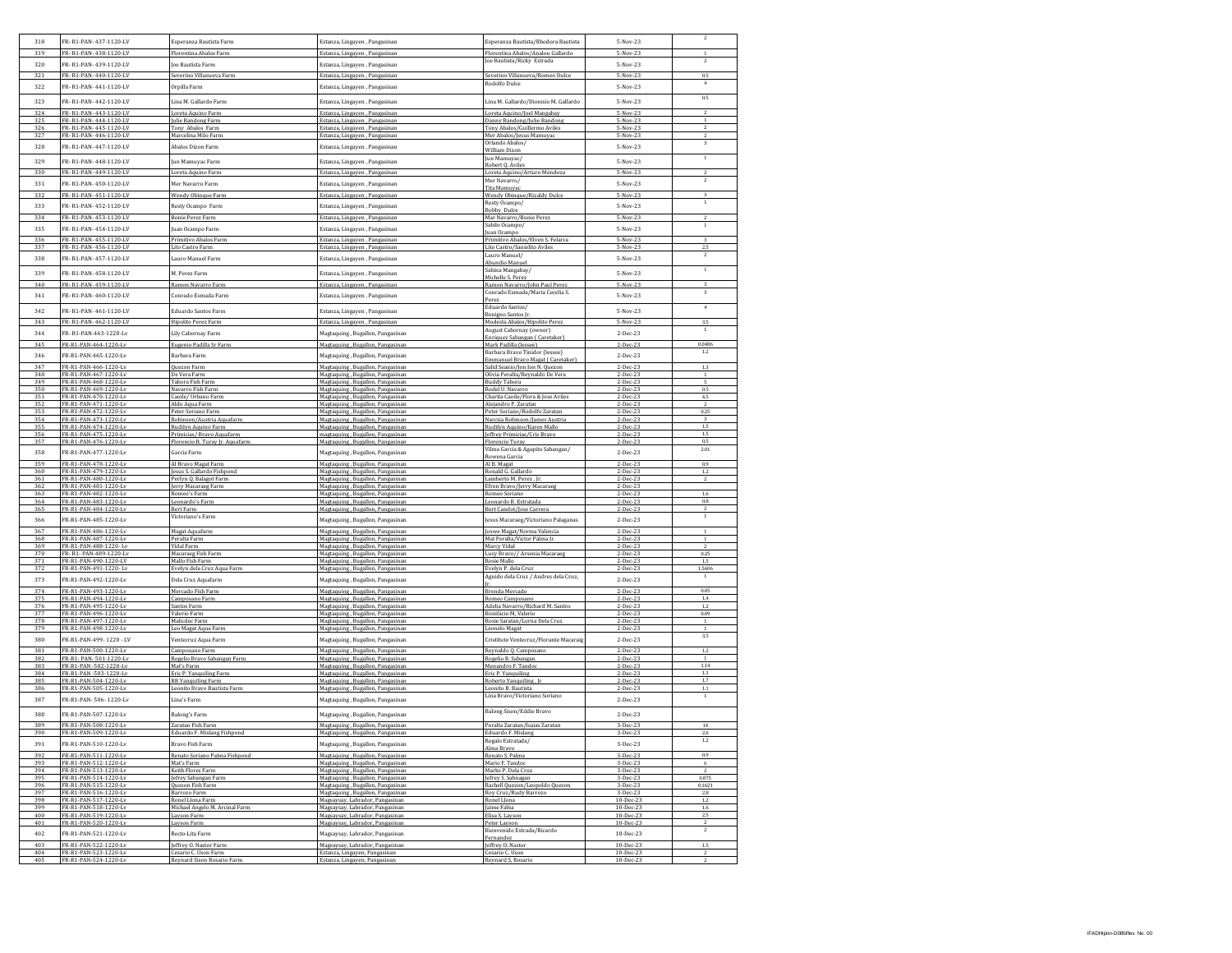| 318        | FR-R1-PAN-437-1120-LV                          | Esperanza Bautista Farm                            | Estanza, Lingayen, Pangasinan                                        | Esperanza Bautista/Rhodora Bautista                                | 5-Nov-23                 | $\mathbf{2}$                   |
|------------|------------------------------------------------|----------------------------------------------------|----------------------------------------------------------------------|--------------------------------------------------------------------|--------------------------|--------------------------------|
| 319        | FR-R1-PAN-438-1120-LV                          | Florentina Abalos Farm                             | Estanza, Lingayen, Pangasinan                                        | Florentina Abalos/Analou Gallardo                                  | 5-Nov-23                 | $\mathbf{1}$                   |
|            |                                                |                                                    |                                                                      | Joe Bautista/Ricky Estrada                                         |                          | $\,$ 2                         |
| 320        | FR-R1-PAN-439-1120-LV                          | oe Bautista Farm                                   | Estanza, Lingayen , Pangasinan                                       |                                                                    | 5-Nov-23                 |                                |
| 321        | FR-R1-PAN-440-1120-LV                          | Severino Villanueva Farm                           | Estanza, Lingayen, Pangasinan                                        | Severino Villanueva/Romeo Dulce                                    | 5-Nov-23                 | 0.5                            |
| 322        | FR-R1-PAN-441-1120-LV                          | Orpilla Farm                                       | Estanza, Lingayen, Pangasinan                                        | Rodolfo Dulce                                                      | 5-Nov-23                 | 4                              |
| 323        | FR-R1-PAN-442-1120-LV                          | Lina M. Gallardo Farm                              | Estanza, Lingayen, Pangasinan                                        | Lina M. Gallardo/Dionisio M. Gallardo                              | 5-Nov-23                 | 0.5                            |
|            |                                                |                                                    |                                                                      |                                                                    |                          |                                |
| 324<br>325 | FR-R1-PAN-443-1120-LV<br>FR-R1-PAN-444-1120-LV | Loreta Aquino Farm<br>Julie Bandong Farm           | Estanza, Lingaven , Pangasinan<br>Estanza, Lingayen, Pangasinan      | Loreta Aquino/Joel Mangabay<br>Danny Bandong/Julie Bandong         | 5-Nov-23<br>5-Nov-23     |                                |
| 326        | FR-R1-PAN-445-1120-LV                          | Tony Abalos Farm                                   | Estanza, Lingayen, Pangasinan                                        | Tony Abalos/Guillermo Aviles                                       | 5-Nov-23                 | $\overline{2}$                 |
| 327        | FR-R1-PAN-446-1120-LV                          | Marcelina Milo Farm                                | Estanza, Lingayen, Pangasinan                                        | Mer Abalos/Jesus Mamuyac                                           | 5-Nov-23                 |                                |
| 328        | FR-R1-PAN-447-1120-LV                          | Abalos Dizon Farm                                  | Estanza, Lingayen, Pangasinan                                        | Orlando Abalos/<br>William Dizon                                   | 5-Nov-23                 | $\overline{3}$                 |
| 329        | FR-R1-PAN-448-1120-LV                          | un Mamuyac Farm                                    | Estanza, Lingayen, Pangasinan                                        | Jun Mamuyac/<br>Robert Q. Aviles                                   | 5-Nov-23                 | $\mathbf{1}$                   |
| 330        | FR-R1-PAN-449-1120-LV                          | oreta Aquino Farm                                  | Estanza, Lingayen, Pangasinan                                        | Loreta Aquino/Arturo Mendoza                                       | 5-Nov-23                 | $\,$ 2 $\,$                    |
| 331        | FR-R1-PAN-450-1120-LV                          | Mer Navarro Farm                                   | Estanza, Lingayen, Pangasinan                                        | Mer Navarro/                                                       | 5-Nov-23                 | $\overline{2}$                 |
| 337        | FR-R1-PAN-451-1120-LV                          | Wendy Obinque Farn                                 | Estanza, Lingayen, Panga                                             | Tita Mamuvac<br>Wendy Obinque/Rizaldy Dulce                        | $5-Nov-23$               | s.                             |
|            |                                                |                                                    |                                                                      | Resty Ocampo/                                                      |                          | $\mathbf{1}$                   |
| 333        | FR-R1-PAN-452-1120-LV                          | Resty Ocampo Farm                                  | Estanza, Lingaven, Pangasinan                                        | Bobby Dulce                                                        | 5-Nov-23                 |                                |
| 334        | FR-R1-PAN-453-1120-LV                          | <b>Bonie Perez Farm</b>                            | Estanza, Lingayen, Pangasinan                                        | Mar Navarro/Bonie Perez                                            | 5-Nov-23                 | $\overline{2}$                 |
| 335        | FR-R1-PAN-454-1120-LV                          | luan Ocampo Farm                                   | Estanza, Lingaven , Pangasinan                                       | Sabilo Ocampo/<br>luan Ocampo                                      | 5-Nov-23                 | $\mathbf{1}$                   |
| 336        | FR-R1-PAN-455-1120-LV                          | Primitivo Abalos Farm                              | Estanza, Lingaven , Pangasinan                                       | Primitivo Abalos/Elven S. Felarca                                  | 5-Nov-23                 | $\overline{\mathbf{z}}$        |
| 337        | FR-R1-PAN-456-1120-LV                          | Lito Castro Farm                                   | Estanza, Lingayen , Pangasinan                                       | Lito Castro/Sanielito Aviles                                       | 5-Nov-23                 | 25                             |
| 338        | FR-R1-PAN-457-1120-LV                          | Lauro Manuel Farm                                  | Estanza, Lingayen, Pangasinan                                        | Lauro Manuel/                                                      | 5-Nov-23                 | $\overline{2}$                 |
|            |                                                |                                                    |                                                                      | Abundio Manuel                                                     |                          |                                |
| 339        | FR-R1-PAN-458-1120-LV                          | M. Perez Farm                                      | Estanza, Lingayen, Pangasinan                                        | Sabina Mangabay/<br>Michelle S. Perez                              | 5-Nov-23                 | $\mathbf{1}$                   |
| 340        | FR-R1-PAN-459-1120-LV                          | Ramon Navarro Farm                                 | Estanza, Lingayen, Pangasinan                                        | Ramon Navarro/John Paul Perez<br>Conrado Esmada/Maria Cecelia S.   | 5-Nov-23                 | 3<br>$\overline{3}$            |
| 341        | FR-R1-PAN-460-1120-LV                          | Conrado Esmada Farm                                | Estanza, Lingayen, Pangasinan                                        | Perez                                                              | 5-Nov-23                 |                                |
| 342        | FR-R1-PAN-461-1120-LV                          | Eduardo Santos Farm                                | Estanza, Lingayen, Pangasinan                                        | Eduardo Santos/                                                    | 5-Nov-23                 | 4                              |
| 343        | R-R1-PAN-462-1120-LV                           | Hipolito Perez Farm                                | Estanza, Lingayen, Pangasinan                                        | Benigno Santos Ir.<br>Modesta Abalos/Hipolito Perez                | 5-Nov-23                 | 3.5                            |
|            |                                                |                                                    |                                                                      | August Cabornay (owner)                                            |                          | $\,$ 1                         |
| 344        | FR-R1-PAN-463-1220-Lv                          | Lily Cabornay Farm                                 | Magtaquing, Bugallon, Pangasinan                                     | Enriquez Sabangan (Caretaker)                                      | 2-Dec-23                 |                                |
| 345        | FR-R1-PAN-464-1220-Lv                          | Eugenio Padilla Sr Farm                            | Magtaquing, Bugallon, Pangasi                                        | Mark Padilla (lessee)                                              | 2-Dec-23                 | 0.0486                         |
| 346        | FR-R1-PAN-465-1220-Lv                          | Barbara Farm                                       | Magtaquing, Bugallon, Pangasinan                                     | Barbara Bravo Tinidor (lessee)<br>Emmanuel Bravo Magat (Caretaker) | 2-Dec-23                 | 1.2                            |
| 347        | FR-R1-PAN-466-1220-Lv                          | <b>Ouezon Farm</b>                                 | Magtaquing, Bugallon, Pangasinan                                     | Salid Seanio/Jon Jon N. Quezon                                     | 2-Dec-23                 | 13                             |
| 348<br>349 | FR-R1-PAN-467-1220-Lv                          | De Vera Farm                                       | Magtaquing, Bugallon, Pangasinan                                     | Olivia Peralta/Reynaldo De Vera                                    | 2-Dec-23                 | <sup>1</sup><br>5.             |
| 350        | FR-R1-PAN-468-1220-Lv<br>FR-R1-PAN-469-1220-Lv | Tabora Fish Farm<br>Navarro Fish Farm              | Magtaquing, Bugallon, Pangasinan<br>Magtaquing, Bugallon, Pangasinan | <b>Buddy Tabora</b><br>Rodel U. Navarro                            | 2-Dec-23<br>2-Dec-23     | 0.5                            |
| 351        | FR-R1-PAN-470-1220-Lv                          | Caoile/ Urbano Farm                                | Magtaquing, Bugallon, Pangasinan                                     | Charita Caoile/Flora & Jose Aviles                                 | 2-Dec-23                 | 4.5                            |
| 352        | FR-R1-PAN-471-1220-Lv                          | Aldo Aqua Farm                                     | Magtaquing, Bugallon, Pangasinan                                     | Alejandro P. Zaratan                                               | 2-Dec-23                 | $\overline{2}$                 |
| 353<br>354 | FR-R1-PAN-472-1220-Lv                          | Peter Soriano Farm                                 | Magtaquing, Bugallon, Pangasinan                                     | Peter Soriano/Rodolfo Zaratan                                      | 2-Dec-23                 | 0.25                           |
| 355        | FR-R1-PAN-473-1220-Lv<br>FR-R1-PAN-474-1220-Lv | Robinson/Austria Aquafarm<br>Rudilyn Aquino Farm   | Magtaquing, Bugallon, Pangasinan<br>Magtaquing, Bugallon, Pangasinan | Narcisa Robinson/James Austria<br>Rudilyn Aquino/Karen Mallo       | 2-Dec-23<br>2-Dec-23     | 1.5                            |
| 356        | FR-R1-PAN-475-1220-Lv                          | Primicias/Bravo Aquafarm                           | magtaquing, Bugallon, Pangasinan                                     | Jeffrey Primicias/Cris Bravo                                       | 2-Dec-23                 | 1.5                            |
| 357        | FR-R1-PAN-476-1220-Lv                          | Florencio R. Turay Ir. Aquafarm                    | Magtaquing, Bugallon, Pangasinan                                     | Florencio Turay                                                    | 2-Dec-23                 | 0.5                            |
| 358        | FR-R1-PAN-477-1220-Lv                          | Garcia Farm                                        | Magtaquing, Bugallon, Pangasinan                                     | Vilma Garcia & Agapito Sabangan/                                   | 2-Dec-23                 | 2.01                           |
| 359        | FR-R1-PAN-478-1220-Lv                          | Al Bravo Magat Farm                                | Magtaquing, Bugallon, Pangasinan                                     | Rowena Garcia<br>Al B. Magat                                       | 2-Dec-23                 | 0.9                            |
| 360        | FR-R1-PAN-479-1220-Lv                          | esus S. Gallardo Fishpond                          | Magtaquing, Bugallon, Pangasinan                                     | Ronald G. Gallardo                                                 | 2-Dec-23                 | 1.2                            |
| 361        | FR-R1-PAN-480-1220-Lv                          | Perlyn Q. Balagot Farm                             | Magtaquing, Bugallon, Pangasinan                                     | Lamberto M. Perez. In                                              | 2-Dec-23                 | $\overline{2}$                 |
| 362<br>363 | FR-R1-PAN-481-1220-Lv                          | Jerry Macaraeg Farm                                | Magtaquing, Bugallon, Pangasinan                                     | Efren Bravo/Jerry Macaraeg                                         | $2 - Dec-23$             | 1.6                            |
| 364        | FR-R1-PAN-482-1220-Lv<br>FR-R1-PAN-483-1220-Lv | Romeo's Farm<br>Leonardo's Farm                    | Magtaquing, Bugallon, Pangasinan<br>Magtaquing, Bugallon, Pangasinan | Romeo Soriano<br>Leonardo B. Estratada                             | $2 - Dec-23$<br>2-Dec-23 | $0.8\,$                        |
| 365        | FR-R1-PAN-484-1220-Lv                          | Bert Farm                                          | Magtaquing, Bugallon, Pangasinan                                     | Bert Candot/Jose Carrera                                           | 2-Dec-23                 | $\,$                           |
| 366        | FR-R1-PAN-485-1220-Lv                          | Victoriano's Farm                                  | Magtaquing, Bugallon, Pangasinan                                     | Jesus Macaraeg/Victoriano Palaganas                                | 2-Dec-23                 | $\,$ 1 $\,$                    |
| 367        | FR-R1-PAN-486-1220-Lv                          |                                                    |                                                                      |                                                                    |                          | $\mathbf{1}$                   |
| 368        | FR-R1-PAN-487-1220-Lv                          | Magat Aquafarm<br>Peralta Farm                     | Magtaquing, Bugallon, Pangasinan<br>Magtaquing, Bugallon, Pangasinan | Joswe Magat/Norma Valencia<br>Mat Peralta/Victor Palma [r]         | 2-Dec-23<br>2-Dec-23     | $\overline{1}$                 |
| 369        | FR-R1-PAN-488-1220-Lv                          | Vidal Farm                                         | Magtaquing, Bugallon, Pangasinan                                     | Marcy Vidal                                                        | 2-Dec-23                 |                                |
| 370        | FR-R1-PAN-489-1220-Lv                          | Macaraeg Fish Farm                                 | Magtaquing, Bugallon, Pangasinan                                     | Lucy Bravo// Arsenia Macaraeg                                      | 2-Dec-23                 | 0.25                           |
| 371<br>372 | FR-R1-PAN-490-1220-LV<br>FR-R1-PAN-491-1220-Lv | Mallo Fish Farm                                    | Magtaquing, Bugallon, Pangasinan                                     | Rosie Mallo                                                        | $2 - Dec-23$             | 1.5<br>1.5606                  |
|            |                                                | Evelyn dela Cruz Aqua Farm                         | Magtaquing, Bugallon, Pangasinan                                     | Evelyn P. dela Cruz<br>Aguido dela Cruz / Andres dela Cruz,        | 2-Dec-23                 | $\,$ 1                         |
| 373        | FR-R1-PAN-492-1220-Lv                          | Dela Cruz Aquafarm                                 | Magtaquing, Bugallon, Pangasinan                                     |                                                                    | 2-Dec-23                 |                                |
| 374        | FR-R1-PAN-493-1220-Lv                          | Mercado Fish Farm                                  | Magtaquing, Bugallon, Pangasinan                                     | Brenda Mercado                                                     | 2-Dec-23                 | 0.05                           |
| 375<br>376 | FR-R1-PAN-494-1220-Lv<br>FR-R1-PAN-495-1220-Lv | Camposano Farm<br>Santos Farm                      | Magtaquing, Bugallon, Pangasinan<br>Magtaquing, Bugallon, Pangasinan | Romeo Camposano<br>Adelia Navarro/Richard M. Santos                | 2-Dec-23<br>2-Dec-23     | 1.4<br>12                      |
| 377        | FR-R1-PAN-496-1220-Lv                          | Valerio Farm                                       | Magtaquing, Bugallon, Pangasinan                                     | Bonifacio M, Valerio                                               | 2-Dec-23                 | 0.09                           |
| 378        | FR-R1-PAN-497-1220-Lv                          | Malicdec Farm                                      | Magtaquing, Bugallon, Pangasinan                                     | Rosie Saratan/Lorna Dela Cruz                                      | 2-Dec-23                 |                                |
| 379        | FR-R1-PAN-498-1220-Lv                          | Leo Magat Agua Farm                                | Magtaquing, Bugallon, Pangasinan                                     | Leonelo Magat                                                      | 2-Dec-23                 | $\mathbf{1}$                   |
| 380        | FR-R1-PAN-499-1220 - LV                        | Ventecruz Aqua Farm                                | Magtaquing, Bugallon, Pangasinan                                     | Cristituto Ventecruz/Florante Macarais                             | 2-Dec-23                 | 3.5                            |
| 381        | FR-R1-PAN-500-1220-Lv                          | Camposano Farm                                     | Magtaquing, Bugallon, Pangasinan                                     | Reynaldo Q. Camposano                                              | 2-Dec-23                 | 1.2                            |
| 382        |                                                |                                                    |                                                                      |                                                                    |                          |                                |
| 383<br>384 | FR-R1- PAN-501-1220-Lv                         | Rogelio Bravo Sabangan Farm                        | Magtaquing, Bugallon, Pangasinan                                     | Rogelio B. Sabangan                                                | 2-Dec-23                 |                                |
|            | FR-R1-PAN-502-1220-Lv                          | Mat's Farm                                         | Magtaquing, Bugallon, Pangasinan                                     | Menandro F. Tandoc                                                 | 2-Dec-23                 | 1.14                           |
| 385        | FR-R1-PAN-503-1220-Lv<br>FR-R1-PAN-504-1220-Lv | Eric P. Yanguiling Farm                            | Magtaquing, Bugallon, Pangasinan                                     | Eric P. Yanguiling                                                 | 2-Dec-23<br>2-Dec-23     | 1.1<br>1.7                     |
| 386        | FR-R1-PAN-505-1220-Lv                          | RB Yanquiling Farm<br>Leonito Bravo Bautista Farm  | Magtaquing, Bugallon, Pangasinan<br>Magtaquing, Bugallon, Pangasinan | Roberto Yanquiling, Jr.<br>Leonito B. Bautista                     | 2-Dec-23                 | $1.1\,$                        |
| 387        | FR-R1-PAN-506-1220-Lv                          | Lina's Farm                                        | Magtaquing, Bugallon, Pangasinan                                     | Lina Bravo/Victoriano Soriano                                      | 2-Dec-23                 |                                |
| 388        | FR-R1-PAN-507-1220-Lv                          | Balong's Farm                                      | Magtaquing, Bugallon, Pangasinan                                     | Balong Sison/Eddie Bravo                                           | 2-Dec-23                 |                                |
| 389        | FR-R1-PAN-508-1220-Lv                          | Zaratan Fish Farm                                  | Magtaquing, Bugallon, Pangasinan                                     | Peralta Zaratan/Isaias Zaratan                                     | 3-Dec-23                 | 14                             |
|            |                                                |                                                    |                                                                      |                                                                    |                          |                                |
| 391        | FR-R1-PAN-510-1220-Lv                          | Bravo Fish Farm                                    | Magtaquing, Bugallon, Pangasinan                                     | Regalo Estratada/                                                  | 3-Dec-23                 | 12                             |
|            |                                                |                                                    |                                                                      | Alma Bravo                                                         |                          | 0.9                            |
| 392<br>393 | FR-R1-PAN-511-1220-Lv<br>FR-R1-PAN-512-1220-Lv | Renato Soriano Palma Fishpond<br>Mat's Farm        | Magtaquing, Bugallon, Pangasinan<br>Magtaquing, Bugallon, Pangasinan | Renato S. Palma<br>Mario F. Tandoc                                 | 3-Dec-23<br>3-Dec-23     | 6                              |
| 394        | FR-R1-PAN-513-1220-Ly                          | Keith Flores Farm                                  | Magtaquing, Bugallon, Pangasinan                                     | Marks P. Dela Cru:                                                 | 3-Dec-23                 |                                |
| 395        | FR-R1-PAN-514-1220-Lv                          | Jefrey Sabangan Farm                               | Magtaquing, Bugallon, Pangasinan                                     | Jefrey S. Sabnagan                                                 | 3-Dec-23                 | 0.875                          |
| 396        | FR-R1-PAN-515-1220-Lv                          | Quezon Fish Farm                                   | Magtaquing, Bugallon, Pangasinan                                     | Rachell Quezon/Leopoldo Quezon                                     | 3-Dec-23                 | 0.1621<br>2.8                  |
| 397<br>398 | FR-R1-PAN-516-1220-Lv<br>FR-R1-PAN-517-1220-Lv | Barrozo Farm<br>Ronel Llona Farm                   | Magtaquing, Bugallon, Pangasinan<br>Magsaysay, Labrador, Pangasinan  | Roy Cruz/Rudy Barrozo<br>Ronel Llona                               | 3-Dec-23<br>10-Dec-23    | 1.2                            |
| 399        | FR-R1-PAN-518-1220-Lv                          | Michael Angelo M. Arcinal Farm                     | Magsaysay, Labrador, Pangasinan                                      | Jaime Fabia                                                        | 10-Dec-23                | 1.6                            |
| 400        | FR-R1-PAN-519-1220-Lv                          | Layson Farm                                        | Magsaysay, Labrador, Pangasinan                                      | Elisa S. Layson                                                    | 10-Dec-23                | 25                             |
| 401        | FR-R1-PAN-520-1220-Lv                          | Layson Farm                                        | Magsaysay, Labrador, Pangasinan                                      | Peter Layson                                                       | 10-Dec-23                | $\mathbf{2}$<br>$\overline{2}$ |
| 402        | FR-R1-PAN-521-1220-Lv                          | Recto-Lita Farm                                    | Magsaysay, Labrador, Pangasinan                                      | Bienvenido Estrada/Ricardo<br>Fernandez                            | 10-Dec-23                |                                |
| 403        | FR-R1-PAN-522-1220-Lv                          | effrey O. Nastor Farm                              | Magsaysay, Labrador, Pangasinan                                      | Jeffrey O. Nastor                                                  | 10-Dec-23                | 1.5                            |
| 404<br>405 | FR-R1-PAN-523-1220-Lv<br>FR-R1-PAN-524-1220-Lv | Cesario C. Uson Farm<br>Reynard Sison Rosario Farm | Estanza, Lingayen, Pangasinan<br>Estanza, Lingayen, Pangasinan       | Cesario C. Uson<br>Reynard S, Rosario                              | 10-Dec-23<br>10-Dec-23   | $\overline{2}$<br>2            |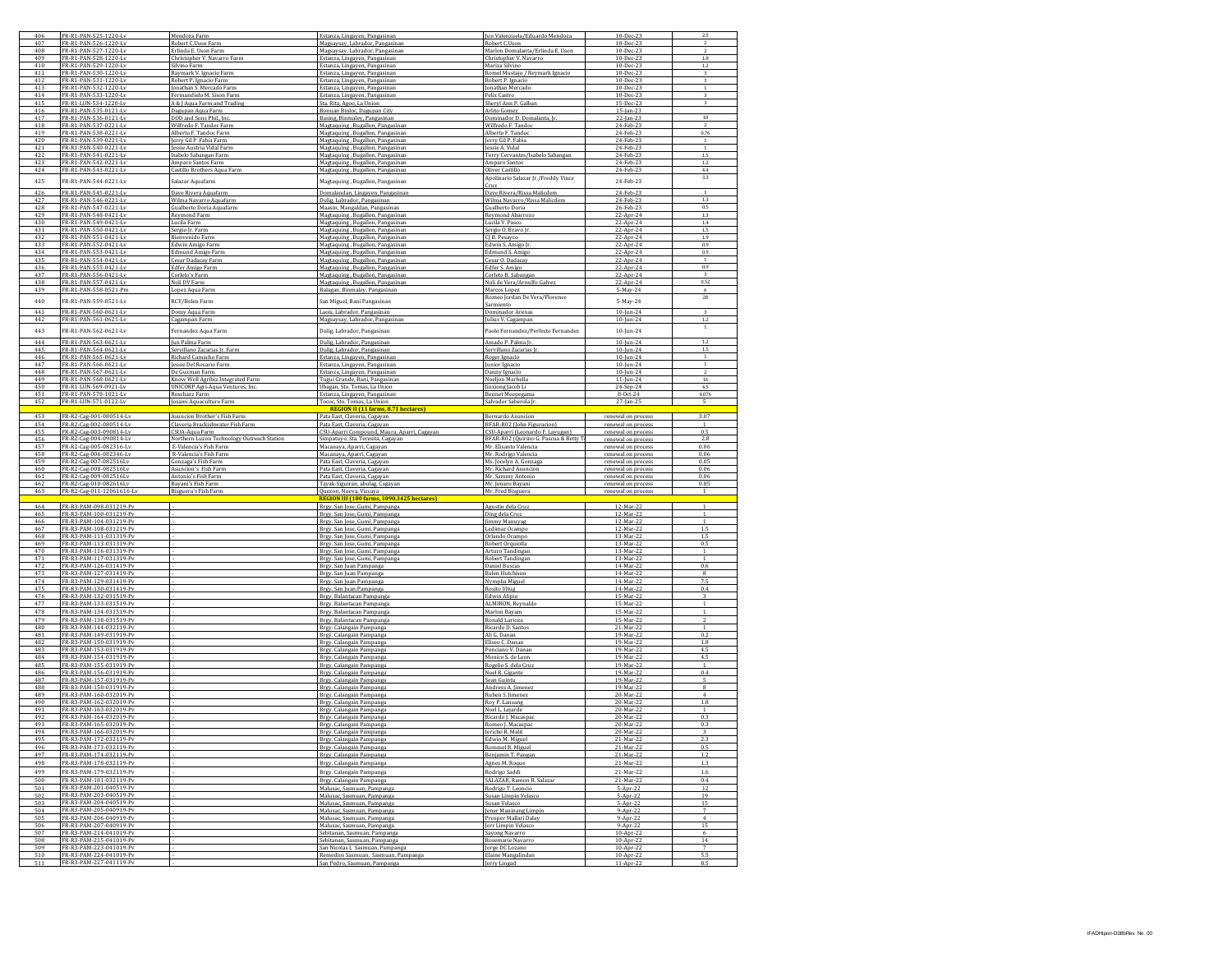| 406        | FR-R1-PAN-525-1220-Lv                              | Mendoza Farm                               | Estanza, Lingayen, Pangasinan                                              | Jun Valenzuela/Eduardo Mendoza                  | 10-Dec-23                 |                       |
|------------|----------------------------------------------------|--------------------------------------------|----------------------------------------------------------------------------|-------------------------------------------------|---------------------------|-----------------------|
| 407        | FR-R1-PAN-526-1220-Lv                              | Robert C.Uson Farm                         | Magsaysay, Labrador, Pangasinan                                            | Robert C.Uson                                   | 10-Dec-23                 |                       |
| 408<br>409 | FR-R1-PAN-527-1220-Lv                              | Erlinda E. Uson Farm                       | Magsaysay, Labrador, Pangasinar                                            | Marlon Domalanta/Erlinda E. Uson                | 10-Dec-23                 | $\overline{2}$        |
|            | FR-R1-PAN-528-1220-Lv                              | Christopher V. Navarro Farm                | Estanza, Lingayen, Pangasinan                                              | Christopher V. Navarro                          | $10 - Dec-23$             | 1.8                   |
| 410        | FR-R1-PAN-529-1220-Lv                              | Silvino Farm                               | Estanza, Lingayen, Pangasinan                                              | Mariza Silvino                                  | 10-Dec-23                 | 1.2                   |
| 411        | FR-R1-PAN-530-1220-Ly                              | Raymark V. Ignacio Farm                    | Estanza, Lingayen, Pangasinan                                              | Romel Mustajo / Reymark Ignacio                 | 10-Dec-23                 | 3                     |
| 412        | FR-R1-PAN-531-1220-Lv                              | Robert P. Ignacio Farm                     | Estanza, Lingayen, Pangasinan                                              | Robert P. Ignacio                               | 10-Dec-23                 | $\mathbf{1}$          |
| 413        | FR-R1-PAN-532-1220-Lv                              | Jonathan S. Mercado Farm                   | Estanza, Lingayen, Pangasinan                                              | Jonathan Mercado                                | 10-Dec-23                 |                       |
| 414        | FR-R1-PAN-533-1220-Lv                              | Fermandielo M. Sison Farm                  | Estanza, Lingayen, Pangasinan                                              | Felix Castro                                    | 10-Dec-23                 | 3                     |
| 415        | R-R1-LUN-534-1220-Lv                               | A & J Aqua Farm and Trading                | ita. Rita, Agoo, La Union                                                  | Sheryl Ann P. Galbar                            | 15-Dec-23                 |                       |
| 416        | FR-R1-PAN-535-0121-Lv<br>FR-R1-PAN-536-0121-LV     | Dagupan Aqua Farm                          | Bonuan Binloc, Dagupan City                                                | Arlito Gomez                                    | 15-Jan-23                 |                       |
| 417        |                                                    | DOD and Sons Phil., Inc.                   | Basing, Binmaley, Pangasinan                                               | Dominador D. Domalanta, Ir                      | 22-Jan-23                 | 10                    |
| 418        | FR-R1-PAN-537-0221-Lv                              | Wilfredo F. Tandoc Farm                    | Magtaquing, Bugallon, Pangasinar                                           | Wilfredo F. Tandoo                              | 24-Feb-23                 | $\overline{2}$        |
| 419        | FR-R1-PAN-538-0221-Lv                              | Alberto F. Tandoc Farm                     | Magtaquing, Bugallon, Pangasinan                                           | Alberto F. Tandoc                               | 24-Feb-23                 | 0.76                  |
| 420        | FR-R1-PAN-539-0221-Ly                              | Jerry Gil P. Fabia Farm                    | Magtaquing, Bugallon, Pangasinan                                           | Jerry Gil P. Fabia                              | 24-Feb-23                 |                       |
| 421        | FR-R1-PAN-540-0221-Ly                              | Jessie Austria Vidal Farn                  | Magtaquing, Bugallon, Pangasinan                                           | Jessie A. Vidal                                 | 24-Feb-23                 |                       |
| 422        | FR-R1-PAN-541-0221-Lv                              | Isabelo Sabangan Farm                      | Magtaquing, Bugallon, Pangasinan                                           | Terry Cervantes/Isabelo Sabangan                | 24-Feb-23                 | 1.5                   |
| 423        | FR-R1-PAN-542-0221-Lv                              | Amparo Santos Farm                         | Magtaquing, Bugallon, Pangasinar                                           | Amparo Santos                                   | 24-Feb-23                 | 1.2                   |
| 424        | FR-R1-PAN-543-0221-Lv                              | Castillo Brothers Aqua Farm                | Magtaquing, Bugallon, Pangasinan                                           | Oliver Castillo                                 | 24-Feb-23                 | $4.4\,$               |
| 425        | FR-R1-PAN-544-0221-Lv                              | Salazar Aquafarm                           | Magtaquing, Bugallon, Pangasinan                                           | Apolinario Salazar Jr./Freddy Vince             | 24-Feb-23                 | 3.3                   |
|            |                                                    |                                            |                                                                            | Cruz                                            |                           |                       |
| 426        | FR-R1-PAN-545-0221-Lv                              | Dave Rivera Aquafarm                       | Domalandan, Lingayen, Pangasinan                                           | Dave Rivera/Rissa Malicdem                      | 24-Feb-23                 | $\overline{1}$        |
| 427        | FR-R1-PAN-546-0221-Lv                              | Wilma Navarro Aquafarr                     | Dulig, Labrador, Pangasinan                                                | Wilma Navarro/Rissa Malicden                    | 24-Feb-23                 | 1.3                   |
| 428        | FR-R1-PAN-547-0221-Lv                              | Gualberto Doria Aquafarm                   | Maasin, Mangaldan, Pangasinan                                              | Gualberto Doria                                 | 26-Feb-23                 | 0.5                   |
| 429        | FR-R1-PAN-548-0421-Lv                              | Reymond Farm                               | Magtaquing, Bugallon, Pangasinan                                           | Reymond Abarrozo                                | 22-Apr-24                 | 1.3                   |
| 430        | FR-R1-PAN-549-0421-Lv                              | Lucila Farm                                | Magtaquing , Bugallon, Pangasinar                                          | Lucila V. Pasco                                 | 22-Apr-24                 | 1.4                   |
| 431        | FR-R1-PAN-550-0421-Lv                              | Sergio Jr. Farm                            | Magtaquing, Bugallon, Pangasinan                                           | Sergio O. Bravo Ir                              | 22-Apr-24                 | 1.5                   |
| 437        | FR-R1-PAN-551-0421-Lv                              | Bienvenido Farm                            | Magtaquing, Bugallon, Pangasinan                                           | CLB. Pesavor                                    | 22-Apr-24                 | 1.9                   |
| 433        | FR-R1-PAN-552-0421-Lv                              | Edwin Amigo Farm                           | Magtaquing, Bugallon, Pangasinan                                           | Edwin S. Amigo Jr                               | 22-Apr-24                 | 0.9                   |
| 434        | R-R1-PAN-553-0421-Lv                               | <b>Edmund Amigo Farm</b>                   | Magtaquing, Bugallon, Pangasinan                                           | Edmund S. Amigo                                 | 22-Apr-24                 | 0.9                   |
| 435        | FR-R1-PAN-554-0421-Lv                              | Cesar Dadacay Farm                         | Magtaquing, Bugallon, Pangasinan                                           | Cesar O. Dadacay                                | 22-Apr-24                 | -1                    |
| 436        | FR-R1-PAN-555-0421-Lv                              | Edfer Amigo Farm                           | Magtaquing, Bugallon, Pangasinan                                           | Edfer S. Amigo                                  | 22-Apr-24                 | 0.9                   |
| 437        | FR-R1-PAN-556-0421-Lv                              | Corleto's Farm                             | Magtaquing, Bugallon, Pangasinar                                           | Corleto B. Sabangan                             | 22-Apr-24                 | 3                     |
| 438        | FR-R1-PAN-557-0421-Lv                              | Noli DV Farm                               | Magtaquing, Bugallon, Pangasinan                                           | Noli de Vera/Arnulfo Galvez                     | 22-Apr-24                 | 0.52                  |
| 439        | FR-R1-PAN-558-0521-Pm                              | Lopez Aqua Farm                            | Balagan, Binmaley, Pangasinan                                              | Marcos Lopez                                    | 5-May-24                  | 6                     |
| 440        | FR-R1-PAN-559-0521-Lv                              | RCV/Belen Farm                             | San Miguel, Bani Pangasinan                                                | Romeo Jordan De Vera/Florence                   | 5-May-24                  | 28                    |
|            |                                                    |                                            |                                                                            | Sarmiento                                       |                           |                       |
| 441        | FR-R1-PAN-560-0621-Lv                              | Domy Aqua Farn                             | Laois. Labrador, Pangasinan                                                | Dominador Arenas                                | 10-lun-24                 | 3                     |
| 442        | FR-R1-PAN-561-0621-Lv                              | Cagampan Farm                              | Magsaysay, Labrador, Pangasinan                                            | Julius V. Cagampan                              | $10 - \frac{1}{10} - 24$  | 1.2                   |
|            |                                                    |                                            |                                                                            |                                                 |                           |                       |
| 443        | FR-R1-PAN-562-0621-Lv                              | Fernandez Aqua Farm                        | Dulig, Labrador, Pangasinan                                                | Paolo Fernandez/Perfecto Fernandez              | 10-Jun-24                 |                       |
| 444        | FR-R1-PAN-563-0621-Ly                              | Jun Palma Farm                             | Oulig, Labrador, Pangasinan                                                | Amado P. Palma Ir                               | $10$ -lun-24              | 1.2                   |
| 445        | FR-R1-PAN-564-0621-Lv                              | Servillano Zacarias Jr. Farm               | Dulig, Labrador, Pangasinan                                                | Servillano Zacarias J                           | 10-jun-24                 | 1.5                   |
| 446        | FR-R1-PAN-565-0621-Lv                              | Richard Camacho Farm                       | Estanza, Lingayen, Pangasinan                                              | Roger Ignacio                                   | $10$ -Jun-24              | $\overline{1}$        |
| 447        | FR-R1-PAN-566-0621-Lv                              | Jessie Del Rosario Farm                    | Estanza, Lingayen, Pangasinan                                              | Junior Ignacio                                  | 10-jun-24                 | $\,1\,$               |
| 448        | FR-R1-PAN-567-0621-Lv                              | De Guzman Farm                             | Estanza, Lingayen, Pangasinan                                              | Danny Ignacio                                   | 10-Jun-24                 |                       |
| 449        | FR-R1-PAN-568-0621-Lv                              | Know Well Agribiz Integrated Farm          | Tugui Grande, Bani, Pangasinan                                             | Noeljon Marbella                                | $11 - \frac{100 - 24}{2}$ | 16                    |
| 450        | FR-R1-LUN-569-0921-Lv                              | UNICORP Agri-Aqua Ventures, Inc.           | Ubagan, Sto. Tomas, La Union                                               | Jinxiong Jacob Li                               | 24-Sep-24                 | 4.5                   |
| 451        | FR-R1-PAN-570-1021-Lv                              | Roschazz Farm                              | Estanza, Lingayen, Pangasinan                                              | <b>Bennet Meepegama</b>                         | 8-0ct-24                  | 4.076                 |
| 452        | FR-R1-LUN-571-0122-Lv                              | Josami Aquaculture Farm                    | Tococ, Sto. Tomas, La Union                                                | Salvador Saberola [r                            | 27-Jan-25                 |                       |
|            |                                                    |                                            | REGION II (11 farms, 8.7<br><sup>71</sup> hectares                         |                                                 |                           |                       |
| 453        | FR-R2-Cag-001-080514-Lv                            | Asuncion Brother's Fish Farm               | Pata East, Claveria, Cagayan                                               | Bernardo Asuncion                               | renewal on process        | 3.07                  |
| 454        | FR-R2-Cag-002-080514-Lv                            | Claveria Brackishwater Fish Farm           | Pata East, Claveria, Cagayan                                               | BFAR-R02 (John Figuracion)                      | renewal on process        | $\mathbf{1}$          |
| 455        | FR-R2-Cag-003-090814-Ly                            | CSUA-Agua Farm                             | CSU-Aparri Compound, Maura, Aparri, Cagayar                                | CSU-Aparri (Leonardo F. Layugan)                | renewal on process        | 0.5                   |
| 456        | FR-R2-Cag-004-090814-Lv                            | Northern Luzon Technology Outreach Station | Simpatuyo, Sta. Teresita, Cagayan                                          | BFAR-R02 (Quirino G. Pascua & Betty             | renewal on process        | 2.8                   |
|            |                                                    |                                            |                                                                            | Mr. Elisanto Valencia                           | renewal on process        | 0.06                  |
|            |                                                    |                                            |                                                                            |                                                 |                           |                       |
| 457        | FR-R2-Cag-005-082316-L                             | E-Valencia's Fish Farn                     | Macanaya, Aparri, Cagayan                                                  |                                                 |                           |                       |
| 458<br>459 | FR-R2-Cag-006-082346-Lv                            | R-Valencia's Fish Farm                     | Macanaya, Aparri, Cagayan                                                  | Mr. Rodrigo Valencia                            | renewal on process        | 0.06<br>0.05          |
|            | FR-R2-Cag-007-082516Lv                             | Gonzaga's Fish Farm                        | Pata East, Claveria, Cagayan                                               | Ms. Jocelyn A. Gonzag                           | renewal on process        |                       |
| 460        | FR-R2-Cag-008-082516Lv                             | <b>Asuncion's Fish Farm</b>                | Pata East, Claveria, Cagayan                                               | Mr. Richard Asuncion                            | renewal on process        | 0.06                  |
| 461        | FR-R2-Cag-009-082516Ly                             | Antonio's Fish Farm                        | Pata East, Claveria, Cagayan                                               | Mr. Sammy Antonio                               | renewal on process        | 0.06                  |
| 462        | FR-R2-Cag-010-082616Lv                             | Bayani's Fish Farm                         | Tayak-Siguiran, abulag, Cagayan                                            | Mr. Jenaro Bayani                               | renewal on process        | 0.05                  |
| 463        | FR-R2-Cag-011-12061616-Lv                          | <b>Bisguera's Fish Farm</b>                | Quezon, Nueva, Vizcaya<br><b>REGION III (180 farms, 10</b><br>25 hectares) | Mr. Fred Bisguera                               | renewal on process        | 1                     |
|            |                                                    |                                            |                                                                            |                                                 |                           |                       |
| 464        | FR-R3-PAM-098-031219-Pv                            |                                            | Brgy. San Jose, Gumi, Pampanga                                             | Agustin dela Cruz                               | 12-Mar-22                 | $\mathbf{1}$          |
| 465        | FR-R3-PAM-100-031219-Pv<br>FR-R3-PAM-104-031219-Pv |                                            | Brgy. San Jose, Gumi, Pampanga                                             | Ding dela Cruz                                  | 12-Mar-22<br>12-Mar-2     | $\mathbf{1}$          |
| 466<br>467 | FR-R3-PAM-108-031219-Pv                            |                                            | Brgy. San Jose, Gumi, Pampanga                                             | Jimmy Manuya                                    | 12-Mar-22                 | 1.5                   |
| 468        |                                                    |                                            | Brgy. San Jose, Gumi, Pampanga                                             | Ledimar Ocampo                                  |                           | 1.5                   |
|            | FR-R3-PAM-111-031319-Pv                            |                                            | Brgy. San Jose, Gumi, Pampanga                                             | Orlando Ocampo                                  | 13-Mar-22                 |                       |
| 469        | FR-R3-PAM-113-031319-Pv                            |                                            | Brgy. San Jose, Gumi, Pampanga                                             | Robert Orquiolla                                | 13-Mar-22                 | 0.5                   |
| 470        | R-R3-PAM-116-031319-Pv<br>FR-R3-PAM-117-031319-Pv  |                                            | Brgy. San Jose, Gumi, Pampanga                                             | Arturo Tandingar<br>Robert Tandingan            | 13-Mar-2<br>13-Mar-22     | 1                     |
| 471<br>472 | FR-R3-PAM-126-031419-Pv                            |                                            | Brgy. San Jose, Gumi, Pampanga<br>Brgy, San Juan Pampanga                  | Daniel Buscas                                   | 14-Mar-22                 | 0.6                   |
| 473        | FR-R3-PAM-127-031419-Pv                            |                                            |                                                                            |                                                 | 14-Mar-22                 | $\mathbf{R}$          |
|            |                                                    |                                            | Brgy. San Juan Pampanga                                                    | <b>Balen Hutchison</b>                          |                           |                       |
| 474        | FR-R3-PAM-129-031419-Pv                            |                                            | Brgy. San Juan Pampanga                                                    | Nympha Miguel                                   | 14-Mar-22                 | 7.5                   |
| 475<br>476 | FR-R3-PAM-130-031419-Pv<br>FR-R3-PAM-132-031519-Pv |                                            | Brgy. San Juan Pampanga<br>Brgy. Balantacan Pampanga                       | <b>Rosito Vitug</b><br>Edwin Alipie             | 14-Mar-22<br>15-Mar-2     | 0.4                   |
| 477        | FR-R3-PAM-133-031519-Pv                            |                                            | Brgy. Balantacan Pampanga                                                  |                                                 | 15-Mar-22                 | $\mathbf{1}$          |
|            |                                                    |                                            | Brgy. Balantacan Pampang.                                                  | ALMIRON, Reynaldo<br>Marlon Bayam               | 15-Mar-22                 | $\overline{1}$        |
| 478<br>479 | FR-R3-PAM-134-031519-Pv<br>FR-R3-PAM-138-031519-Pv |                                            |                                                                            | Ronald Larioza                                  | 15-Mar-22                 | $\overline{z}$        |
| 480        | FR-R3-PAM-144-032119-Pv                            |                                            | Brgy. Balantacan Pampanga                                                  |                                                 |                           | $\overline{1}$        |
|            | FR-R3-PAM-149-031919-Pv                            |                                            | Brgy. Calangain Pampanga                                                   | Ricardo D. Santos                               | 21-Mar-22                 |                       |
| 481        |                                                    |                                            | Brgy. Calangain Pampanga                                                   | Ali G. Danan                                    | 19-Mar-22                 | 0.2<br>1.8            |
| 482<br>483 | FR-R3-PAM-150-031919-Pv<br>FR-R3-PAM-153-031919-Pv |                                            | Brgy. Calangain Pampanga                                                   | Eliseo C. Danan                                 | 19-Mar-22<br>19-Mar-22    | 4.5                   |
| 484        |                                                    |                                            | Brgy. Calangain Pampanga                                                   | Ponciano V. Danan                               |                           | 4.5                   |
| 485        | FR-R3-PAM-154-031919-Pv                            |                                            | Brgy. Calangain Pampanga                                                   | Monico S. de Leon                               | 19-Mar-22                 | $\overline{1}$        |
|            | FR-R3-PAM-155-031919-Pv                            |                                            | Brgy. Calangain Pampanga                                                   | Rogelio S. dela Cruz                            | 19-Mar-22                 |                       |
| 486        | FR-R3-PAM-156-031919-Pv                            |                                            | Brgy. Calangain Pampanga                                                   | Noel R. Gigante                                 | 19-Mar-22                 | 0.4                   |
| 487        | FR-R3-PAM-157-031919-Pv<br>FR-R3-PAM-158-031919-Pv |                                            | Brgy. Calangain Pampanga                                                   | Sean Guintu                                     | 19-Mar-22                 | 5                     |
| 488        |                                                    |                                            | Brgy. Calangain Pampanga                                                   | Andress A. Jimenez                              | 19-Mar-22                 | 8                     |
| 489<br>490 | FR-R3-PAM-160-032019-Pv                            |                                            | Brgy. Calangain Pampanga                                                   | Ruben S. Jimene:                                | 20-Mar-22                 | $\overline{4}$<br>1.8 |
|            | FR-R3-PAM-162-032019-Pv                            |                                            | Brgy. Calangain Pampanga                                                   | Roy P. Lansang                                  | 20-Mar-22                 |                       |
| 491        | FR-R3-PAM-163-032019-Pv                            |                                            | Brgy. Calangain Pampanga                                                   | Noel L. Leiarde                                 | 20-Mar-22                 |                       |
| 492        | FR-R3-PAM-164-032019-Pv                            |                                            | Brgy. Calangain Pampanga                                                   | Ricardo J. Macaspa                              | 20-Mar-22                 | 0.3                   |
| 493        | FR-R3-PAM-165-032019-Pv                            |                                            | Brgy. Calangain Pampanga                                                   | Romeo J. Macaspac                               | 20-Mar-22                 | 0.3                   |
|            | <b>R.R3</b><br>PAM-166-032019                      |                                            |                                                                            |                                                 |                           |                       |
| 495        | FR-R3-PAM-172-032119-Pv                            |                                            | Brgy. Calangain Pampanga                                                   | Edwin M. Miguel                                 | 21-Mar-22                 | 2.3                   |
| 496        | FR-R3-PAM-173-032119-Pv                            |                                            | Brgy. Calangain Pampanga                                                   | Rommel B. Miguel                                | 21-Mar-22                 | 0.5                   |
| 497        | FR-R3-PAM-174-032119-Pv                            |                                            | Brgy. Calangain Pampanga                                                   | Benjamin T. Pangan                              | 21-Mar-22                 | 1.2                   |
| 498        | FR-R3-PAM-178-032119-Pv                            |                                            | Brgy. Calangain Pampanga                                                   | Agnes M. Roque                                  | 21-Mar-22                 | 1.3                   |
| 499        | FR-R3-PAM-179-032119-Pv                            |                                            | Brgy. Calangain Pampanga                                                   | Rodrigo Saddi                                   | 21-Mar-22                 | 1.6                   |
| 500        | FR-R3-PAM-181-032119-Pv                            |                                            |                                                                            |                                                 | 21-Mar-22                 | 0.4                   |
| 501        | FR-R3-PAM-201-040519-Pv                            |                                            | Brgy. Calangain Pampanga                                                   | SALAZAR, Ramon R. Salazar<br>Rodrigo T. Leoncio |                           | 12                    |
| 502        | FR-R3-PAM-203-040519-Pv                            |                                            | Malusac, Sasmuan, Pampanga<br>Malusac, Sasmuan, Pampanga                   |                                                 | 5-Apr-22<br>5-Apr-22      | 19                    |
|            |                                                    |                                            |                                                                            | Susan Limpin Velasco                            |                           |                       |
| 503        | FR-R3-PAM-204-040519-Pv<br>FR-R3-PAM-205-040919-Pv |                                            | Malusac, Sasmuan, Pampanga                                                 | Susan Velasco                                   | 5-Apr-22                  | 15                    |
| 504        |                                                    |                                            | Malusac, Sasmuan, Pampanga<br>Malusac Sasmuan, Pampanga                    | Jener Maninang Limpin<br>Prosper Mallari Dalay  | 9-Apr-22                  |                       |
| 505        | FR-R3-PAM-206-040919-Pv<br>FR-R3-PAM-207-040919-Pv |                                            |                                                                            |                                                 | 9-Apr-22                  | $\overline{4}$<br>15  |
| 506<br>507 | FR-R3-PAM-214-041019-Pv                            |                                            | Malusac, Sasmuan, Pampanga                                                 | Jerr Limpin Velasco                             | $9-Apr-22$                |                       |
|            |                                                    |                                            | Sebitanan, Sasmuan, Pampanga                                               | Sayong Navarro                                  | 10-Apr-22                 | 6                     |
| 508        | FR-R3-PAM-215-041019-Pv                            |                                            | Sebitanan, Sasmuan, Pampanga                                               | Rosemarie Navarro                               | 10-Apr-22                 | 14                    |
| 509        | FR-R3-PAM-223-041019-Pv                            |                                            | San Nicolas I, Sasmuan, Pampang                                            | Jorge DC Lozano                                 | $10-Apr-2$                |                       |
| 510<br>511 | FR-R3-PAM-224-041019-Pv<br>FR-R3-PAM-227-041119-Pv |                                            | Remedios Sasmuan, Sasmuan, Pampanga<br>San Pedro, Sasmuan, Pampang,        | Elaine Mangalindan<br>Jerry Lingad              | 10-Apr-22<br>11-Apr-22    | 5.5<br>85             |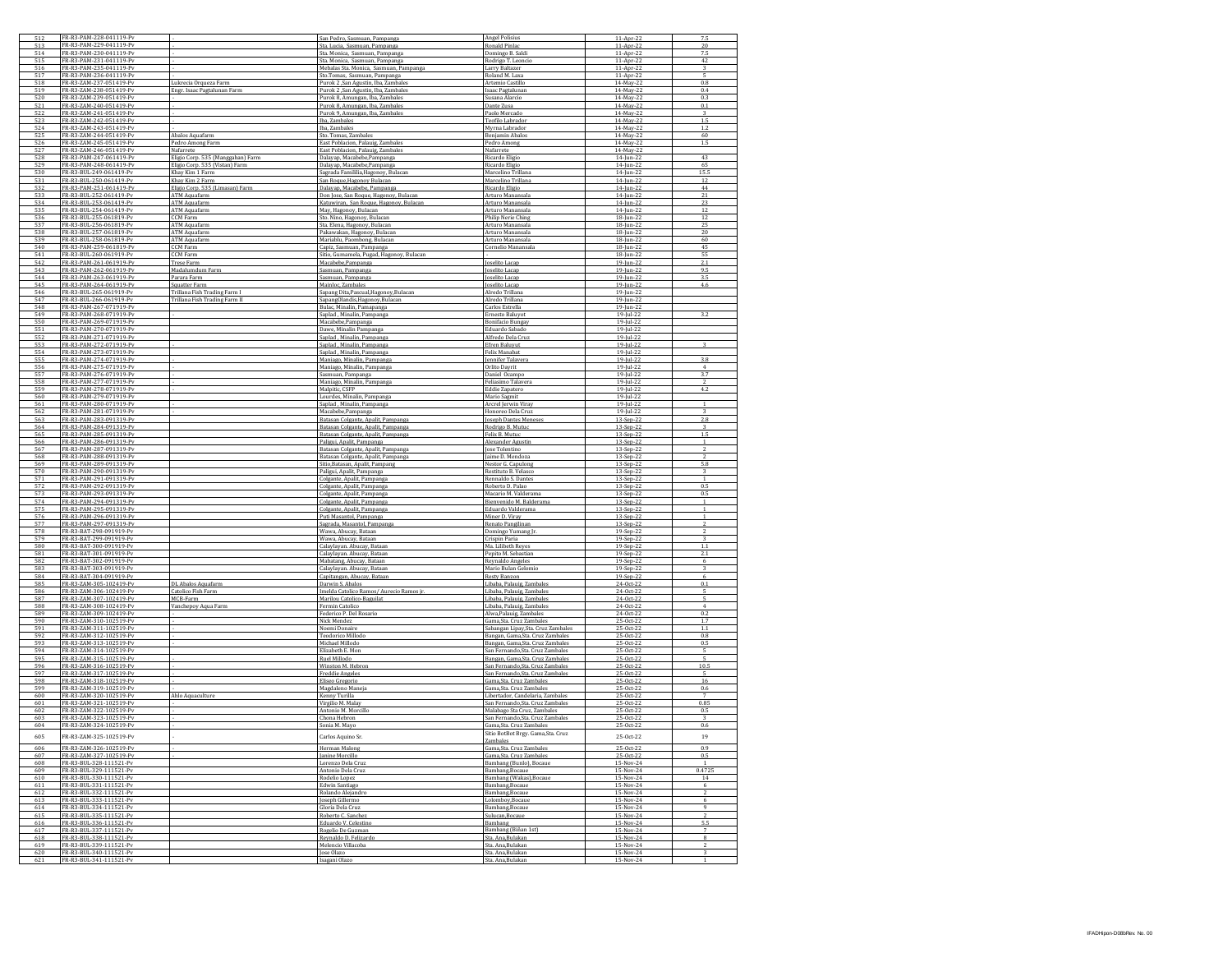| 512        | FR-R3-PAM-228-041119-Pv                            |                                                               | San Pedro, Sasmuan, Pampanga                                               | <b>Angel Polisius</b>                                               | 11-Apr-22                  | 7.5                    |
|------------|----------------------------------------------------|---------------------------------------------------------------|----------------------------------------------------------------------------|---------------------------------------------------------------------|----------------------------|------------------------|
| 513<br>514 | FR-R3-PAM-229-041119-P<br>FR-R3-PAM-230-041119-Pv  |                                                               | Sta. Lucia, Sasmuan, Pampanga<br>Sta. Monica, Sasmuan, Pampanga            | Ronald Pinla<br>Domingo B. Saldi                                    | $11-Apr-2$<br>11-Apr-22    | $\overline{20}$<br>7.5 |
| 515        | FR-R3-PAM-231-041119-Pv                            |                                                               | Sta. Monica, Sasmuan, Pampanga                                             | Rodrigo T. Leoncio                                                  | 11-Apr-22                  | 42                     |
| 516        | FR-R3-PAM-235-041119-Pv                            |                                                               | Mebalas Sta. Monica, Sasmuan, Pampanga                                     | Larry Baltazer                                                      | 11-Apr-22                  | $\overline{3}$         |
| 517        | R-R3-PAM-236-041119-Pv                             |                                                               | Sto.Tomas, Sasmuan, Pampanga                                               | Roland M. Laxa                                                      | 11-Apr-22                  |                        |
| 518<br>519 | FR-R3-ZAM-237-051419-Pv<br>FR-R3-ZAM-238-051419-Pv | Lukrecia Orqueza Farm<br>Engr. Isaac Pagtalunan Farm          | Purok 2 ,San Agustin, Iba, Zambales<br>Purok 2 .San Agustin, Iba, Zambales | Artemio Castillo<br>Isaac Pagtalunan                                | 14-May-22<br>14-May-22     | 0.8<br>0.4             |
| 520        | FR-R3-ZAM-239-051419-Pv                            |                                                               | Purok 8, Amungan, Iba, Zambales                                            | Susana Alarcio                                                      | 14-May-22                  | 0.3                    |
| 521        | FR-R3-ZAM-240-051419-Pv                            |                                                               | Purok 8, Amungan, Iba, Zambales                                            | Dante Zusa                                                          | 14-May-22                  | 0.1                    |
| 522<br>523 | R-R3-ZAM-241-051419-P<br>FR-R3-ZAM-242-051419-P    |                                                               | Purok 9, Amungan, Iba, Zambales<br>Iba. Zambale:                           | Paolo Mercado                                                       | 14-May-22<br>14-May-2      |                        |
| 524        | FR-R3-ZAM-243-051419-Pv                            |                                                               | Iba, Zambales                                                              | Teofilo Labrado<br>Myrna Labrador                                   | 14-May-22                  | 1.2                    |
| 525        | FR-R3-ZAM-244-051419-P\                            | Abalos Aquafarm                                               | Sto. Tomas, Zambales                                                       | Benjamin Abalos                                                     | 14-May-22                  | 60                     |
| 526        | FR-R3-ZAM-245-051419-Pv                            | Pedro Among Farm                                              | East Poblacion, Palauig, Zambales                                          | Pedro Among                                                         | 14-May-22                  | 1.5                    |
| 527<br>528 | R-R3-ZAM-246-051419-P<br>FR-R3-PAM-247-061419-Pv   | Nafarrete<br>Eligio Corp. 535 (Manggahan) Farm                | East Poblacion, Palauig, Zambales<br>Dalayap, Macabebe, Pampanga           | Nafarrete<br>Ricardo Eligio                                         | 14-May-22<br>14-Jun-22     | 43                     |
| 529        | FR-R3-PAM-248-061419-Pv                            | Eligio Corp. 535 (Vistan) Farm                                | Dalayap, Macabebe, Pampanga                                                | Ricardo Eligio                                                      | 14-Jun-22                  | 65                     |
| 530        | FR-R3-BUL-249-061419-Pv                            | Khay Kim 1 Farm                                               | Sagrada Famililia, Hagonoy, Bulacar                                        | Marcelino Trillana                                                  | 14-Jun-22                  | 15.5                   |
| 531        | FR-R3-BUL-250-061419-Pv                            | Khay Kim 2 Farm                                               | San Roque, Hagonoy Bulacan                                                 | Marcelino Trillana                                                  | 14-Jun-22                  | 12                     |
| 532<br>533 | R-R3-PAM-251-061419-P<br>FR-R3-BUL-252-061419-P    | Eligio Corp. 535 (Limasan) Farm<br>ATM Aquafarm               | Dalayap, Macabebe, Pampanga<br>Don Jose, San Roque, Hagonoy, Bulac         | Ricardo Eligio<br>Arturo Manansala                                  | 14-Jun-22<br>$14$ -Jun-2   | 44<br>21               |
| 534        | FR-R3-BUL-253-061419-Pv                            | ATM Aquafarm                                                  | Katuwiran, San Roque, Hagonoy, Bulacan                                     | Arturo Manansala                                                    | 14-Jun-22                  | 23                     |
| 535        | FR-R3-BUL-254-061419-Pv                            | ATM Aguafarm                                                  | May, Hagonoy, Bulacan                                                      | Arturo Manansala                                                    | 14-Jun-22                  | 12                     |
| 536        | FR-R3-BUL-255-061819-Pv<br>R-R3-BUL-256-061819-P   | CCM Farm                                                      | Sto. Nino, Hagonoy, Bulacan                                                | Philip Nerie Ching                                                  | 18-Jun-22                  | 12<br>25               |
| 537<br>538 | FR-R3-BUL-257-061819-Pv                            | ATM Aquafarm<br><b>ATM Aquafarm</b>                           | Sta. Elena, Hagonoy, Bulacan<br>Pakawakan, Hagonov, Bulacan                | Arturo Manansala<br>Arturo Manansala                                | 18-Jun-22<br>18-Jun-22     | 20                     |
| 539        | FR-R3-BUL-258-061819-Pv                            | <b>ATM Aquafarm</b>                                           | Mariablu, Paombong, Bulacan                                                | Arturo Manansala                                                    | 18-Jun-22                  | 60                     |
| 540        | FR-R3-PAM-259-061819-Pv                            | <b>CCM Farm</b>                                               | Capiz, Sasmuan, Pampang.                                                   | Cornelio Manansala                                                  | 18-Jun-22                  | 45                     |
| 541<br>542 | FR-R3-BUL-260-061919-P<br>R-R3-PAM-261-061919-P    | CCM Farm<br><b>Trese Farm</b>                                 | Sitio, Gumamela, Pugad, Hagonoy, Bulacan<br>Macabebe, Pampanga             | Joselito Lacap                                                      | 18-Jun-22<br>19-Jun-22     | 55<br>2.1              |
| 543        | FR-R3-PAM-262-061919-P                             | Madalumdum Farm                                               | Sasmuan, Pampanga                                                          | Joselito Lacap                                                      | $19$ -Jun-2                | 9.5                    |
| 544        | FR-R3-PAM-263-061919-Pv                            | Parara Farm                                                   | Sasmuan, Pampanga                                                          | Joselito Lacap                                                      | 19-Jun-22                  | 3.5                    |
| 545        | FR-R3-PAM-264-061919-Pv                            | Squatter Farm                                                 | Mainloc, Zambales                                                          | Joselito Lacap                                                      | 19-Jun-22                  | 4.6                    |
| 546<br>547 | FR-R3-BUL-265-061919-Pv<br>R-R3-BUL-266-061919-P   | Trillana Fish Trading Farm I<br>Frillana Fish Trading Farm II | Sapang Dita, Pascual, Hagonoy, Bulacan<br>SapangOlandis, Hagonoy, Bulacan  | Alredo Trillana<br>Alredo Trillana                                  | 19-Jun-22<br>19-Jun-22     |                        |
| 548        | FR-R3-PAM-267-071919-Pv                            |                                                               | Bulac, Minalin, Pamapanga                                                  | Carlos Estrella                                                     | 19-Jun-22                  |                        |
| 549        | FR-R3-PAM-268-071919-Pv                            |                                                               | Saplad, Minalin, Pampanga                                                  | <b>Ernesto Baluvot</b>                                              | 19-Jul-22                  | 3.2                    |
| 550        | FR-R3-PAM-269-071919-Pv                            |                                                               | Macabebe, Pampanga                                                         | <b>Bonifacio Bungay</b>                                             | 19-Jul-22                  |                        |
| 551<br>552 | FR-R3-PAM-270-071919-Pv<br>FR-R3-PAM-271-071919-Py |                                                               | Dawe, Minalin Pampanga<br>Saplad, Minalin, Pampanga                        | Eduardo Sabado<br>Alfredo Dela Cruz                                 | 19-Jul-22<br>19-Jul-22     |                        |
| 553        | FR-R3-PAM-272-071919-Pv                            |                                                               | Saplad, Minalin, Pampanga                                                  | Efren Baluyut                                                       | $19 -  ul - 2$             |                        |
| 554        | FR-R3-PAM-273-071919-Pv                            |                                                               | Saplad , Minalin, Pampanga                                                 | <b>Felix Manabat</b>                                                | 19-Jul-22                  |                        |
| 555        | FR-R3-PAM-274-071919-Pv                            |                                                               | Maniago, Minalin, Pampanga                                                 | <b>Jennifer Talavera</b>                                            | 19-Jul-22                  | 3.8                    |
| 556        | FR-R3-PAM-275-071919-Pv<br>FR-R3-PAM-276-071919-Pv |                                                               | Maniago, Minalin, Pampanga<br>Sasmuan, Pampanga                            | Orlito Davrit<br>Daniel Ocampo                                      | 19-Jul-22<br>$19 -  ul-2 $ | $\overline{4}$<br>3.7  |
| 558        | FR-R3-PAM-277-071919-Pv                            |                                                               | Maniago, Minalin, Pampanga                                                 | Feliasimo Talavera                                                  | 19-Jul-22                  |                        |
| 559        | FR-R3-PAM-278-071919-Pv                            |                                                               | Malnitic CSFP                                                              | Eddie Zapatero                                                      | 19-Jul-22                  | 4.2                    |
| 560        | FR-R3-PAM-279-071919-Pv                            |                                                               | Lourdes, Minalin, Pampanga                                                 | Mario Sagmit                                                        | 19-Jul-22                  |                        |
| 561<br>562 | FR-R3-PAM-280-071919-PV<br>FR-R3-PAM-281-071919-PV |                                                               | Saplad, Minalin, Pampanga<br>Macabebe, Pampanga                            | Arcrel Jerwin Viray<br>Honoreo Dela Cruz                            | 19-Jul-22<br>$19$ -Jul-22  |                        |
| 563        | FR-R3-PAM-283-091319-Pv                            |                                                               | Batasan Colgante, Apalit, Pampanga                                         | Joseph Dantes Menes                                                 | 13-Sep-2                   | 2.8                    |
| 564        | FR-R3-PAM-284-091319-Pv                            |                                                               | Batasan Colgante, Apalit, Pampanga                                         | Rodrigo B. Mutuc                                                    | 13-Sep-22                  |                        |
| 565        | FR-R3-PAM-285-091319-Pv                            |                                                               | Batasan Colgante, Apalit, Pampanga                                         | Felix B. Mutuc                                                      | 13-Sep-22                  | 1.5<br>$\overline{1}$  |
| 566<br>567 | FR-R3-PAM-286-091319-Pv<br>FR-R3-PAM-287-091319-Py |                                                               | Paligui, Apalit, Pampanga<br>Batasan Colgante, Apalit, Pampanga            | Alexander Agustin<br>Jose Tolentino                                 | 13-Sep-22<br>13-Sep-22     |                        |
| 568        | FR-R3-PAM-288-091319-Pv                            |                                                               | Batasan Colgante, Apalit, Pampanga                                         | Jaime D. Mendoza                                                    | 13-Sep-22                  |                        |
| 569        | FR-R3-PAM-289-091319-Pv                            |                                                               | Sitio.Batasan, Apalit, Pampang                                             | Nestor G. Capulons                                                  | 13-Sep-22                  | 5.8                    |
| 570<br>571 | FR-R3-PAM-290-091319-Pv<br>FR-R3-PAM-291-091319-PV |                                                               | Paligui, Apalit, Pampanga<br>Colgante, Apalit, Pampanga                    | Restituto B. Velasco<br>Rennaldo S. Dante:                          | 13-Sep-22                  | $\overline{1}$         |
| 572        | FR-R3-PAM-292-091319-Py                            |                                                               | Colgante, Apalit, Pampanga                                                 | Roberto D. Palao                                                    | 13-Sep-22<br>13-Sep-22     | 0.5                    |
| 573        | FR-R3-PAM-293-091319-Pv                            |                                                               | Colgante, Apalit, Pampanga                                                 | Macario M. Valderama                                                | 13-Sep-22                  | 0.5                    |
| 574        | FR-R3-PAM-294-091319-Pv                            |                                                               | Colgante, Apalit, Pampanga                                                 | Bienvenido M. Balderama                                             | 13-Sep-22                  |                        |
| 575<br>576 | FR-R3-PAM-295-091319-Pv<br>FR-R3-PAM-296-091319-Pv |                                                               | Colgante, Apalit, Pampanga<br>Puti Masantol, Pampanga                      | Eduardo Valderama<br>Miner D. Viray                                 | 13-Sep-22<br>13-Sep-22     |                        |
|            | FR-R3-PAM-297-091319-Py                            |                                                               | Sagrada, Masantol, Pampanga                                                | Renato Pangilinan                                                   | 13-Sep-22                  |                        |
| 578        | FR-R3-BAT-298-091919-Pv                            |                                                               | Wawa, Abucay, Bataan                                                       | Domingo Yumang Jr                                                   | 19-Sep-22                  |                        |
| 579<br>580 | FR-R3-BAT-299-091919-Pv<br>FR-R3-BAT-300-091919-Pv |                                                               | Wawa, Abucay, Bataan                                                       | Crispin Paria<br>Ma. Lilibeth Reyes                                 | 19-Sep-22                  | 1.1                    |
| 581        | FR-R3-BAT-301-091919-Pv                            |                                                               | Calaylayan. Abucay, Bataar<br>Calaylayan. Abucay, Bataan                   | Pepito M. Sebastian                                                 | 19-Sep-22<br>19-Sep-22     | 2.1                    |
| 582        | FR-R3-BAT-302-091919-Py                            |                                                               | Mabatang, Abucay, Bataan                                                   | Reynaldo Angeles                                                    | 19-Sep-22                  | 6                      |
| 583        | FR-R3-BAT-303-091919-Pv                            |                                                               | Calaylayan. Abucay, Bataan                                                 | Mario Bulan Gelomio                                                 | 19-Sep-22                  |                        |
| 584<br>585 | FR-R3-BAT-304-091919-Pv<br>FR-R3-ZAM-305-102419-Pv | DL Abalos Aquafarm                                            | Capitangan, Abucay, Bataan<br>Darwin S. Abalos                             | <b>Resty Banzon</b><br>Libaba, Palauig, Zambales                    | 19-Sep-22<br>24-Oct-22     | 6<br>0.1               |
| 586        | FR-R3-ZAM-306-102419-Pv                            | Catolico Fish Farm                                            | Imelda Catolico Ramos/ Aurecio Ramos jr.                                   | Libaba, Palauig, Zambales                                           | 24-Oct-22                  | 5                      |
| 587        | FR-R3-ZAM-307-102419-Py                            | MCB-Farm                                                      | Marilou Catolico-Baguilat                                                  | Libaba, Palauig, Zambales                                           | 24-Oct-2                   |                        |
| 588        | FR-R3-ZAM-308-102419-Pv                            | Vanchepoy Aqua Farm                                           | Fermin Catolico                                                            | Libaba, Palauig, Zambales                                           | 24-Oct-22                  | $\overline{4}$         |
| 589<br>590 | FR-R3-ZAM-309-102419-Pv<br>FR-R3-ZAM-310-102519-Pv |                                                               | Federico P. Del Rosario<br><b>Nick Mendez</b>                              | Alwa, Palauig, Zambales<br>Gama, Sta. Cruz Zambales                 | 24-Oct-22<br>25-Oct-22     | 0.2<br>1.7             |
| 591        | FR-R3-ZAM-311-102519-Pv                            |                                                               | Noemi Donaire                                                              | Sabangan Lipay, Sta. Cruz Zambales                                  | 25-Oct-22                  | $1.1\,$                |
| 592        | FR-R3-ZAM-312-102519-Pv                            |                                                               | <b>Teodorico Millodo</b>                                                   | Bangan, Gama, Sta. Cruz Zambales                                    | 25-Oct-22                  | 0.8                    |
| 593<br>594 | FR-R3-ZAM-313-102519-PV<br>FR-R3-ZAM-314-102519-Pv |                                                               | Michael Millodo<br>Elizabeth E. Mon                                        | Bangan, Gama, Sta, Cruz Zambales<br>San Fernando.Sta. Cruz Zambales | 25-Oct-22<br>25-Oct-22     | 0.5<br>5               |
| 595        | FR-R3-ZAM-315-102519-Pv                            |                                                               | Ruel Millodo                                                               | Bangan, Gama, Sta. Cruz Zambales                                    | 25-Oct-22                  |                        |
| 596        | FR-R3-ZAM-316-102519-Pv                            |                                                               | Winston M. Hebron                                                          | San Fernando, Sta. Cruz Zambales                                    | 25-Oct-22                  | 10.5                   |
| 597        | FR-R3-ZAM-317-102519-Pv                            |                                                               | <b>Freddie Angeles</b>                                                     | San Fernando, Sta. Cruz Zambales                                    | 25-Oct-22                  |                        |
| 598<br>599 | FR-R3-ZAM-318-102519-Pv<br>FR-R3-ZAM-319-102519-Pv |                                                               | Eliseo Gregorio<br>Magdaleno Maneja                                        | Gama.Sta. Cruz Zambales<br>Gama.Sta. Cruz Zambales                  | 25-Oct-22<br>25-Oct-22     | 16<br>0.6              |
| 600        | FR-R3-ZAM-320-102519-Pv                            | Ahlo Aquaculture                                              | Kenny Turilla                                                              | Libertador, Candelaria, Zambales                                    | 25-Oct-22                  |                        |
| 601        | FR-R3-ZAM-321-102519-Pv                            |                                                               | Virgilio M. Malay                                                          | San Fernando, Sta. Cruz Zambales                                    | 25-Oct-22                  | 0.85                   |
| 602        | FR-R3-ZAM-322-102519-PV                            |                                                               | Antonio M. Morcillo                                                        | Malabago Sta Cruz, Zambales                                         | 25-Oct-22                  | 0.5                    |
| 603<br>604 | FR-R3-ZAM-323-102519-Pv<br>FR-R3-ZAM-324-102519-Pv |                                                               | Chona Hebron<br>Sonia M. Mayo                                              | San Fernando.Sta. Cruz Zambales<br>Gama.Sta. Cruz Zambales          | 25-Oct-22<br>25-Oct-22     | 0.6                    |
|            |                                                    |                                                               |                                                                            | itio BotBot Brgy. Gama,Sta. uruz                                    |                            |                        |
| 605        | FR-R3-ZAM-325-102519-Pv                            |                                                               | Carlos Aquino Sr.                                                          | Zambales                                                            | 25-0ct-22                  | 19                     |
| 606        | FR-R3-ZAM-326-102519-Pv                            |                                                               | Herman Malong                                                              | Gama, Sta. Cruz Zambales                                            | 25-Oct-22                  | 0.9                    |
| 607<br>608 | FR-R3-ZAM-327-102519-Pv<br>FR-R3-BUL-328-111521-Pv |                                                               | <b>Janine Morcillo</b><br>Lorenzo Dela Cruz                                | Gama.Sta. Cruz Zambales<br>Bambang (Bunlo), Bocaue                  | 25-Oct-22<br>15-Nov-24     | 0.5<br>-1              |
| 609        | FR-R3-BUL-329-111521-Pv                            |                                                               | Antonio Dela Cruz                                                          | Bambang, Bocaue                                                     | 15-Nov-24                  | 0.472                  |
| 610        | FR-R3-BUL-330-111521-Pv                            |                                                               | Rodelio Lopez                                                              | Bambang (Wakas), Bocaue                                             | 15-Nov-24                  | 14                     |
| 611        | FR-R3-BUL-331-111521-PV<br>FR-R3-BUL-332-111521-Pv |                                                               | Edwin Santiago                                                             | Bambang, Bocaue                                                     | 15-Nov-24<br>15-Nov-24     | 6<br>$\overline{2}$    |
| 612<br>613 | FR-R3-BIIL-333-111521-Pv                           |                                                               | Rolando Alejandro<br>Joseph Gillermo                                       | Bambang, Bocaue<br>Lolomboy.Bocaue                                  | 15-Nov-24                  | 6                      |
| 614        |                                                    |                                                               | Gloria Dela Cruz                                                           | Bambang, Bocaue                                                     | 15-Nov-24                  | $\mathbf{Q}$           |
|            | FR-R3-BUL-334-111521-Pv                            |                                                               |                                                                            |                                                                     |                            |                        |
| 615        | FR-R3-BUL-335-111521-Pv                            |                                                               | Roberto C. Sanchez                                                         | Sulucan, Bocaue                                                     | 15-Nov-24                  |                        |
| 616        | FR-R3-BUL-336-111521-Pv                            |                                                               | Eduardo V. Celestino                                                       | Bambang                                                             | 15-Nov-24                  |                        |
| 617<br>618 | FR-R3-BUL-337-111521-Pv<br>FR-R3-BUL-338-111521-Pv |                                                               | Rogelio De Guzman<br>Revnaldo D. Felizardo                                 | Bambang (Biñan 1st)<br>Sta, Ana, Bulakan                            | 15-Nov-24<br>15-Nov-24     | 8                      |
| 619        | FR-R3-BUL-339-111521-Pv                            |                                                               | Melencio Villacoba                                                         | Sta. Ana, Bulakan                                                   | $15-Nov-24$                |                        |
| 620<br>621 | FR-R3-BUL-340-111521-Pv<br>FR-R3-BUL-341-111521-Pv |                                                               | Jose Olazo<br>Isagani Olazo                                                | Sta. Ana, Bulakan<br>Sta. Ana, Bulakan                              | 15-Nov-24<br>15-Nov-24     | 3                      |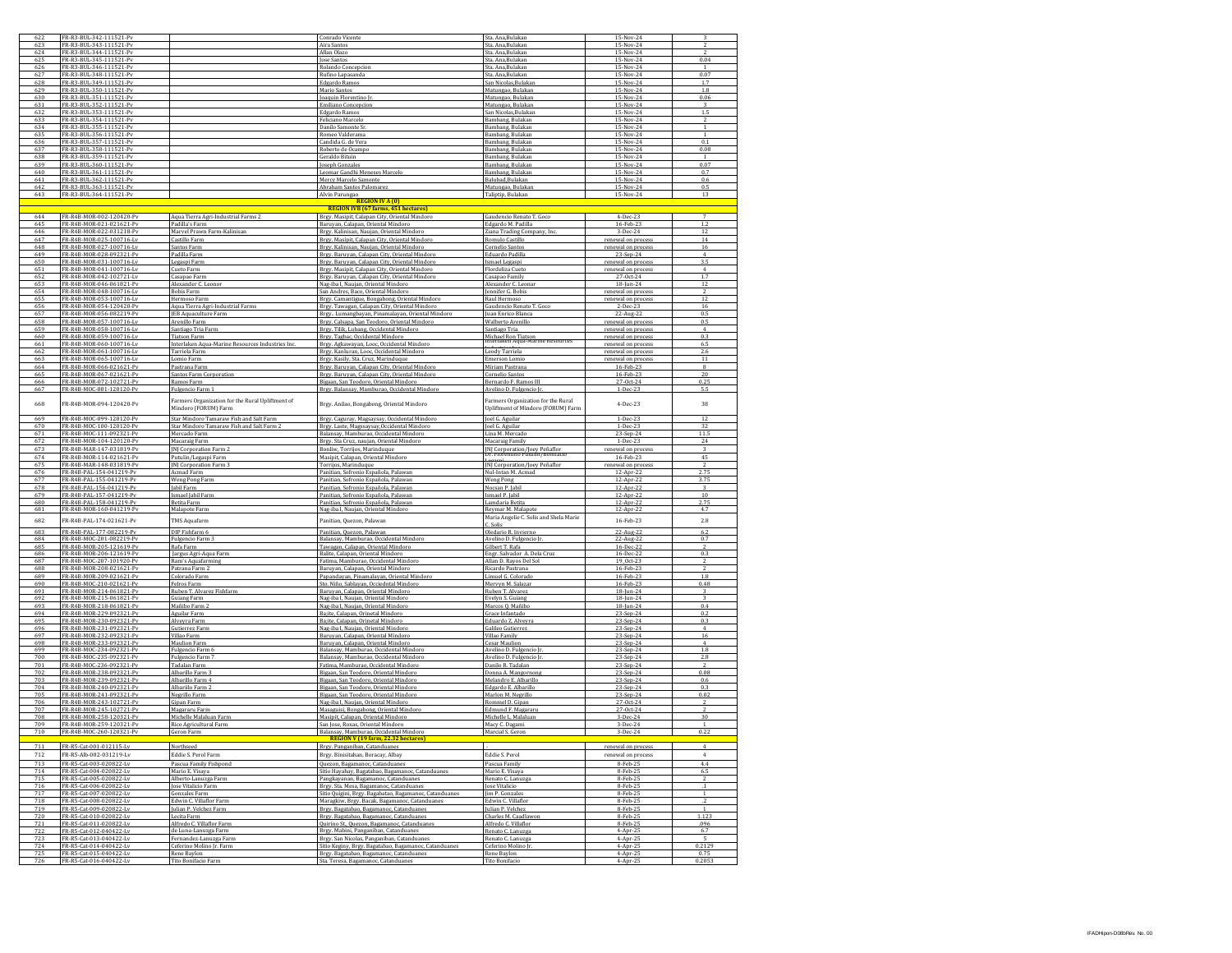| 622        | FR-R3-BUL-342-111521-Pv                              |                                                                                      | Conrado Vicente                                                                                     | Sta. Ana, Bulakan                                                 | 15-Nov-24                               |                         |
|------------|------------------------------------------------------|--------------------------------------------------------------------------------------|-----------------------------------------------------------------------------------------------------|-------------------------------------------------------------------|-----------------------------------------|-------------------------|
| 62         | FR-R3-BUL-343-111521-Py<br>FR-R3-BUL-344-111521-Pv   |                                                                                      | Aira Santos                                                                                         | Sta. Ana, Bulakar                                                 | 15-Nov-24<br>15-Nov-24                  |                         |
| 624<br>625 | FR-R3-BUL-345-111521-Pv                              |                                                                                      | Allan Olazo<br><b>lose Santos</b>                                                                   | Sta, Ana, Bulakan<br>Sta, Ana.Bulakan                             | 15-Nov-24                               | 0.04                    |
| 626        | FR-R3-BUL-346-111521-Pv                              |                                                                                      | Rolando Concepcion                                                                                  | Sta. Ana, Bulakan                                                 | 15-Nov-24                               | -1                      |
| 627        | FR-R3-BUL-348-111521-PV                              |                                                                                      | Rufino Lapasanda                                                                                    | Sta. Ana, Bulakan                                                 | 15-Nov-24                               | 0.07                    |
| 628        | FR-R3-BUL-349-111521-Pv                              |                                                                                      | Edgardo Ramos                                                                                       | San Nicolas.Bulaka                                                | $15-Nov-24$                             | 1.7                     |
| 629<br>630 | FR-R3-BUL-350-111521-Pv                              |                                                                                      | Mario Santos                                                                                        | Matungao, Bulakan                                                 | 15-Nov-24                               | 1.8<br>0.06             |
| 631        | FR-R3-BUL-351-111521-Pv<br>FR-R3-BUL-352-111521-Pv   |                                                                                      | Joaquin Florentino J<br>Emiliano Concepcion                                                         | Matungao, Bulakan<br>Matungao, Bulakan                            | 15-Nov-24<br>15-Nov-24                  | $\overline{\mathbf{3}}$ |
| 632        | FR-R3-BUL-353-111521-P                               |                                                                                      | Edgardo Ramos                                                                                       | San Nicolas, Bulaka                                               | 15-Nov-24                               | 1.5                     |
| 633        | FR-R3-BUL-354-111521-Pv                              |                                                                                      | Feliciano Marcelo                                                                                   | Bambang, Bulakan                                                  | 15-Nov-24                               |                         |
| 634        | FR-R3-RIII-355-111521-Pv                             |                                                                                      | Danilo Samonte St                                                                                   | Bambang, Bulakan                                                  | 15-Nov-24                               |                         |
| 635        | FR-R3-BUL-356-111521-Pv                              |                                                                                      | Romeo Valderama                                                                                     | Bambang, Bulakan                                                  | 15-Nov-24                               | $\overline{1}$          |
| 636<br>637 | FR-R3-BUL-357-111521-Pv<br>FR-R3-BUL-358-111521-P    |                                                                                      | Candida G. de Vera<br>Roberto de Ocampo                                                             | Bambang, Bulakan<br>Bambang, Bulakan                              | 15-Nov-24<br>15-Nov-24                  | 0.1<br>0.08             |
| 638        | FR-R3-BUL-359-111521-Pv                              |                                                                                      | Geraldo Bituir                                                                                      | Bambang, Bulakar                                                  | 15-Nov-24                               |                         |
| 639        | FR-R3-BUL-360-111521-Pv                              |                                                                                      | Joseph Gonzales                                                                                     | Bambang, Bulakan                                                  | 15-Nov-24                               | 0.07                    |
| 640        | FR-R3-BUL-361-111521-Pv                              |                                                                                      | Leomar Gandhi Meneses Marcelo                                                                       | Bambang, Bulakan                                                  | 15-Nov-24                               | 0.7                     |
| 641        | FR-R3-BUL-362-111521-Pv                              |                                                                                      | Mercy Marcelo Samonte                                                                               | Balubad, Bulakan                                                  | 15-Nov-24                               | 0.6                     |
| 642<br>643 | FR-R3-BUL-363-111521-P<br>FR-R3-BUL-364-111521-Pv    |                                                                                      | Abraham Santos Palomare:<br>Alvin Parungao                                                          | Matungao, Bulaka<br>Taliptip, Bulakar                             | 15-Nov-24<br>15-Nov-24                  | 0.5<br>13               |
|            |                                                      |                                                                                      | <b>REGION IV A (0)</b>                                                                              |                                                                   |                                         |                         |
|            |                                                      |                                                                                      | <b>REGION IVB (67 farms, 451 hectares)</b>                                                          |                                                                   |                                         |                         |
| 644        | FR-R4B-MOR-002-120420-Pv                             | Aqua Tierra Agri-Industrial Farms 2                                                  | Brgy. Masipit, Calapan City, Oriental Mindoro                                                       | Gaudencio Renato T. Goco                                          | 4-Dec-23                                | $\overline{7}$          |
| 645        | FR-R4B-MOR-021-021621-P\                             | Padilla's Farm<br>Marvel Prawn Farm-Kalinisan                                        | Baruyan, Calapan, Oriental Mindoro                                                                  | Edgardo M. Padilla                                                | 16-Feb-23                               | 1.2                     |
| 646<br>647 | FR-R4B-MOR-022-031218-P<br>FR-R4B-MOR-025-100716-Lv  | Castillo Farm                                                                        | Brgy. Kalinisan, Naujan, Oriental Mindor<br>Brgy, Masipit, Calapan City, Oriental Mindoro           | Ziana Trading Company, Inc<br>Romulo Castillo                     | $3-Dec-24$<br>renewal on process        | 12<br>14                |
| 648        | FR-R4B-MOR-027-100716-Lv                             | Santos Farm                                                                          | Brgy. Kalinisan, Naujan, Oriental Mindoro                                                           | Cornelio Santos                                                   | renewal on proce.                       | 16                      |
| 649        | FR-R4B-MOR-028-092321-Pv                             | Padilla Farm                                                                         | Brgy. Baruyan, Calapan City, Oriental Mindoro                                                       | Eduardo Padilla                                                   | 23-Sep-24                               | $\overline{4}$          |
| 650        | FR-R4B-MOR-031-100716-Lv                             | Legaspi Farm                                                                         | Brgy. Baruyan, Calapan City, Oriental Mindoro                                                       | Ismael Legaspi                                                    | renewal on process                      | 3.5                     |
| 651        | FR-R4B-MOR-041-100716-Lv                             | Cueto Farm                                                                           | Brgy. Masipit, Calapan City, Oriental Mindoro                                                       | Flordeliza Cueto                                                  | renewal on process                      |                         |
| 652<br>653 | FR-R4B-MOR-042-102721-Lv<br>FR-R4B-MOR-046-061821-Pv | Casapao Farm<br>Alexander C. Leonor                                                  | Brgy. Baruyan, Calapan City, Oriental Mindoro                                                       | Casapao Family<br>Alexander C. Leonar                             | 27-Oct-24<br>$18 - \frac{10}{9}$        | 1.7<br>12               |
| 654        | FR-R4B-MOR-048-100716-Lv                             | <b>Bobis Farm</b>                                                                    | Nag-iba I, Naujan, Oriental Mindoro<br>San Andres, Baco, Oriental Mindoro                           | Jennifer G. Bobis                                                 | renewal on process                      | $\overline{z}$          |
| 655        | FR-R4B-MOR-053-100716-Lv                             | Hermoso Farm                                                                         | Brgy. Camantigue, Bongabong, Oriental Mindoro                                                       | Raul Hermoso                                                      | renewal on process                      | 12                      |
| 656        | FR-R4B-MOR-054-120420-Pv                             | Aqua Tierra Agri-Industrial Farms                                                    | Brgy. Tawagan, Calapan City, Oriental Mindoro                                                       | Gaudencio Renato T. Goco                                          | 2-Dec-23                                | 16                      |
| 657        | FR-R4B-MOR-056-082219-Pv                             | <b>EB Aquaculture Farm</b>                                                           | Brgy Lumangbayan, Pinamalayan, Oriental Mindoro                                                     | Juan Enrico Blanca                                                | 22-Aug-22                               | 0.5                     |
| 658<br>659 | FR-R4B-MOR-057-100716-Lv<br>FR-R4B-MOR-058-100716-Lv | Arenillo Farm                                                                        | Brgy. Calsapa, San Teodoro, Oriental Mindoro                                                        | Walberto Arenillo<br>Santiago Tria                                | renewal on proces<br>renewal on process | 0.5<br>$\overline{4}$   |
| 660        | FR-R4B-MOR-059-100716-Lv                             | Santiago Tria Farm<br>Tiatson Farm                                                   | Brgy. Tilik, Lubang, Occidental Mindoro<br>Brgy. Tagbac, Occidental Mindoro                         |                                                                   | renewal on process                      | 0.3                     |
| 661        | FR-R4B-MOR-060-100716-Lv                             | Interlaken Agua-Marine Resources Industries Ind                                      | Brgy. Agkawayan, Looc, Occidental Mindoro                                                           | Michael Ron Tiatson<br>mueriaken Aqua-marme Resource              | renewal on process                      | 65                      |
| 662        | FR-R4B-MOR-061-100716-Lv                             | Tarriela Farm                                                                        | Brgy. Kanluran, Looc, Occidental Mindoro                                                            | Leody Tarriela                                                    | renewal on process                      | 2.6                     |
| 663        | FR-R4B-MOR-065-100716-Lv                             | Lomio Farm                                                                           | Brgy. Kasily, Sta. Cruz, Marinduque                                                                 | Emerson Lomio                                                     | renewal on process                      | 11                      |
| 664        | FR-R4B-MOR-066-021621-Pv                             | Pastrana Farm                                                                        | Brgy. Baruyan, Calapan City, Oriental Mindoro<br>Brgy. Baruyan, Calapan City, Oriental Mindoro      | Miriam Pastrana                                                   | 16-Feb-23                               | 8<br>20                 |
| 665<br>666 | FR-R4B-MOR-067-021621-Pv<br>FR-R4B-MOR-072-102721-Pv | Santos Farm Corporation<br>Ramos Farm                                                | Bigaan, San Teodoro, Oriental Mindoro                                                               | Cornelio Santos<br>Bernardo F. Ramos III                          | 16-Feb-23<br>27-Oct-24                  | 0.25                    |
| 667        | FR-R4B-MOC-081-120120-Pv                             | Fulgencio Farm 1                                                                     | Brgy. Balansay, Mamburao, Occidental Mindoro                                                        | Avelino D. Fulgencio Jr.                                          | 1-Dec-23                                | 5.5                     |
|            |                                                      | Farmers Organization for the Rural Upliftment of                                     |                                                                                                     | Farmers Organization for the Rural                                |                                         |                         |
| 668<br>669 | FR-R4B-MOR-094-120420-Pv<br>FR-R4B-MOC-099-120120-Pv | Mindoro (FORUM) Farm                                                                 | Brgy. Anilao, Bongabong, Oriental Mindoro                                                           | Upliftment of Mindoro (FORUM) Farm<br>Joel G. Aguilar             | 4-Dec-23<br>1-Dec-23                    | 38<br>12                |
| 670        | FR-R4B-MOC-100-120120-Pv                             | Star Mindoro Tamaraw Fish and Salt Farm<br>Star Mindoro Tamaraw Fish and Salt Farm 2 | Brgy. Caguray, Magsaysay, Occidental Mindoro<br>Brgy. Laste, Magssaysay, Occidental Mindoro         | Joel G. Aguilar                                                   | 1-Dec-23                                | 32                      |
| 671        | FR-R4B-MOC-111-092321-Pv                             | Mercado Farm                                                                         | Balansay, Mamburao, Occidental Mindoro                                                              | Lina M. Mercado                                                   | 23-Sep-24                               | 11.5                    |
| 672        | FR-R4B-MOR-104-120120-Pv                             | Macaraig Farm                                                                        | Brgy. Sta Cruz, naujan, Oriental Mindoro                                                            | Macaraig Family                                                   | 1-Dec-23                                | 24                      |
| 673        | FR-R4B-MAR-147-031819-Pv                             | [N] Corporation Farm 2                                                               | Bonliw, Torrijos, Marinduque                                                                        | [N] Corporation/Joey Peñaflor<br>Dr. Florentino Putulin/Bonifacio | renewal on process                      |                         |
|            |                                                      |                                                                                      |                                                                                                     |                                                                   |                                         |                         |
| 674        | FR-R4B-MOR-114-021621-Pv                             | Putulin/Legaspi Farm                                                                 | Masipit, Calapan, Oriental Mindoro                                                                  |                                                                   | 16-Feb-23                               | 45                      |
| 675        | FR-R4B-MAR-148-031819-Pv                             | [N] Corporation Farm 3                                                               | Torrijos, Marinduque                                                                                | [N] Corporation/Joey Peñaflor                                     | renewal on process                      |                         |
| 676        | FR-R4B-PAL-154-041219-Pv<br>FR-R4B-PAL-155-041219-Pv | Acmad Farm                                                                           | Panitian, Sofronio Española, Palawan                                                                | Nul-Intan M. Acmad                                                | 12-Apr-22                               | 2.75                    |
| 677<br>678 | FR-R4B-PAL-156-041219-Pv                             | Weng Pong Farm<br>Jabil Farm                                                         | Panitian, Sofronio Española, Palawan                                                                | <b>Weng Pong</b><br>Nocsan P. Jabil                               | 12-Apr-22<br>12-Apr-22                  | 3.75<br>$\mathbf{z}$    |
| 679        | FR-R4B-PAL-157-041219-Pv                             | Ismael Jabil Farm                                                                    | Panitian, Sofronio Española, Palawan<br>Panitian, Sofronio Española, Palawan                        | Ismael P. Jabil                                                   | 12-Apr-22                               | 10                      |
| 680        | FR-R4B-PAL-158-041219-Pv                             | Betita Farm                                                                          | Panitian, Sofronio Española, Palawa                                                                 | Lamdaria Betita                                                   | 12-Apr-22                               | 2.75                    |
| 681<br>682 | FR-R4B-MOR-160-041219-Pv<br>FR-R4B-PAL-174-021621-Pv | Malapote Farm<br><b>TMS Aquafarm</b>                                                 | Nag-iba I, Naujan, Oriental Mindoro<br>Panitian, Quezon, Palawan                                    | Reymar M. Malapote<br>Maria Angelie C. Solis and Shela Marie      | 12-Apr-22<br>16-Feb-23                  | 4.7<br>$2.8\,$          |
| 683        | FR-R4B-PAL-177-082219-Pv                             | DIP Fishfarm 6                                                                       |                                                                                                     | C. Solis                                                          |                                         | 6.2                     |
| 684        | FR-R4B-MOC-201-082219-Pv                             | Fulgencio Farm 3                                                                     | Panitian, Quezon, Palawan<br>Balansay, Mamburao, Occidental Mindoro                                 | Oledario R. Invierno<br>Avelino D. Fulgencio Jı                   | 22-Aug-22<br>22-Aug-22                  | 0.7                     |
| 685        | FR-R4B-MOR-205-121619-Pv                             | Rafa Farm                                                                            | Tawagan, Calapan, Oriental Mindoro                                                                  | Gilbert T. Rafa                                                   | 16-Dec-22                               |                         |
| 686        | FR-R4B-MOR-206-121619-Pv                             | Jargus Agri-Aqua Farm                                                                | Balite, Calapan, Oriental Mindoro                                                                   | Engr. Salvador A. Dela Cruz                                       | 16-Dec-22                               | 0.3                     |
| 687<br>688 | FR-R4B-MOC-207-101920-Pv<br>FR-R4B-MOR-208-021621-Pv | Ram's Aquafarming<br>Patrana Farm 2                                                  | Fatima, Mamburao, Occidental Mindoro                                                                | Allan D. Rayos Del Sol<br>Ricardo Pastrana                        | 19 Oct-23<br>16-Feb-23                  | $\overline{z}$          |
| 689        | FR-R4B-MOR-209-021621-Pv                             | Colorado Farm                                                                        | Baruyan, Calapan, Oriental Mindoro<br>Papandayan, Pinamalayan, Oriental Mindoro                     | Limuel G. Colorado                                                | 16-Feb-23                               | 1.8                     |
| 690        | FR-R4B-MOC-210-021621-Pv                             | Felros Farm                                                                          | Sto. Niño, Sablayan, Occiedntal Mindoro                                                             | Mervyn M. Salazar                                                 | 16-Feb-23                               | 0.48                    |
| 691        | FR-R4B-MOR-214-061821-Pv                             | Ruben T. Alvarez Fishfarm                                                            | Baruvan, Calapan, Oriental Mindoro                                                                  | Ruben T. Alvarez                                                  | 18-Jun-24                               |                         |
| 692<br>693 | FR-R4B-MOR-215-061821-Pv<br>FR-R4B-MOR-218-061821-Pv | Juiang Farm<br>Mañibo Farm 2                                                         | Nag-iba I, Naujan, Oriental Mindoro                                                                 | Evelyn S. Guiang                                                  | 18-Jun-24                               | 0.4                     |
| 694        | FR-R4B-MOR-229-092321-Pv                             | Aguilar Farm                                                                         | Nag-iba I, Naujan, Oriental Mindor<br>Ba;ite, Calapan, Orinetal Mindoro                             | Marcos Q. Mañibo<br>Grace Infantado                               | 18-Jun-24<br>23-Sep-24                  | 0.2                     |
| 695        | FR-R4B-MOR-230-092321-Pv                             | Alveyra Farm                                                                         | Ba;ite, Calapan, Orinetal Mindoro                                                                   | Eduardo Z. Alveyra                                                | 23-Sep-24                               | 0.3                     |
| 696        | FR-R4B-MOR-231-092321-P\                             | Gutierrez Farm                                                                       | Nag-iba I, Naujan, Oriental Mindoro                                                                 | Galileo Gutierrez                                                 | 23-Sep-24                               | $\overline{4}$          |
| 697        | FR-R4B-MOR-232-092321-Pv                             | Villao Farm                                                                          | Baruvan, Calapan, Oriental Mindoro                                                                  | Villao Family                                                     | 23-Sep-24                               | 16                      |
| 698<br>699 | FR-R4B-MOR-233-092321-Pv<br>FR-R4B-MOC-234-092321-Pv | Maulion Farm<br>Fulgencio Farm 6                                                     | Baruyan, Calapan, Oriental Mindoro                                                                  | Cesar Maulior<br>Avelino D. Fulgencio Jr                          | 23-Sep-24<br>23-Sep-24                  | 1.8                     |
| 700        | FR-R4R-MOC-235-092321-Pv                             | Fulgencio Farm 7                                                                     | Balansay, Mamburao, Occidental Mindoro<br>Balansay, Mamburao, Occidental Mindoro                    | Avelino D. Fulgencio J:                                           | 23-Sep-24                               | 2.8                     |
| 701        | FR-R4B-MOC-236-092321-Pv                             | Tadalan Farm                                                                         | Fatima, Mamburao, Occidental Mindoro                                                                | Danilo R. Tadalan                                                 | 23-Sep-24                               | $\overline{z}$          |
| 702        | FR-R4B-MOR-238-092321-P\                             | Albarillo Farm                                                                       | Bigaan, San Teodoro, Oriental Mindoro                                                               | Donna A. Mangornon                                                | 23-Sep-24                               | 0.08                    |
| 703        | FR-R4B-MOR-239-092321-Pv                             | Albarillo Farm 4                                                                     | Bigaan, San Teodoro, Oriental Mindoro                                                               | Melandro E. Albarillo                                             | 23-Sep-24                               | 0.6                     |
| 704<br>705 | R-R4B-MOR-240-092321-Pv<br>FR-R4B-MOR-241-092321-Pv  | Albariilo Farm I<br>Negrillo Farm                                                    | Bigaan, San Teodoro, Oriental Mindoro<br>Bigaan, San Teodoro, Oriental Mindoro                      | Edgardo E. Albarillo<br>Marlon M. Negrillo                        | 23-Sep-24<br>23-Sep-24                  | 0.3<br>0.02             |
| 706        | FR-R4B-MOR-243-102721-Pv                             | Gipan Farm                                                                           | Nag-iba I, Naujan, Oriental Mindoro                                                                 | Rommel D. Gipan                                                   | 27-Oct-24                               | $\overline{z}$          |
| 707        | FR-R4B-MOR-245-102721-Pv                             | Magararu Farm                                                                        | Masaguisi, Bongabong, Oriental Mindoro                                                              | Edmund F. Magararu                                                | 27-Oct-24                               |                         |
| 708        | FR-R4B-MOR-258-120321-Pv                             | Michelle Malaluan Farm                                                               | Masipit, Calapan, Oriental Mindoro                                                                  | Michelle L. Malaluan                                              | 3-Dec-24                                | 30                      |
| 709<br>710 | FR-R4B-MOR-259-120321-Pv<br>FR-R4R-MOC-260-120321-Pu | Rico Agricultural Farm<br>Geron Farm                                                 | San Jose, Roxas, Oriental Mindoro<br>Ralancay Mamburgo Occidental Mindo                             | Macy C. Dagami<br>Marcial S. Geror                                | $3-Dec-24$<br>$3-Dec-24$                | 1<br>0.22               |
|            |                                                      |                                                                                      | REGION V (19 farm, 22.32 hectares)                                                                  |                                                                   |                                         |                         |
| 711        | FR-R5-Cat-001-012115-Lv                              | Northseed                                                                            | Brgy. Panganiban, Catanduanes                                                                       |                                                                   | renewal on process                      | $\Delta$                |
| 712        | FR-R5-Alb-002-031219-Lv                              | Eddie S. Perol Farm                                                                  | Brgy. Binisitahan, Boracay, Albay                                                                   | Eddie S. Perol                                                    | renewal on process                      | $\overline{4}$          |
| 713        | FR-R5-Cat-003-020822-Lv                              | Pascua Family Fishpond                                                               | Quezon, Bagamanoc, Catanduanes                                                                      | Pascua Family                                                     | 8-Feb-25                                | 4.4                     |
| 714        | FR-R5-Cat-004-020822-Lv                              | Mario E. Visava                                                                      | Sitio Havahay, Bagatabao, Bagamanoc, Catanduanes                                                    | Mario E. Visava                                                   | 8-Feb-25                                | 6.5                     |
| 715        | FR-R5-Cat-005-020822-Lv                              | Alberto-Lanuzga Farm                                                                 | Pangkayanan, Bagamanoc, Catanduanes                                                                 | Renato C. Lanuzga                                                 | 8-Feb-25                                | $\overline{z}$          |
| 716        | FR-R5-Cat-006-020822-Lv                              | <b>Iose Vitalicio Farm</b>                                                           | Brgy. Sta. Mesa, Bagamanoc, Catanduanes<br>Sitio Quigini, Brgy, Bagabatao, Bagamanoc, Catanduanes   | <b>Inse Vitalicio</b>                                             | 8-Feb-25                                | $\cdot$                 |
| 717<br>718 | FR-R5-Cat-007-020822-Lv<br>FR-R5-Cat-008-020822-Lv   | <b>Gonzales Farm</b><br>Edwin C. Villaflor Farm                                      | Maragkiw, Brgy. Bacak, Bagamanoc, Catanduan                                                         | Jim P. Gonzales<br>Edwin C. Villaflor                             | 8-Feb-25<br>8-Feb-2                     |                         |
| 719        | FR-R5-Cat-009-020822-Lv                              | Julian P. Velchez Farm                                                               | Brgy. Bagatabao, Bagamanoc, Catanduanes                                                             | <b>Iulian P. Velchez</b>                                          | 8-Feb-25                                |                         |
| 720        | FR-R5-Cat-010-020822-Lv                              | Lecita Farm                                                                          | Brgy. Bagatabao, Bagamanoc, Catanduanes                                                             | Charles M. Caadlawor                                              | 8-Feb-25                                | 1.123                   |
| 721        | FR-R5-Cat-011-020822-Lv                              | Alfredo C. Villaflor Farm                                                            | Quirino St., Quezon, Bagamanoc, Catanduanes                                                         | Alfredo C. Villaflor                                              | 8-Feb-25                                | .096                    |
| 722        | FR-R5-Cat-012-040422-Lv                              | de Luna-Lanuzga Farm                                                                 | Brgy. Mabini, Panganiban, Catanduanes                                                               | Renato C. Lanuzga                                                 | 4-Apr-25                                | 6.7                     |
| 723<br>724 | FR-R5-Cat-013-040422-Lv<br>FR-R5-Cat-014-040422-Lv   | Fernandez-Lanuzga Farm<br>Ceferino Molino Jr. Farm                                   | Brgy. San Nicolas, Panganiban, Catanduanes<br>Sitio Keginy, Brgy. Bagatabao, Bagamanoc, Catanduanes | Renato C. Lanuzga<br>Ceferino Molino Jr.                          | 4-Apr-25<br>4-Apr-25                    | 5<br>0.2129             |
| 726        | FR-R5-Cat-015-040422-Lv<br>FR-R5-Cat-016-040422-Lv   | Rene Baylon<br>Tito Bonifacio Farm                                                   | Brgy. Bagatabao, Bagamanoc, Catanduanes<br>Sta. Teresa, Bagamanoc, Catanduanes                      | Rene Baylon<br>Tito Bonifacio                                     | 4-Apr-25<br>4-Apr-25                    | 0.75<br>0.2053          |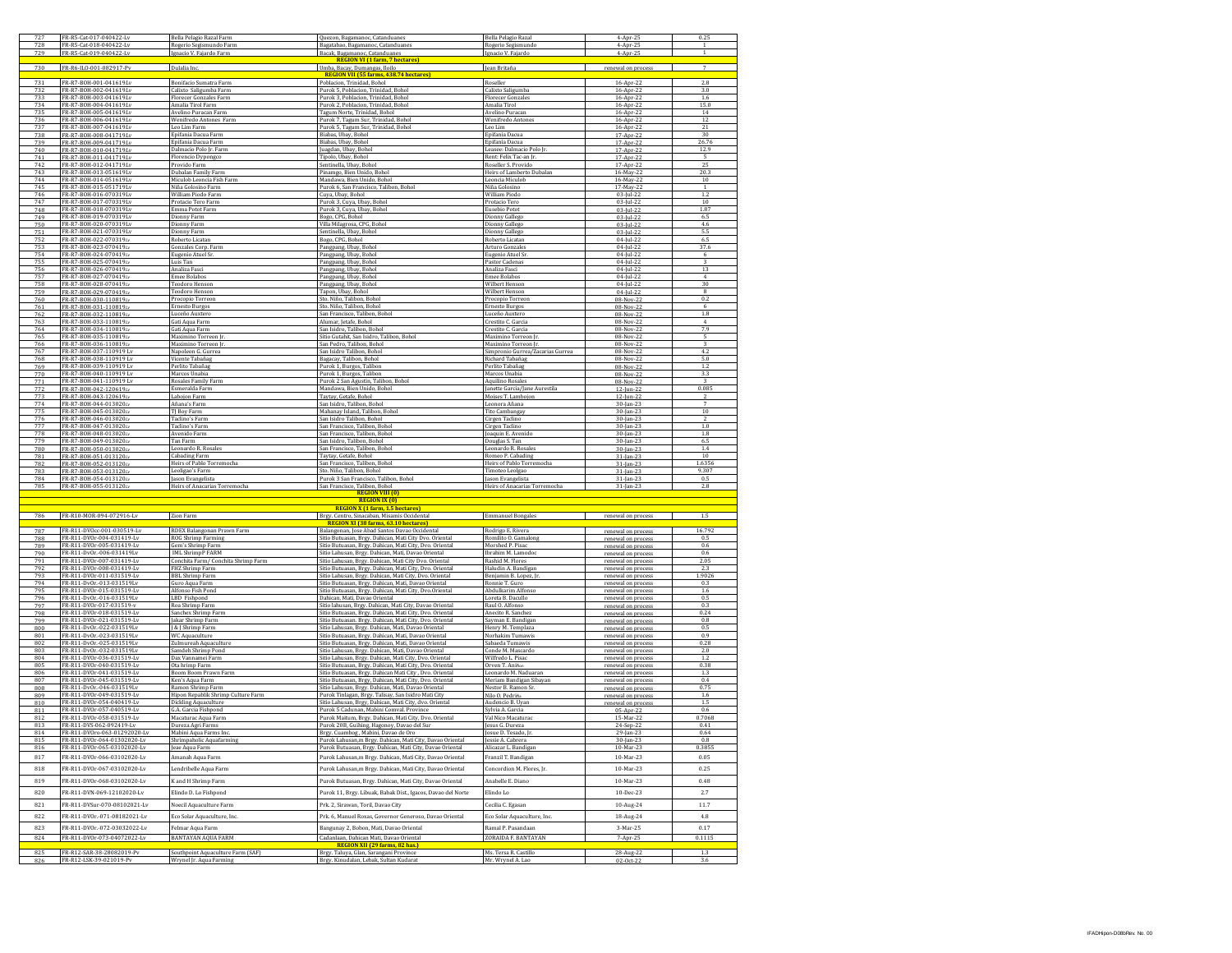| 727        | FR-R5-Cat-017-040422-Lv                                    | Bella Pelagio Razal Farm                                | Quezon, Bagamanoc, Catanduanes                                                                                        | <b>Bella Pelagio Razal</b>                    | $4-Apr-25$                               | 0.25           |
|------------|------------------------------------------------------------|---------------------------------------------------------|-----------------------------------------------------------------------------------------------------------------------|-----------------------------------------------|------------------------------------------|----------------|
| 728        | FR-R5-Cat-018-040422-Lv                                    | Rogerio Segismundo Farm                                 | Bagatabao, Bagamanoc, Catanduanes                                                                                     | Rogerio Segismundo                            | 4-Apr-25                                 |                |
| 729        | FR-R5-Cat-019-040422-Lv                                    | Ignacio V. Fajardo Farm                                 | Bacak, Bagamanoc, Catanduanes                                                                                         | Ignacio V. Fajardo                            | 4-Apr-25                                 | 1              |
|            |                                                            |                                                         | <b>REGION VI (1 farm, 7 hectares)</b>                                                                                 |                                               |                                          |                |
| 730        | FR-R6-ILO-001-082917-Pv                                    | Dulalia Inc                                             | Umba, Bacay, Dumangas, Iloilo                                                                                         | Jean Britaña                                  | renewal on proces                        | $\overline{7}$ |
|            |                                                            |                                                         | .74 hectares)<br><b>REGION VII (55 farms, 43</b>                                                                      |                                               |                                          |                |
| 731<br>732 | FR-R7-BOH-001-041619/w                                     | Bonifacio Sumatra Farm                                  | Poblacion, Trinidad, Bohol                                                                                            | Roseller                                      | 16-Apr-22                                | 2.8            |
| 733        | FR-R7-BOH-002-041619Lv<br>FR-R7-BOH-003-041619Lv           | Calixto Saligumba Farm<br><b>Florecer Gonzales Farm</b> | Purok 5. Poblacion, Trinidad, Bohol<br>Purok 3, Poblacion, Trinidad, Bohol                                            | Calixto Saligumba<br><b>Florecer Gonzales</b> | 16-Apr-22<br>16-Apr-22                   | 3.0<br>1.6     |
| 734        | FR-R7-BOH-004-041619Lv                                     | Amalia Tirol Farm                                       | Purok 2, Poblacion, Trinidad, Bohol                                                                                   | Amalia Tirol                                  | 16-Apr-22                                | 15.0           |
| 735        | FR-R7-BOH-005-041619Lv                                     | Avelino Puracan Farm                                    | Tagum Norte, Trinidad, Bohol                                                                                          | Avelino Puracan                               | 16-Apr-22                                | 14             |
| 736        | FR-R7-BOH-006-041619Lv                                     | Wenifredo Antones Farm                                  | Purok 7, Tagum Sur, Trinidad, Boho                                                                                    | Wenifredo Antones                             | 16-Apr-22                                | 12             |
| 737        | FR-R7-BOH-007-041619Lv                                     | Leo Lim Farm                                            | Purok 5, Tagum Sur, Trinidad, Bohol                                                                                   | Leo Lim                                       | 16-Apr-22                                | 21             |
| 738        | FR-R7-BOH-008-041719/.v                                    | Epifania Dacua Farm                                     | Biabas, Ubay, Bohol                                                                                                   | Epifania Dacua                                | 17-Apr-22                                | 30             |
| 739        | FR-R7-BOH-009-041719Lv                                     | Epifania Dacua Farm                                     | Biabas, Ubay, Bohol                                                                                                   | Epifania Dacua                                | 17-Apr-22                                | 26.76          |
| 740        | FR-R7-BOH-010-041719Lv                                     | Dalmacio Polo Jr. Farm                                  | Juagdan, Ubay, Bohol                                                                                                  | Leasee: Dalmacio Polo Jr                      | 17-Apr-22                                | 12.9           |
| 741        | FR-R7-BOH-011-041719Lv                                     | Florencio Dypongco                                      | Tipolo, Ubay, Bohol                                                                                                   | Rent: Felix Tac-an Jr                         | 17-Apr-22                                |                |
| 742<br>743 | FR-R7-BOH-012-041719Lv<br>FR-R7-BOH-013-051619Lv           | Provido Farm                                            | Sentinella, Ubay, Bohol<br>Pinamgo, Bien Unido. Bohol                                                                 | Roseller S. Provido                           | 17-Apr-22                                | 25<br>20.3     |
| 744        | FR-R7-BOH-014-051619Lv                                     | Dubalan Family Farm                                     | Mandawa, Bien Unido, Bohol                                                                                            | Heirs of Lamberto Dubalar<br>Leoncia Miculob  | 16-May-22<br>16-May-22                   | 10             |
| 745        | FR-R7-BOH-015-051719Lv                                     | Miculob Leoncia Fish Farm<br>Niña Golosino Farm         | Purok 6, San Francisco, Talibon, Bohol                                                                                | Niña Golosino                                 | 17-May-22                                | $1\,$          |
| 746        | FR-R7-BOH-016-070319Lv                                     | William Piodo Farm                                      | luya, Ubay, Bohol                                                                                                     | William Piodo                                 | 03-Jul-22                                | 1.2            |
| 747        | FR-R7-BOH-017-070319Lv                                     | Protacio Tero Farm                                      | Purok 3, Cuya, Ubay. Bohol                                                                                            | Protacio Tero                                 | 03-Jul-22                                | 10             |
| 748        | FR-R7-ROH-018-070319Lv                                     | Emma Potot Farm                                         | Purok 3, Cuya, Ubay, Bohol                                                                                            | Eusebio Potot                                 | 03-Jul-22                                | 1.87           |
| 749        | FR-R7-BOH-019-070319Lv                                     | Dionny Farm                                             | Bogo, CPG, Bohol                                                                                                      | Dionny Gallego                                | 03-Jul-22                                | 6.5            |
| 750        | FR-R7-BOH-020-070319Lv                                     | Dionny Farm                                             | Villa Milagrosa, CPG, Bohol                                                                                           | Dionny Gallego                                | 03-Jul-22                                | 4.6            |
| 75:        | FR-R7-BOH-021-070319Lv                                     | Dionny Farm                                             | Sentinella, Ubay, Bohol                                                                                               | Dionny Gallego                                | 03-Jul-22                                | 5.5            |
| 752        | FR-R7-BOH-022-070319u                                      | Roberto Licatan                                         | Bogo, CPG, Bohol                                                                                                      | Roberto Licatan                               | $04$ -Jul-22                             | 6.5            |
| 753        | FR-R7-BOH-023-070419Lv                                     | Gonzales Corp. Farm                                     | Pangpang, Ubay, Bohol                                                                                                 | Arturo Gonzales                               | $04$ -Jul-22                             | 37.6           |
| 754        | FR-R7-BOH-024-070419L                                      | Eugenio Atuel Sr.                                       | angpang, Ubay, Bohol                                                                                                  | Eugenio Atuel Sr                              | 04-Jul-22                                |                |
| 755<br>756 | FR-R7-BOH-025-070419L                                      | Luis Tan<br>Analiza Fasci                               | Pangpang, Ubay, Bohol<br>Pangpang, Ubay, Bohol                                                                        | Pastor Cadenas<br>Analiza Fasci               | 04-Jul-22                                | 3<br>13        |
| 757        | FR-R7-BOH-026-070419u<br>FR-R7-BOH-027-070419n             | <b>Emee Bolabos</b>                                     | Pangpang, Ubay, Bohol                                                                                                 | <b>Emee Bolabos</b>                           | 04-Jul-22<br>$04$ -Jul-22                | $\overline{4}$ |
| 758        | FR-R7-BOH-028-070419Lv                                     | Teodoro Henson                                          | Pangpang, Ubay, Bohol                                                                                                 | Wilbert Henson                                | $04$ -Jul-22                             | 30             |
| 759        | FR-R7-BOH-029-070419L                                      | <b>Teodoro Henson</b>                                   | Tapon, Ubay, Bohol                                                                                                    | Wilbert Henson                                | 04-Jul-22                                | 8              |
| 760        | FR-R7-BOH-030-110819L                                      | Procopio Torreon                                        | Sto. Niño, Talibon, Bohol                                                                                             | Procopio Torreon                              | 08-Nov-22                                | 0.2            |
| 761        | FR-R7-BOH-031-110819µ                                      | Ernesto Burgos                                          | Sto. Niño, Talibon, Bohol                                                                                             | Ernesto Burgos                                | 08-Nov-22                                | 6              |
| 767        | FR-R7-BOH-032-110819n                                      | Luceño Auxtero                                          | San Francisco, Talibon, Bohol                                                                                         | Luceño Auxtero                                | $08-Nov-2$                               | 1.8            |
| 763        | FR-R7-BOH-033-110819Lv                                     | Gati Aqua Farm                                          | Alumar, Jetafe, Bohol                                                                                                 | Crestito C. Garcia                            | 08-Nov-22                                | $\overline{4}$ |
| 764        | FR-R7-BOH-034-110819L                                      | Gati Aqua Farm                                          | San Isidro, Talibon, Bohol                                                                                            | Crestito C. Garcia                            | 08-Nov-22                                | 7.9            |
| 765        | FR-R7-ROH-035-110819ta                                     | Maximino Torreon Jr                                     | Sitio Gutahit, San Isidro, Talibon, Bohol                                                                             | Maximino Torreon J                            | 08-Nov-22                                | 5              |
| 766        | FR-R7-BOH-036-1108194                                      | Maximino Torreon Ir                                     | San Pedro, Talibon, Bohol                                                                                             | Maximino Torreon Jr                           | 08-Nov-22                                | 3              |
| 767<br>768 | FR-R7-BOH-037-110919 Lv<br>FR-R7-BOH-038-110919 Lv         | Napoleon G. Gurrea                                      | San Isidro Talibon, Bohol                                                                                             | Simpronio Gurrea/Zacarias Gurrea              | 08-Nov-22<br>08-Nov-22                   | 4.2<br>5.0     |
| 769        | FR-R7-BOH-039-110919 Lv                                    | Vicente Tabañag<br>Perlito Tabañag                      | Bagacay, Talibon, Bohol<br>urok 1. Burgos, Talibon                                                                    | Richard Tabañag<br>Perlito Tabañag            | 08-Nov-22                                | 1.2            |
| 770        | FR-R7-BOH-040-110919 Lv                                    | Marcos Unabia                                           | Purok 1, Burgos, Talibon                                                                                              | Marcos Unabia                                 | 08-Nov-22                                | 3.3            |
| 771        | FR-R7-BOH-041-110919 Lv                                    | Rosales Family Farm                                     | Purok 2 San Agustin, Talibon, Bohol                                                                                   | Aquilino Rosales                              | 08-Nov-22                                | 3              |
| 77         | FR-R7-ROH-042-120619r                                      | Esmeralda Farm                                          | Mandawa, Bien Unido, Bohol                                                                                            | Janette Garcia/Jane Aurestila                 | $12$ -Jun-22                             | 0.085          |
| 773        | FR-R7-BOH-043-120619Lv                                     | Labojon Farm                                            | Taytay, Getafe, Bohol                                                                                                 | Moises T. Lambojon                            | $12$ -Jun-22                             | 2              |
| 774        | FR-R7-BOH-044-013020L                                      | Añana's Farm                                            | San Isidro, Talibon, Bohol                                                                                            | Leonora Añana                                 | 30-Jan-23                                | 7              |
| 775        | FR-R7-BOH-045-0130204                                      | TJ Boy Farm                                             | Mahanay Island, Talibon, Bohol                                                                                        | Tito Cambangay                                | $30$ -Jan-23                             | 10             |
| 776        | FR-R7-BOH-046-013020u                                      | Taclino's Farm                                          | San Isidro Talibon, Bohol                                                                                             | Cirgen Taclino                                | 30-Jan-23                                |                |
| 77'        | FR-R7-BOH-047-013020p                                      | Taclino's Farm                                          | San Francisco, Talibon, Bohol                                                                                         | Cirgen Taclino                                | 30-Jan-23                                | 1.0            |
| 778        | FR-R7-BOH-048-013020Lv                                     | Avenido Farm                                            | San Francisco, Talibon, Bohol                                                                                         | Joaquin E. Avenido                            | $30$ -Jan-23                             | 1.8            |
| 779<br>780 | FR-R7-BOH-049-013020L                                      | Fan Farm                                                | San Isidro, Talibon, Bohol                                                                                            | Douglas S. Tan<br>Leonardo R. Rosales         | 30-Jan-23                                | 6.5<br>1.4     |
| 781        | FR-R7-BOH-050-013020L<br>FR-R7-BOH-051-013120th            | Leonardo R. Rosales<br>Cabading Farm                    | San Francisco, Talibon, Bohol<br>Tavtav, Getafe, Bohol                                                                | Romeo P. Cabading                             | 30-Jan-23<br>31-Jan-23                   | 10             |
| 787        | FR-R7-BOH-052-013120L                                      | Heirs of Pablo Torremocha                               | San Francisco Talibon Bobol                                                                                           | Heirs of Pablo Torremocha                     | $31$ -Jan-23                             | 1.6356         |
| 783        | FR-R7-BOH-053-013120tv                                     | Leoligao's Farm                                         | Sto. Niño, Talibon, Bohol                                                                                             | Timoteo Leolgao                               | $31$ -Jan-23                             | 9.307          |
| 784        | FR-R7-BOH-054-013120L                                      | ason Evangelista                                        | Purok 3 San Francisco, Talibon, Bohol                                                                                 | ason Evangelista                              | 31-Jan-23                                | 0.5            |
| 785        | FR-R7-BOH-055-013120th                                     | Heirs of Anacarias Torremocha                           | San Francisco, Talibon, Bohol                                                                                         | Heirs of Anacarias Torremocha                 | $31$ -Jan-23                             | 2.8            |
|            |                                                            |                                                         | <b>REGION VIII (0</b>                                                                                                 |                                               |                                          |                |
|            |                                                            |                                                         | <b>REGION IX (0)</b>                                                                                                  |                                               |                                          |                |
|            |                                                            |                                                         | <b>REGION X (1 farm, 1.5 hectares)</b>                                                                                |                                               |                                          |                |
| 786        | FR-R10-MOR-094-072916-Lv                                   | Zion Farm                                               | Brgy. Centro, Sinacaban, Misamis Occidenta                                                                            | <b>Emmanuel Bongale</b>                       | renewal on process                       | 1.5            |
|            |                                                            |                                                         | REGION XI (38 farms, 63.10 hectares)                                                                                  |                                               |                                          |                |
| 787        | FR-R11-DVOcc-001-030519-Lv                                 | RDEX Balangonan Prawn Farm                              | Balangonan, Jose Abad Santos Davao Occidental                                                                         | Rodrigo E. Rivera                             | renewal on process                       | 16.792<br>0.5  |
| 788<br>789 | FR-R11-DV0r-004-031419-Lv<br>FR-R11-DVOr-005-031419-Lv     | ROG Shrimp Farming<br>Gem's Shrimp Farm                 | Sitio Butuasan, Brgy. Dahican, Mati City Dvo. Oriental<br>Sitio Butuasan, Brgy. Dahican, Mati City, Dvo. Oriental     | Romilito O. Gamalon<br>Morshed P. Pisac       | renewal on proces                        |                |
| 790        | FR-R11-DvOr .- 006-031419Lv                                | <b>IML ShrimpP FARM</b>                                 |                                                                                                                       |                                               |                                          |                |
| 791        | FR-R11-DVOr-007-031419-Lv                                  |                                                         |                                                                                                                       |                                               | renewal on proces                        | 0.6            |
| 792        |                                                            |                                                         | iitio Lahusan, Brgy. Dahican, Mati, Davao Oriental                                                                    | brahim M. Lamodo                              | renewal on process                       | 0.6<br>2.05    |
| 793        | FR-R11-DVOr-008-031419-Lv                                  | Conchita Farm/ Conchita Shrimp Farm<br>FHZ Shrimp Farm  | Sitio Lahusan, Brgy. Dahican, Mati City Dvo. Oriental<br>itio Butuasan, Brgy. Dahican, Mati City, Dvo. Oriental       | Rashid M. Flores<br>Haludin A. Bandigan       | renewal on process<br>renewal on process | 2.3            |
|            | FR-R11-DV0r-011-031519-Lv                                  | <b>BBL</b> Shrimp Farm                                  |                                                                                                                       | Benjamin B. Lopez, Jr.                        |                                          | 1.9026         |
| 794        | FR-R11-DvOr.-013-031519Lv                                  | Guro Aqua Farm                                          | Sitio Lahusan, Brgy. Dahican, Mati City, Dvo. Oriental<br>Sitio Butuasan, Brgy. Dahican, Mati, Davao Oriental         | Ronnie T. Guro                                | renewal on proces<br>renewal on proces   | 0.3            |
| 795        | FR-R11-DVOr-015-031519-Lv                                  | Alfonso Fish Pond                                       | iitio Butuasan, Brgy. Dahican, Mati City, Dvo.Oriental                                                                | Abdulkarim Alfons                             | renewal on process                       | 1.6            |
| 796        | FR-R11-DvOr .- 016-031519Lv                                | <b>LBD</b> Fishpond                                     | Dahican, Mati, Davao Oriental                                                                                         | Loreta B. Dacullo                             | renewal on process                       | 0.5            |
| 797        | FR-R11-DVOr-017-031519-v                                   | Roa Shrimp Farm                                         | Sitio lahusan, Brgy. Dahican, Mati City, Davao Oriental                                                               | Raul O. Alfonso                               | renewal on process                       | 0.3            |
| 798        | FR-R11-DVOr-018-031519-Lv                                  | Sanchex Shrimp Farm                                     | Sitio Butuasan, Brgy. Dahican, Mati City, Dvo. Oriental                                                               | Anecito R. Sanchez                            | renewal on proces                        | 0.24           |
| 799        | FR-R11-DVOr-021-031519-Lv                                  | Jakar Shrimp Farm                                       | Sitio Butuasan. Brgy. Dahican, Mati City, Dvo. Oriental                                                               | Sayman E. Bandigan                            | renewal on proces                        | 0.8            |
| 800        | FR-R11-DvOr .- 022-031519Lv                                | &   Shrimp Farm                                         | iitio Lahusan, Brgy. Dahican, Mati, Davao Oriental                                                                    | Henry M. Templaza                             | renewal on process                       | 0.5            |
| 801        | FR-R11-DvOr .- 023-031519Lv                                | WC Aquaculture                                          | Sitio Butuasan, Brgy. Dahican, Mati, Davao Oriental                                                                   | Norhakim Tumawis                              | renewal on process                       | 0.9            |
| 802<br>803 | FR-R11-DvOr .- 025-031519Lv<br>FR-R11-DvOr.-032-031519Lv   | Zulmureah Aquaculture<br>Samdeh Shrimp Pond             | Sitio Butuasan, Brgy. Dahican, Mati, Davao Oriental                                                                   | sabaeda Tumawis<br>Conde M. Mascardo          | renewal on process                       | 0.28<br>2.0    |
| 804        | FR-R11-DV0r-036-031519-Lv                                  | Dax Vannamei Farm                                       | Sitio Lahusan, Brgy. Dahican, Mati, Davao Oriental                                                                    | Wilfredo L. Pisac                             | renewal on proces<br>renewal on proces   | 1.2            |
| 80         | FR-R11-DVOr-040-031519-Lv                                  | Ota hrimp Farm                                          | Sitio Lahusan, Brgy. Dahican, Mati City, Dvo. Oriental<br>iitio Butuasan, Brgy. Dahican, Mati City, Dvo. Oriental     | Orven T. Aniñ:                                | renewal on process                       | 0.38           |
| 806        | FR-R11-DVOr-041-031519-Lv                                  | Boom Boom Prawn Farm                                    | Sitio Butuasan, Brgy. Dahican Mati City, Dvo. Oriental                                                                | Leonardo M. Naduarar                          | renewal on process                       | 1.3            |
| 807        | FR-R11-DVOr-045-031519-Lv                                  | Ken's Agua Farm                                         | Sitio Butuasan, Brgy, Dahican, Mati City, Dvo. Oriental                                                               | Meriam Bandigan Sibayan                       | renewal on process                       | 0.4            |
| 808        | FR-R11-DvOr-046-031519Lv                                   | Ramon Shrimp Farm                                       | Sitio Lahusan, Brgy, Dahican, Mati, Dayao Oriental                                                                    | Nestor B. Ramon Sr.                           | renewal on proce.                        | 0.75           |
| 809        | FR-R11-DV0r-049-031519-Lv                                  | Hipon Repablik Shrimp Culture Farm                      | Purok Tinlagan, Brgy. Talisay, San Isidro Mati City                                                                   | Nilo O. Pedriña                               | renewal on proces.                       | 1.6            |
| 810        | FR-R11-DVOr-054-040419-Ly                                  | <b>Dickling Aquaculture</b>                             | itio Lahusan, Brgy, Dahican, Mati City, dvo. Oriental                                                                 | Audencio B. Uvar                              | renewal on process                       | 1.5            |
| 811        | FR-R11-DVOr-057-040519-Lv                                  | G.A. Garcia Fishpond                                    | Purok 5 Cadunan, Mabini Comval. Province                                                                              | Sylvia A. Garcia                              | 05-Apr-22                                | 0.6            |
| 812        | FR-R11-DV0r-058-031519-Lv                                  | Macaturac Aqua Farm                                     | Purok Maitum, Brgy. Dahican, Mati City, Dvo. Oriental                                                                 | Val Nico Macaturac                            | 15-Mar-22                                | 0.7068         |
| 813        | FR-R11-DVS-062-092419-Lv                                   | Dureza Agri Farms                                       | Purok 20B, Guihing, Hagonoy, Davao del Sur                                                                            | lesus G. Dureza                               | 24-Sep                                   | 0.41           |
| 814        | FR-R11-DV0ro-063-01292020-Lv                               | Mabini Aqua Farms Inc                                   | 3rgy. Cuambog , Mabini, Davao de Oro                                                                                  | osue D. Tesado, Jr                            | 29-Jan-23                                | 0.64           |
| 815<br>816 | FR-R11-DVOr-064-01302020-Lv<br>FR-R11-DVOr-065-03102020-Lv | Shrimpaholic Aquafarming<br>leae Agua Farm              | Purok Lahusan, m Brgy. Dahican, Mati City, Davao Oriental<br>Purok Butuasan, Brgy. Dahican, Mati City, Davao Oriental | essie A. Cabrera<br>Alicazar L. Bandigar      | 30-Jan-23<br>10-Mar-23                   | 0.8<br>0.385   |
|            |                                                            |                                                         |                                                                                                                       |                                               |                                          |                |
| 817        | FR-R11-DVOr-066-03102020-Lv                                | Amanah Aqua Farm                                        | Purok Lahusan, m Brgy. Dahican, Mati City, Davao Oriental                                                             | Franzil T. Bandigan                           | 10-Mar-23                                | 0.05           |
| 818        | FR-R11-DVOr-067-03102020-Lv                                | Lendribelle Aqua Farm                                   | Purok Lahusan, m Brgy. Dahican, Mati City, Davao Oriental                                                             | Concordion M. Flores, Jr.                     | 10-Mar-23                                | 0.25           |
|            |                                                            |                                                         |                                                                                                                       | Anabelle E. Diano                             |                                          | 0.48           |
| 819        | FR-R11-DVOr-068-03102020-Lv                                | K and H Shrimp Farm                                     | Purok Butuasan, Brgy. Dahican, Mati City, Davao Oriental                                                              |                                               | 10-Mar-23                                |                |
| 820        | FR-R11-DVN-069-12102020-Lv                                 | Elindo D. Lo Fishpond                                   | Purok 11, Brgy. Libuak, Babak Dist., Igacos, Davao del Norte                                                          | Elindo Lo                                     | 10-Dec-23                                | 2.7            |
|            |                                                            |                                                         |                                                                                                                       |                                               |                                          |                |
| 821        | FR-R11-DVSur-070-08102021-Lv                               | Noecil Aquaculture Farm                                 | Prk. 2, Sirawan, Toril, Davao City                                                                                    | Cecilia C. Egasan                             | 10-Aug-24                                | 11.7           |
| 822        | FR-R11-DVOr.-071-08182021-Lv                               | Eco Solar Aquaculture, Inc.                             | Prk. 6, Manuel Roxas, Governor Generoso, Davao Oriental                                                               | Eco Solar Aquaculture, Inc.                   | 18-Aug-24                                | $4.8\,$        |
| 823        | FR-R11-DVOr.-072-03032022-Lv                               |                                                         |                                                                                                                       | Ramal P. Pasandaan                            | 3-Mar-25                                 | 0.17           |
|            |                                                            | Felmar Aqua Farm                                        | Bangunay 2, Bobon, Mati, Davao Oriental                                                                               |                                               |                                          |                |
| 824        | FR-R11-DV0r-073-04072022-Lv                                | <b>BANTAYAN AQUA FARM</b>                               | Cadanlaan, Dahican Mati, Davao Orienta                                                                                | ZORAIDA F. BANTAYAN                           | 7-Apr-25                                 | 0.1115         |
| 825        | FR-R12-SAR-38-28082019-Pv<br>FR-R12-LSK-39-021019-Pv       | Southpoint Aquaculture Farm (SAF)                       | REGION XII (29 farms, 82 has.)<br>Brgy. Taluya, Glan, Sarangani Province                                              | Ms. Tersa R. Castillo                         | 28-Aug-22                                | 1.3            |